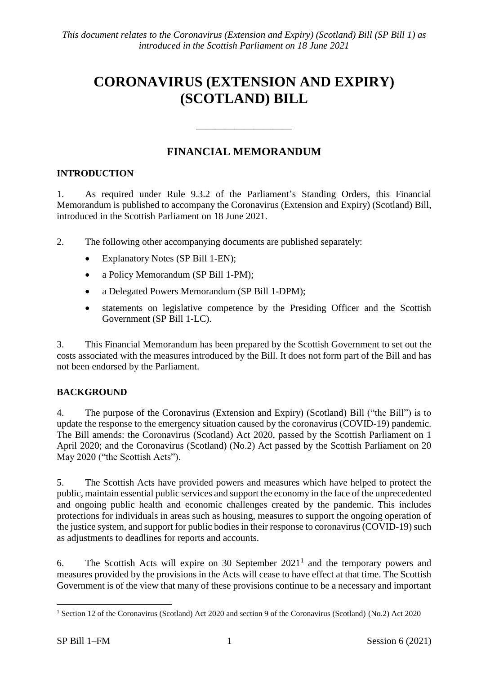# **CORONAVIRUS (EXTENSION AND EXPIRY) (SCOTLAND) BILL**

## **FINANCIAL MEMORANDUM**

————————————————————

## **INTRODUCTION**

1. As required under Rule 9.3.2 of the Parliament's Standing Orders, this Financial Memorandum is published to accompany the Coronavirus (Extension and Expiry) (Scotland) Bill, introduced in the Scottish Parliament on 18 June 2021.

2. The following other accompanying documents are published separately:

- Explanatory Notes (SP Bill 1-EN);
- a Policy Memorandum (SP Bill 1-PM);
- a Delegated Powers Memorandum (SP Bill 1-DPM);
- statements on legislative competence by the Presiding Officer and the Scottish Government (SP Bill 1-LC).

3. This Financial Memorandum has been prepared by the Scottish Government to set out the costs associated with the measures introduced by the Bill. It does not form part of the Bill and has not been endorsed by the Parliament.

## **BACKGROUND**

4. The purpose of the Coronavirus (Extension and Expiry) (Scotland) Bill ("the Bill") is to update the response to the emergency situation caused by the coronavirus (COVID-19) pandemic. The Bill amends: the Coronavirus (Scotland) Act 2020, passed by the Scottish Parliament on 1 April 2020; and the Coronavirus (Scotland) (No.2) Act passed by the Scottish Parliament on 20 May 2020 ("the Scottish Acts").

5. The Scottish Acts have provided powers and measures which have helped to protect the public, maintain essential public services and support the economy in the face of the unprecedented and ongoing public health and economic challenges created by the pandemic. This includes protections for individuals in areas such as housing, measures to support the ongoing operation of the justice system, and support for public bodies in their response to coronavirus (COVID-19) such as adjustments to deadlines for reports and accounts.

6. The Scottish Acts will expire on 30 September  $2021<sup>1</sup>$  and the temporary powers and measures provided by the provisions in the Acts will cease to have effect at that time. The Scottish Government is of the view that many of these provisions continue to be a necessary and important

 $\overline{a}$ <sup>1</sup> Section 12 of the Coronavirus (Scotland) Act 2020 and section 9 of the Coronavirus (Scotland) (No.2) Act 2020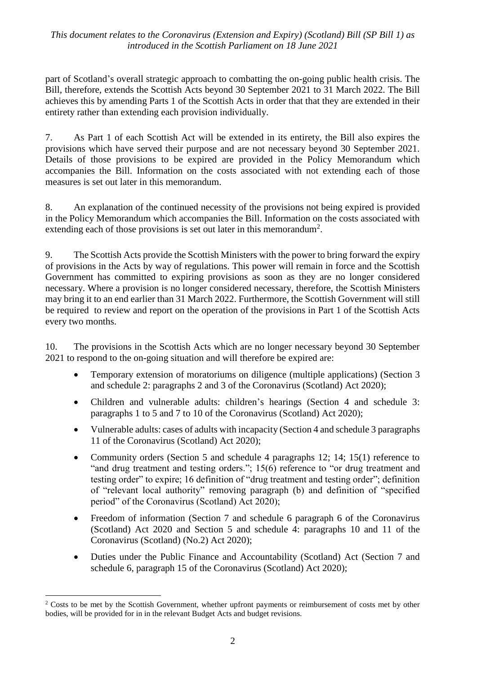part of Scotland's overall strategic approach to combatting the on-going public health crisis. The Bill, therefore, extends the Scottish Acts beyond 30 September 2021 to 31 March 2022. The Bill achieves this by amending Parts 1 of the Scottish Acts in order that that they are extended in their entirety rather than extending each provision individually.

7. As Part 1 of each Scottish Act will be extended in its entirety, the Bill also expires the provisions which have served their purpose and are not necessary beyond 30 September 2021. Details of those provisions to be expired are provided in the Policy Memorandum which accompanies the Bill. Information on the costs associated with not extending each of those measures is set out later in this memorandum.

8. An explanation of the continued necessity of the provisions not being expired is provided in the Policy Memorandum which accompanies the Bill. Information on the costs associated with extending each of those provisions is set out later in this memorandum<sup>2</sup>.

9. The Scottish Acts provide the Scottish Ministers with the power to bring forward the expiry of provisions in the Acts by way of regulations. This power will remain in force and the Scottish Government has committed to expiring provisions as soon as they are no longer considered necessary. Where a provision is no longer considered necessary, therefore, the Scottish Ministers may bring it to an end earlier than 31 March 2022. Furthermore, the Scottish Government will still be required to review and report on the operation of the provisions in Part 1 of the Scottish Acts every two months.

10. The provisions in the Scottish Acts which are no longer necessary beyond 30 September 2021 to respond to the on-going situation and will therefore be expired are:

- Temporary extension of moratoriums on diligence (multiple applications) (Section 3 and schedule 2: paragraphs 2 and 3 of the Coronavirus (Scotland) Act 2020);
- Children and vulnerable adults: children's hearings (Section 4 and schedule 3: paragraphs 1 to 5 and 7 to 10 of the Coronavirus (Scotland) Act 2020);
- Vulnerable adults: cases of adults with incapacity (Section 4 and schedule 3 paragraphs 11 of the Coronavirus (Scotland) Act 2020);
- Community orders (Section 5 and schedule 4 paragraphs 12; 14; 15(1) reference to "and drug treatment and testing orders."; 15(6) reference to "or drug treatment and testing order" to expire; 16 definition of "drug treatment and testing order"; definition of "relevant local authority" removing paragraph (b) and definition of "specified period" of the Coronavirus (Scotland) Act 2020);
- Freedom of information (Section 7 and schedule 6 paragraph 6 of the Coronavirus (Scotland) Act 2020 and Section 5 and schedule 4: paragraphs 10 and 11 of the Coronavirus (Scotland) (No.2) Act 2020);
- Duties under the Public Finance and Accountability (Scotland) Act (Section 7 and schedule 6, paragraph 15 of the Coronavirus (Scotland) Act 2020);

<u>.</u>

<sup>&</sup>lt;sup>2</sup> Costs to be met by the Scottish Government, whether upfront payments or reimbursement of costs met by other bodies, will be provided for in in the relevant Budget Acts and budget revisions.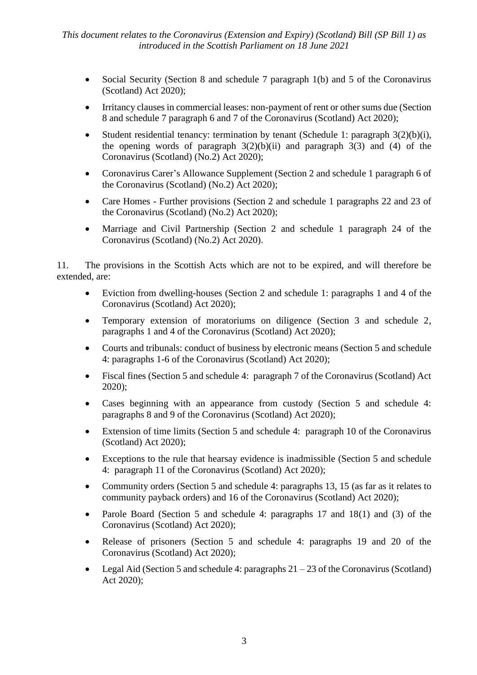- Social Security (Section 8 and schedule 7 paragraph 1(b) and 5 of the Coronavirus (Scotland) Act 2020);
- Irritancy clauses in commercial leases: non-payment of rent or other sums due (Section 8 and schedule 7 paragraph 6 and 7 of the Coronavirus (Scotland) Act 2020);
- Student residential tenancy: termination by tenant (Schedule 1: paragraph 3(2)(b)(i), the opening words of paragraph  $3(2)(b)(ii)$  and paragraph  $3(3)$  and (4) of the Coronavirus (Scotland) (No.2) Act 2020);
- Coronavirus Carer's Allowance Supplement (Section 2 and schedule 1 paragraph 6 of the Coronavirus (Scotland) (No.2) Act 2020);
- Care Homes Further provisions (Section 2 and schedule 1 paragraphs 22 and 23 of the Coronavirus (Scotland) (No.2) Act 2020);
- Marriage and Civil Partnership (Section 2 and schedule 1 paragraph 24 of the Coronavirus (Scotland) (No.2) Act 2020).

11. The provisions in the Scottish Acts which are not to be expired, and will therefore be extended, are:

- Eviction from dwelling-houses (Section 2 and schedule 1: paragraphs 1 and 4 of the Coronavirus (Scotland) Act 2020);
- Temporary extension of moratoriums on diligence (Section 3 and schedule 2, paragraphs 1 and 4 of the Coronavirus (Scotland) Act 2020);
- Courts and tribunals: conduct of business by electronic means (Section 5 and schedule 4: paragraphs 1-6 of the Coronavirus (Scotland) Act 2020);
- Fiscal fines (Section 5 and schedule 4: paragraph 7 of the Coronavirus (Scotland) Act 2020);
- Cases beginning with an appearance from custody (Section 5 and schedule 4: paragraphs 8 and 9 of the Coronavirus (Scotland) Act 2020);
- Extension of time limits (Section 5 and schedule 4: paragraph 10 of the Coronavirus (Scotland) Act 2020);
- Exceptions to the rule that hearsay evidence is inadmissible (Section 5 and schedule 4: paragraph 11 of the Coronavirus (Scotland) Act 2020);
- Community orders (Section 5 and schedule 4: paragraphs 13, 15 (as far as it relates to community payback orders) and 16 of the Coronavirus (Scotland) Act 2020);
- Parole Board (Section 5 and schedule 4: paragraphs 17 and 18(1) and (3) of the Coronavirus (Scotland) Act 2020);
- Release of prisoners (Section 5 and schedule 4: paragraphs 19 and 20 of the Coronavirus (Scotland) Act 2020);
- Legal Aid (Section 5 and schedule 4: paragraphs  $21 23$  of the Coronavirus (Scotland) Act 2020);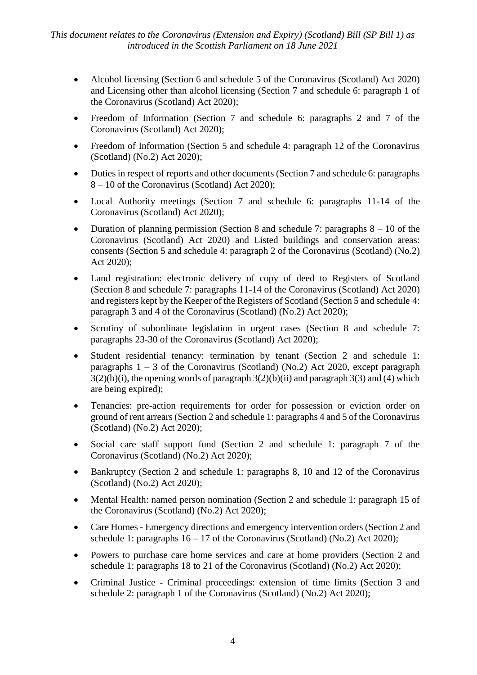- Alcohol licensing (Section 6 and schedule 5 of the Coronavirus (Scotland) Act 2020) and Licensing other than alcohol licensing (Section 7 and schedule 6: paragraph 1 of the Coronavirus (Scotland) Act 2020);
- Freedom of Information (Section 7 and schedule 6: paragraphs 2 and 7 of the Coronavirus (Scotland) Act 2020);
- Freedom of Information (Section 5 and schedule 4: paragraph 12 of the Coronavirus (Scotland) (No.2) Act 2020);
- Duties in respect of reports and other documents (Section 7 and schedule 6: paragraphs 8 – 10 of the Coronavirus (Scotland) Act 2020);
- Local Authority meetings (Section 7 and schedule 6: paragraphs 11-14 of the Coronavirus (Scotland) Act 2020);
- Duration of planning permission (Section 8 and schedule 7: paragraphs  $8 10$  of the Coronavirus (Scotland) Act 2020) and Listed buildings and conservation areas: consents (Section 5 and schedule 4: paragraph 2 of the Coronavirus (Scotland) (No.2) Act 2020);
- Land registration: electronic delivery of copy of deed to Registers of Scotland (Section 8 and schedule 7: paragraphs 11-14 of the Coronavirus (Scotland) Act 2020) and registers kept by the Keeper of the Registers of Scotland (Section 5 and schedule 4: paragraph 3 and 4 of the Coronavirus (Scotland) (No.2) Act 2020);
- Scrutiny of subordinate legislation in urgent cases (Section 8 and schedule 7: paragraphs 23-30 of the Coronavirus (Scotland) Act 2020);
- Student residential tenancy: termination by tenant (Section 2 and schedule 1: paragraphs  $1 - 3$  of the Coronavirus (Scotland) (No.2) Act 2020, except paragraph  $3(2)(b)(i)$ , the opening words of paragraph  $3(2)(b)(ii)$  and paragraph  $3(3)$  and (4) which are being expired);
- Tenancies: pre-action requirements for order for possession or eviction order on ground of rent arrears (Section 2 and schedule 1: paragraphs 4 and 5 of the Coronavirus (Scotland) (No.2) Act 2020);
- Social care staff support fund (Section 2 and schedule 1: paragraph 7 of the Coronavirus (Scotland) (No.2) Act 2020);
- Bankruptcy (Section 2 and schedule 1: paragraphs 8, 10 and 12 of the Coronavirus (Scotland) (No.2) Act 2020);
- Mental Health: named person nomination (Section 2 and schedule 1: paragraph 15 of the Coronavirus (Scotland) (No.2) Act 2020);
- Care Homes Emergency directions and emergency intervention orders (Section 2 and schedule 1: paragraphs  $16 - 17$  of the Coronavirus (Scotland) (No.2) Act 2020);
- Powers to purchase care home services and care at home providers (Section 2 and schedule 1: paragraphs 18 to 21 of the Coronavirus (Scotland) (No.2) Act 2020);
- Criminal Justice Criminal proceedings: extension of time limits (Section 3 and schedule 2: paragraph 1 of the Coronavirus (Scotland) (No.2) Act 2020);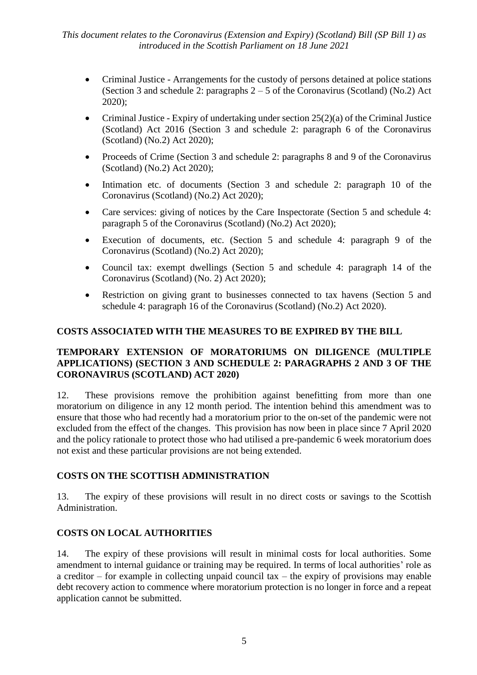- Criminal Justice Arrangements for the custody of persons detained at police stations (Section 3 and schedule 2: paragraphs 2 – 5 of the Coronavirus (Scotland) (No.2) Act 2020);
- Criminal Justice Expiry of undertaking under section  $25(2)(a)$  of the Criminal Justice (Scotland) Act 2016 (Section 3 and schedule 2: paragraph 6 of the Coronavirus (Scotland) (No.2) Act 2020);
- Proceeds of Crime (Section 3 and schedule 2: paragraphs 8 and 9 of the Coronavirus (Scotland) (No.2) Act 2020);
- Intimation etc. of documents (Section 3 and schedule 2: paragraph 10 of the Coronavirus (Scotland) (No.2) Act 2020);
- Care services: giving of notices by the Care Inspectorate (Section 5 and schedule 4: paragraph 5 of the Coronavirus (Scotland) (No.2) Act 2020);
- Execution of documents, etc. (Section 5 and schedule 4: paragraph 9 of the Coronavirus (Scotland) (No.2) Act 2020);
- Council tax: exempt dwellings (Section 5 and schedule 4: paragraph 14 of the Coronavirus (Scotland) (No. 2) Act 2020);
- Restriction on giving grant to businesses connected to tax havens (Section 5 and schedule 4: paragraph 16 of the Coronavirus (Scotland) (No.2) Act 2020).

## **COSTS ASSOCIATED WITH THE MEASURES TO BE EXPIRED BY THE BILL**

#### **TEMPORARY EXTENSION OF MORATORIUMS ON DILIGENCE (MULTIPLE APPLICATIONS) (SECTION 3 AND SCHEDULE 2: PARAGRAPHS 2 AND 3 OF THE CORONAVIRUS (SCOTLAND) ACT 2020)**

12. These provisions remove the prohibition against benefitting from more than one moratorium on diligence in any 12 month period. The intention behind this amendment was to ensure that those who had recently had a moratorium prior to the on-set of the pandemic were not excluded from the effect of the changes. This provision has now been in place since 7 April 2020 and the policy rationale to protect those who had utilised a pre-pandemic 6 week moratorium does not exist and these particular provisions are not being extended.

#### **COSTS ON THE SCOTTISH ADMINISTRATION**

13. The expiry of these provisions will result in no direct costs or savings to the Scottish Administration.

## **COSTS ON LOCAL AUTHORITIES**

14. The expiry of these provisions will result in minimal costs for local authorities. Some amendment to internal guidance or training may be required. In terms of local authorities' role as a creditor – for example in collecting unpaid council tax – the expiry of provisions may enable debt recovery action to commence where moratorium protection is no longer in force and a repeat application cannot be submitted.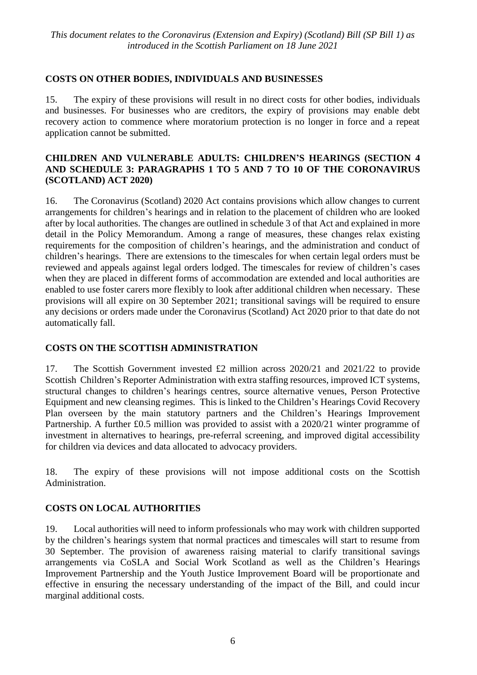## **COSTS ON OTHER BODIES, INDIVIDUALS AND BUSINESSES**

15. The expiry of these provisions will result in no direct costs for other bodies, individuals and businesses. For businesses who are creditors, the expiry of provisions may enable debt recovery action to commence where moratorium protection is no longer in force and a repeat application cannot be submitted.

#### **CHILDREN AND VULNERABLE ADULTS: CHILDREN'S HEARINGS (SECTION 4 AND SCHEDULE 3: PARAGRAPHS 1 TO 5 AND 7 TO 10 OF THE CORONAVIRUS (SCOTLAND) ACT 2020)**

16. The Coronavirus (Scotland) 2020 Act contains provisions which allow changes to current arrangements for children's hearings and in relation to the placement of children who are looked after by local authorities. The changes are outlined in schedule 3 of that Act and explained in more detail in the Policy Memorandum. Among a range of measures, these changes relax existing requirements for the composition of children's hearings, and the administration and conduct of children's hearings. There are extensions to the timescales for when certain legal orders must be reviewed and appeals against legal orders lodged. The timescales for review of children's cases when they are placed in different forms of accommodation are extended and local authorities are enabled to use foster carers more flexibly to look after additional children when necessary. These provisions will all expire on 30 September 2021; transitional savings will be required to ensure any decisions or orders made under the Coronavirus (Scotland) Act 2020 prior to that date do not automatically fall.

#### **COSTS ON THE SCOTTISH ADMINISTRATION**

17. The Scottish Government invested £2 million across 2020/21 and 2021/22 to provide Scottish Children's Reporter Administration with extra staffing resources, improved ICT systems, structural changes to children's hearings centres, source alternative venues, Person Protective Equipment and new cleansing regimes. This is linked to the Children's Hearings Covid Recovery Plan overseen by the main statutory partners and the Children's Hearings Improvement Partnership. A further £0.5 million was provided to assist with a 2020/21 winter programme of investment in alternatives to hearings, pre-referral screening, and improved digital accessibility for children via devices and data allocated to advocacy providers.

18. The expiry of these provisions will not impose additional costs on the Scottish Administration.

#### **COSTS ON LOCAL AUTHORITIES**

19. Local authorities will need to inform professionals who may work with children supported by the children's hearings system that normal practices and timescales will start to resume from 30 September. The provision of awareness raising material to clarify transitional savings arrangements via CoSLA and Social Work Scotland as well as the Children's Hearings Improvement Partnership and the Youth Justice Improvement Board will be proportionate and effective in ensuring the necessary understanding of the impact of the Bill, and could incur marginal additional costs.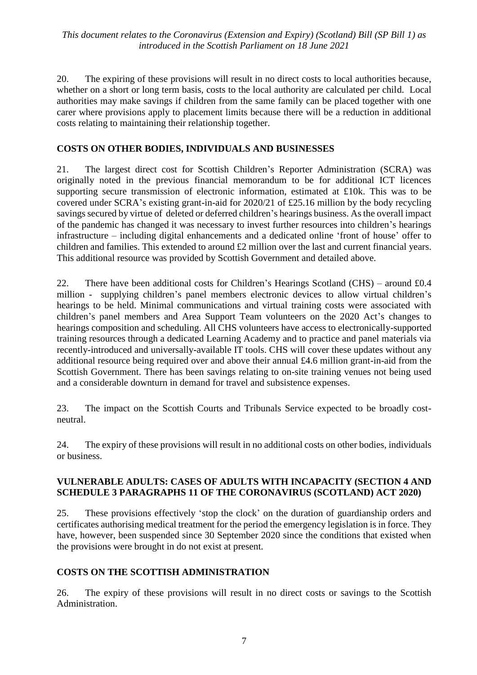20. The expiring of these provisions will result in no direct costs to local authorities because, whether on a short or long term basis, costs to the local authority are calculated per child. Local authorities may make savings if children from the same family can be placed together with one carer where provisions apply to placement limits because there will be a reduction in additional costs relating to maintaining their relationship together.

#### **COSTS ON OTHER BODIES, INDIVIDUALS AND BUSINESSES**

21. The largest direct cost for Scottish Children's Reporter Administration (SCRA) was originally noted in the previous financial memorandum to be for additional ICT licences supporting secure transmission of electronic information, estimated at £10k. This was to be covered under SCRA's existing grant-in-aid for 2020/21 of £25.16 million by the body recycling savings secured by virtue of deleted or deferred children's hearings business. As the overall impact of the pandemic has changed it was necessary to invest further resources into children's hearings infrastructure – including digital enhancements and a dedicated online 'front of house' offer to children and families. This extended to around £2 million over the last and current financial years. This additional resource was provided by Scottish Government and detailed above.

22. There have been additional costs for Children's Hearings Scotland (CHS) – around  $£0.4$ million - supplying children's panel members electronic devices to allow virtual children's hearings to be held. Minimal communications and virtual training costs were associated with children's panel members and Area Support Team volunteers on the 2020 Act's changes to hearings composition and scheduling. All CHS volunteers have access to electronically-supported training resources through a dedicated Learning Academy and to practice and panel materials via recently-introduced and universally-available IT tools. CHS will cover these updates without any additional resource being required over and above their annual £4.6 million grant-in-aid from the Scottish Government. There has been savings relating to on-site training venues not being used and a considerable downturn in demand for travel and subsistence expenses.

23. The impact on the Scottish Courts and Tribunals Service expected to be broadly costneutral.

24. The expiry of these provisions will result in no additional costs on other bodies, individuals or business.

#### **VULNERABLE ADULTS: CASES OF ADULTS WITH INCAPACITY (SECTION 4 AND SCHEDULE 3 PARAGRAPHS 11 OF THE CORONAVIRUS (SCOTLAND) ACT 2020)**

25. These provisions effectively 'stop the clock' on the duration of guardianship orders and certificates authorising medical treatment for the period the emergency legislation is in force. They have, however, been suspended since 30 September 2020 since the conditions that existed when the provisions were brought in do not exist at present.

#### **COSTS ON THE SCOTTISH ADMINISTRATION**

26. The expiry of these provisions will result in no direct costs or savings to the Scottish Administration.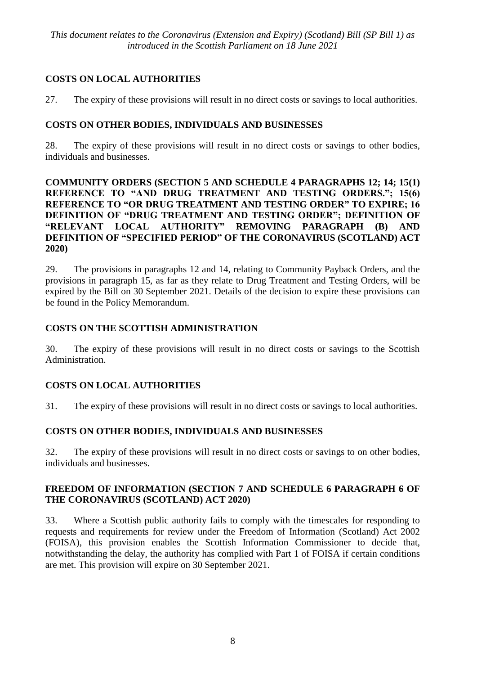## **COSTS ON LOCAL AUTHORITIES**

27. The expiry of these provisions will result in no direct costs or savings to local authorities.

## **COSTS ON OTHER BODIES, INDIVIDUALS AND BUSINESSES**

28. The expiry of these provisions will result in no direct costs or savings to other bodies, individuals and businesses.

#### **COMMUNITY ORDERS (SECTION 5 AND SCHEDULE 4 PARAGRAPHS 12; 14; 15(1) REFERENCE TO "AND DRUG TREATMENT AND TESTING ORDERS."; 15(6) REFERENCE TO "OR DRUG TREATMENT AND TESTING ORDER" TO EXPIRE; 16 DEFINITION OF "DRUG TREATMENT AND TESTING ORDER"; DEFINITION OF "RELEVANT LOCAL AUTHORITY" REMOVING PARAGRAPH (B) AND DEFINITION OF "SPECIFIED PERIOD" OF THE CORONAVIRUS (SCOTLAND) ACT 2020)**

29. The provisions in paragraphs 12 and 14, relating to Community Payback Orders, and the provisions in paragraph 15, as far as they relate to Drug Treatment and Testing Orders, will be expired by the Bill on 30 September 2021. Details of the decision to expire these provisions can be found in the Policy Memorandum.

## **COSTS ON THE SCOTTISH ADMINISTRATION**

30. The expiry of these provisions will result in no direct costs or savings to the Scottish Administration.

## **COSTS ON LOCAL AUTHORITIES**

31. The expiry of these provisions will result in no direct costs or savings to local authorities.

## **COSTS ON OTHER BODIES, INDIVIDUALS AND BUSINESSES**

32. The expiry of these provisions will result in no direct costs or savings to on other bodies, individuals and businesses.

## **FREEDOM OF INFORMATION (SECTION 7 AND SCHEDULE 6 PARAGRAPH 6 OF THE CORONAVIRUS (SCOTLAND) ACT 2020)**

33. Where a Scottish public authority fails to comply with the timescales for responding to requests and requirements for review under the Freedom of Information (Scotland) Act 2002 (FOISA), this provision enables the Scottish Information Commissioner to decide that, notwithstanding the delay, the authority has complied with Part 1 of FOISA if certain conditions are met. This provision will expire on 30 September 2021.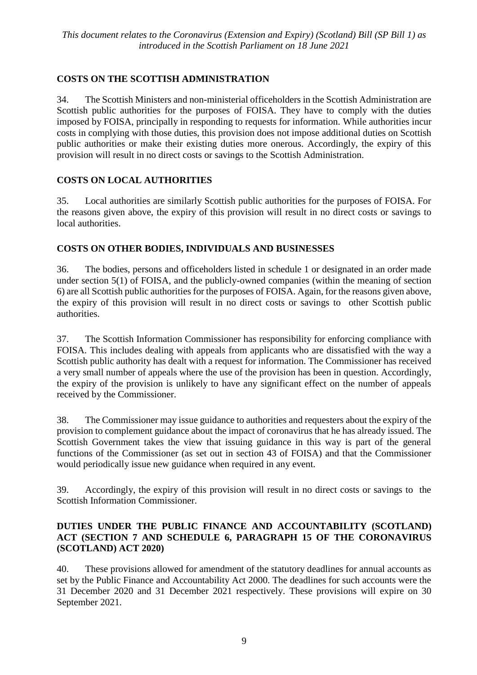## **COSTS ON THE SCOTTISH ADMINISTRATION**

34. The Scottish Ministers and non-ministerial officeholders in the Scottish Administration are Scottish public authorities for the purposes of FOISA. They have to comply with the duties imposed by FOISA, principally in responding to requests for information. While authorities incur costs in complying with those duties, this provision does not impose additional duties on Scottish public authorities or make their existing duties more onerous. Accordingly, the expiry of this provision will result in no direct costs or savings to the Scottish Administration.

## **COSTS ON LOCAL AUTHORITIES**

35. Local authorities are similarly Scottish public authorities for the purposes of FOISA. For the reasons given above, the expiry of this provision will result in no direct costs or savings to local authorities.

## **COSTS ON OTHER BODIES, INDIVIDUALS AND BUSINESSES**

36. The bodies, persons and officeholders listed in schedule 1 or designated in an order made under section 5(1) of FOISA, and the publicly-owned companies (within the meaning of section 6) are all Scottish public authorities for the purposes of FOISA. Again, for the reasons given above, the expiry of this provision will result in no direct costs or savings to other Scottish public authorities.

37. The Scottish Information Commissioner has responsibility for enforcing compliance with FOISA. This includes dealing with appeals from applicants who are dissatisfied with the way a Scottish public authority has dealt with a request for information. The Commissioner has received a very small number of appeals where the use of the provision has been in question. Accordingly, the expiry of the provision is unlikely to have any significant effect on the number of appeals received by the Commissioner.

38. The Commissioner may issue guidance to authorities and requesters about the expiry of the provision to complement guidance about the impact of coronavirus that he has already issued. The Scottish Government takes the view that issuing guidance in this way is part of the general functions of the Commissioner (as set out in section 43 of FOISA) and that the Commissioner would periodically issue new guidance when required in any event.

39. Accordingly, the expiry of this provision will result in no direct costs or savings to the Scottish Information Commissioner.

## **DUTIES UNDER THE PUBLIC FINANCE AND ACCOUNTABILITY (SCOTLAND) ACT (SECTION 7 AND SCHEDULE 6, PARAGRAPH 15 OF THE CORONAVIRUS (SCOTLAND) ACT 2020)**

40. These provisions allowed for amendment of the statutory deadlines for annual accounts as set by the Public Finance and Accountability Act 2000. The deadlines for such accounts were the 31 December 2020 and 31 December 2021 respectively. These provisions will expire on 30 September 2021.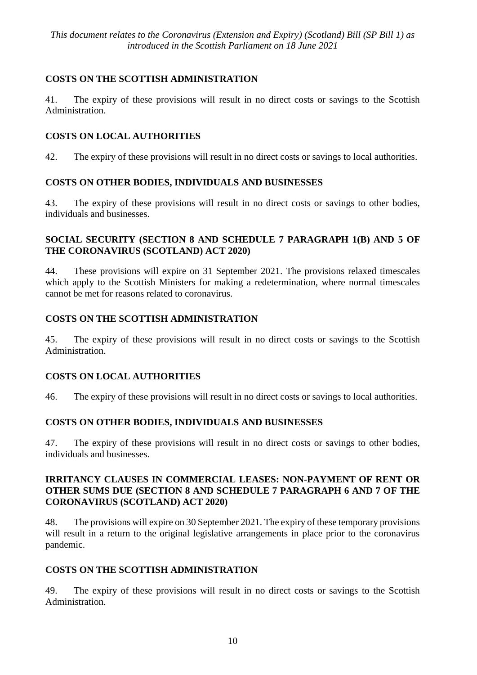## **COSTS ON THE SCOTTISH ADMINISTRATION**

41. The expiry of these provisions will result in no direct costs or savings to the Scottish Administration.

## **COSTS ON LOCAL AUTHORITIES**

42. The expiry of these provisions will result in no direct costs or savings to local authorities.

## **COSTS ON OTHER BODIES, INDIVIDUALS AND BUSINESSES**

43. The expiry of these provisions will result in no direct costs or savings to other bodies, individuals and businesses.

#### **SOCIAL SECURITY (SECTION 8 AND SCHEDULE 7 PARAGRAPH 1(B) AND 5 OF THE CORONAVIRUS (SCOTLAND) ACT 2020)**

44. These provisions will expire on 31 September 2021. The provisions relaxed timescales which apply to the Scottish Ministers for making a redetermination, where normal timescales cannot be met for reasons related to coronavirus.

## **COSTS ON THE SCOTTISH ADMINISTRATION**

45. The expiry of these provisions will result in no direct costs or savings to the Scottish Administration.

## **COSTS ON LOCAL AUTHORITIES**

46. The expiry of these provisions will result in no direct costs or savings to local authorities.

## **COSTS ON OTHER BODIES, INDIVIDUALS AND BUSINESSES**

47. The expiry of these provisions will result in no direct costs or savings to other bodies, individuals and businesses.

#### **IRRITANCY CLAUSES IN COMMERCIAL LEASES: NON-PAYMENT OF RENT OR OTHER SUMS DUE (SECTION 8 AND SCHEDULE 7 PARAGRAPH 6 AND 7 OF THE CORONAVIRUS (SCOTLAND) ACT 2020)**

48. The provisions will expire on 30 September 2021. The expiry of these temporary provisions will result in a return to the original legislative arrangements in place prior to the coronavirus pandemic.

#### **COSTS ON THE SCOTTISH ADMINISTRATION**

49. The expiry of these provisions will result in no direct costs or savings to the Scottish Administration.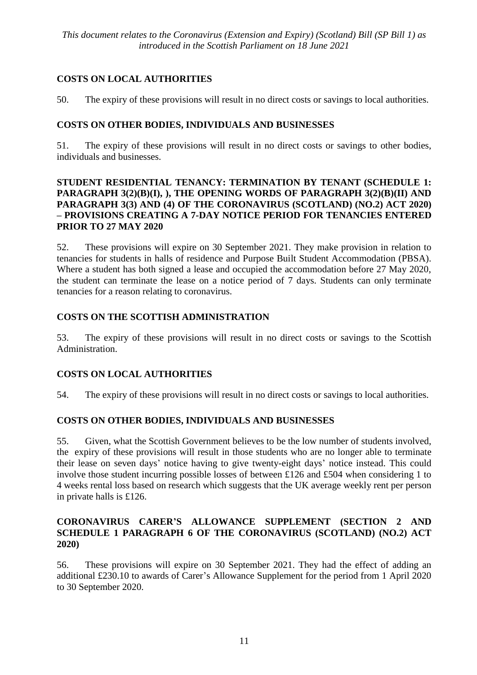## **COSTS ON LOCAL AUTHORITIES**

50. The expiry of these provisions will result in no direct costs or savings to local authorities.

## **COSTS ON OTHER BODIES, INDIVIDUALS AND BUSINESSES**

51. The expiry of these provisions will result in no direct costs or savings to other bodies, individuals and businesses.

#### **STUDENT RESIDENTIAL TENANCY: TERMINATION BY TENANT (SCHEDULE 1: PARAGRAPH 3(2)(B)(I), ), THE OPENING WORDS OF PARAGRAPH 3(2)(B)(II) AND PARAGRAPH 3(3) AND (4) OF THE CORONAVIRUS (SCOTLAND) (NO.2) ACT 2020) – PROVISIONS CREATING A 7-DAY NOTICE PERIOD FOR TENANCIES ENTERED PRIOR TO 27 MAY 2020**

52. These provisions will expire on 30 September 2021. They make provision in relation to tenancies for students in halls of residence and Purpose Built Student Accommodation (PBSA). Where a student has both signed a lease and occupied the accommodation before 27 May 2020, the student can terminate the lease on a notice period of 7 days. Students can only terminate tenancies for a reason relating to coronavirus.

## **COSTS ON THE SCOTTISH ADMINISTRATION**

53. The expiry of these provisions will result in no direct costs or savings to the Scottish Administration.

## **COSTS ON LOCAL AUTHORITIES**

54. The expiry of these provisions will result in no direct costs or savings to local authorities.

#### **COSTS ON OTHER BODIES, INDIVIDUALS AND BUSINESSES**

55. Given, what the Scottish Government believes to be the low number of students involved, the expiry of these provisions will result in those students who are no longer able to terminate their lease on seven days' notice having to give twenty-eight days' notice instead. This could involve those student incurring possible losses of between £126 and £504 when considering 1 to 4 weeks rental loss based on research which suggests that the UK average weekly rent per person in private halls is £126.

#### **CORONAVIRUS CARER'S ALLOWANCE SUPPLEMENT (SECTION 2 AND SCHEDULE 1 PARAGRAPH 6 OF THE CORONAVIRUS (SCOTLAND) (NO.2) ACT 2020)**

56. These provisions will expire on 30 September 2021. They had the effect of adding an additional £230.10 to awards of Carer's Allowance Supplement for the period from 1 April 2020 to 30 September 2020.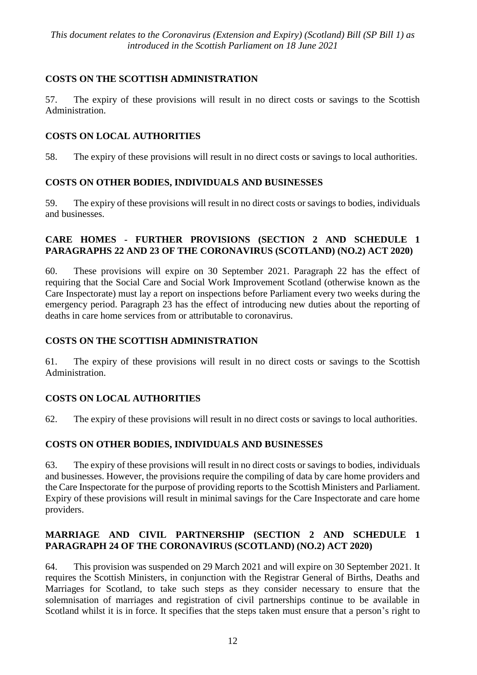## **COSTS ON THE SCOTTISH ADMINISTRATION**

57. The expiry of these provisions will result in no direct costs or savings to the Scottish Administration.

## **COSTS ON LOCAL AUTHORITIES**

58. The expiry of these provisions will result in no direct costs or savings to local authorities.

## **COSTS ON OTHER BODIES, INDIVIDUALS AND BUSINESSES**

59. The expiry of these provisions will result in no direct costs or savings to bodies, individuals and businesses.

#### **CARE HOMES - FURTHER PROVISIONS (SECTION 2 AND SCHEDULE 1 PARAGRAPHS 22 AND 23 OF THE CORONAVIRUS (SCOTLAND) (NO.2) ACT 2020)**

60. These provisions will expire on 30 September 2021. Paragraph 22 has the effect of requiring that the Social Care and Social Work Improvement Scotland (otherwise known as the Care Inspectorate) must lay a report on inspections before Parliament every two weeks during the emergency period. Paragraph 23 has the effect of introducing new duties about the reporting of deaths in care home services from or attributable to coronavirus.

## **COSTS ON THE SCOTTISH ADMINISTRATION**

61. The expiry of these provisions will result in no direct costs or savings to the Scottish Administration.

## **COSTS ON LOCAL AUTHORITIES**

62. The expiry of these provisions will result in no direct costs or savings to local authorities.

## **COSTS ON OTHER BODIES, INDIVIDUALS AND BUSINESSES**

63. The expiry of these provisions will result in no direct costs or savings to bodies, individuals and businesses. However, the provisions require the compiling of data by care home providers and the Care Inspectorate for the purpose of providing reports to the Scottish Ministers and Parliament. Expiry of these provisions will result in minimal savings for the Care Inspectorate and care home providers.

## **MARRIAGE AND CIVIL PARTNERSHIP (SECTION 2 AND SCHEDULE 1 PARAGRAPH 24 OF THE CORONAVIRUS (SCOTLAND) (NO.2) ACT 2020)**

64. This provision was suspended on 29 March 2021 and will expire on 30 September 2021. It requires the Scottish Ministers, in conjunction with the Registrar General of Births, Deaths and Marriages for Scotland, to take such steps as they consider necessary to ensure that the solemnisation of marriages and registration of civil partnerships continue to be available in Scotland whilst it is in force. It specifies that the steps taken must ensure that a person's right to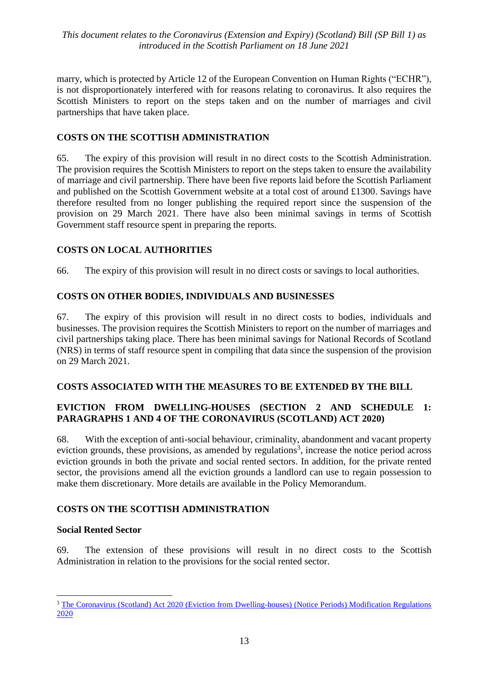marry, which is protected by Article 12 of the European Convention on Human Rights ("ECHR"), is not disproportionately interfered with for reasons relating to coronavirus. It also requires the Scottish Ministers to report on the steps taken and on the number of marriages and civil partnerships that have taken place.

## **COSTS ON THE SCOTTISH ADMINISTRATION**

65. The expiry of this provision will result in no direct costs to the Scottish Administration. The provision requires the Scottish Ministers to report on the steps taken to ensure the availability of marriage and civil partnership. There have been five reports laid before the Scottish Parliament and published on the Scottish Government website at a total cost of around £1300. Savings have therefore resulted from no longer publishing the required report since the suspension of the provision on 29 March 2021. There have also been minimal savings in terms of Scottish Government staff resource spent in preparing the reports.

## **COSTS ON LOCAL AUTHORITIES**

66. The expiry of this provision will result in no direct costs or savings to local authorities.

## **COSTS ON OTHER BODIES, INDIVIDUALS AND BUSINESSES**

67. The expiry of this provision will result in no direct costs to bodies, individuals and businesses. The provision requires the Scottish Ministers to report on the number of marriages and civil partnerships taking place. There has been minimal savings for National Records of Scotland (NRS) in terms of staff resource spent in compiling that data since the suspension of the provision on 29 March 2021.

#### **COSTS ASSOCIATED WITH THE MEASURES TO BE EXTENDED BY THE BILL**

#### **EVICTION FROM DWELLING-HOUSES (SECTION 2 AND SCHEDULE 1: PARAGRAPHS 1 AND 4 OF THE CORONAVIRUS (SCOTLAND) ACT 2020)**

68. With the exception of anti-social behaviour, criminality, abandonment and vacant property eviction grounds, these provisions, as amended by regulations<sup>3</sup>, increase the notice period across eviction grounds in both the private and social rented sectors. In addition, for the private rented sector, the provisions amend all the eviction grounds a landlord can use to regain possession to make them discretionary. More details are available in the Policy Memorandum.

#### **COSTS ON THE SCOTTISH ADMINISTRATION**

#### **Social Rented Sector**

 $\overline{a}$ 

69. The extension of these provisions will result in no direct costs to the Scottish Administration in relation to the provisions for the social rented sector.

<sup>&</sup>lt;sup>3</sup> The Coronavirus (Scotland) Act 2020 (Eviction from Dwelling-houses) (Notice Periods) Modification Regulations [2020](https://www.legislation.gov.uk/ssi/2020/270/contents/made)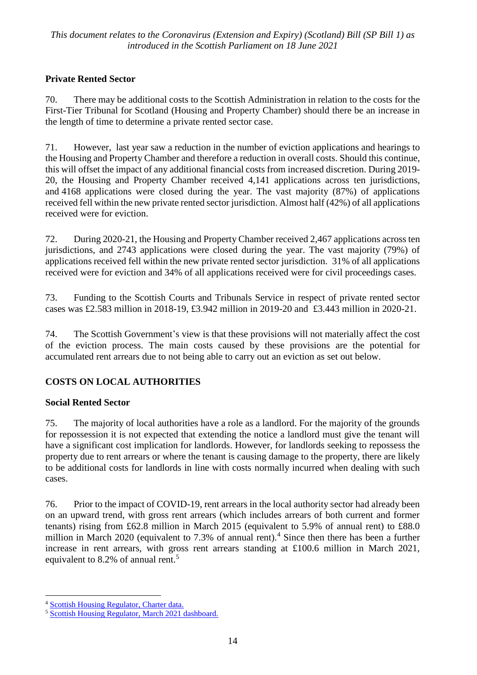## **Private Rented Sector**

70. There may be additional costs to the Scottish Administration in relation to the costs for the First-Tier Tribunal for Scotland (Housing and Property Chamber) should there be an increase in the length of time to determine a private rented sector case.

71. However, last year saw a reduction in the number of eviction applications and hearings to the Housing and Property Chamber and therefore a reduction in overall costs. Should this continue, this will offset the impact of any additional financial costs from increased discretion. During 2019- 20, the Housing and Property Chamber received 4,141 applications across ten jurisdictions, and 4168 applications were closed during the year. The vast majority (87%) of applications received fell within the new private rented sector jurisdiction. Almost half (42%) of all applications received were for eviction.

72. During 2020-21, the Housing and Property Chamber received 2,467 applications across ten jurisdictions, and 2743 applications were closed during the year. The vast majority (79%) of applications received fell within the new private rented sector jurisdiction. 31% of all applications received were for eviction and 34% of all applications received were for civil proceedings cases.

73. Funding to the Scottish Courts and Tribunals Service in respect of private rented sector cases was £2.583 million in 2018-19, £3.942 million in 2019-20 and £3.443 million in 2020-21.

74. The Scottish Government's view is that these provisions will not materially affect the cost of the eviction process. The main costs caused by these provisions are the potential for accumulated rent arrears due to not being able to carry out an eviction as set out below.

## **COSTS ON LOCAL AUTHORITIES**

## **Social Rented Sector**

75. The majority of local authorities have a role as a landlord. For the majority of the grounds for repossession it is not expected that extending the notice a landlord must give the tenant will have a significant cost implication for landlords. However, for landlords seeking to repossess the property due to rent arrears or where the tenant is causing damage to the property, there are likely to be additional costs for landlords in line with costs normally incurred when dealing with such cases.

76. Prior to the impact of COVID-19, rent arrears in the local authority sector had already been on an upward trend, with gross rent arrears (which includes arrears of both current and former tenants) rising from £62.8 million in March 2015 (equivalent to 5.9% of annual rent) to £88.0 million in March 2020 (equivalent to 7.3% of annual rent).<sup>4</sup> Since then there has been a further increase in rent arrears, with gross rent arrears standing at £100.6 million in March 2021, equivalent to 8.2% of annual rent.<sup>5</sup>

<sup>&</sup>lt;u>.</u> <sup>4</sup> [Scottish Housing Regulator, Charter data.](https://www.housingregulator.gov.scot/landlord-performance/statistical-information)

<sup>5</sup> [Scottish Housing Regulator, March 2021 dashboard.](https://www.housingregulator.gov.scot/landlord-performance/national-reports/monthly-covid-19-dashboards/march-2021-dashboard)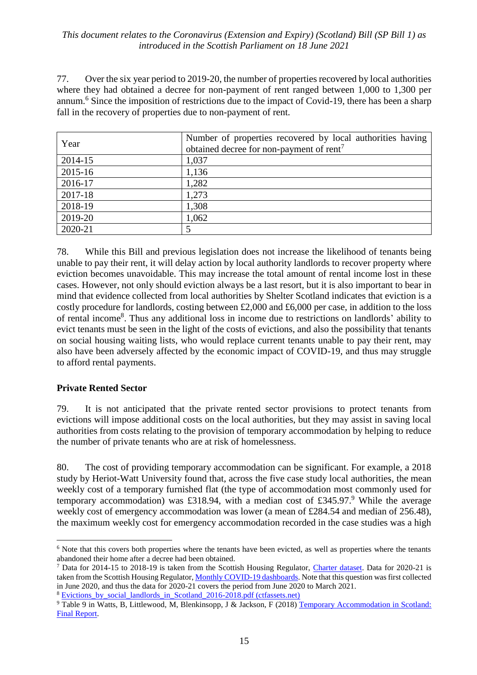77. Over the six year period to 2019-20, the number of properties recovered by local authorities where they had obtained a decree for non-payment of rent ranged between 1,000 to 1,300 per annum.<sup>6</sup> Since the imposition of restrictions due to the impact of Covid-19, there has been a sharp fall in the recovery of properties due to non-payment of rent.

| Year        | Number of properties recovered by local authorities having<br>obtained decree for non-payment of rent <sup>7</sup> |
|-------------|--------------------------------------------------------------------------------------------------------------------|
| 2014-15     | 1,037                                                                                                              |
| $2015 - 16$ | 1,136                                                                                                              |
| 2016-17     | 1,282                                                                                                              |
| 2017-18     | 1,273                                                                                                              |
| 2018-19     | 1,308                                                                                                              |
| 2019-20     | 1,062                                                                                                              |
| 2020-21     |                                                                                                                    |

78. While this Bill and previous legislation does not increase the likelihood of tenants being unable to pay their rent, it will delay action by local authority landlords to recover property where eviction becomes unavoidable. This may increase the total amount of rental income lost in these cases. However, not only should eviction always be a last resort, but it is also important to bear in mind that evidence collected from local authorities by Shelter Scotland indicates that eviction is a costly procedure for landlords, costing between £2,000 and £6,000 per case, in addition to the loss of rental income<sup>8</sup>. Thus any additional loss in income due to restrictions on landlords' ability to evict tenants must be seen in the light of the costs of evictions, and also the possibility that tenants on social housing waiting lists, who would replace current tenants unable to pay their rent, may also have been adversely affected by the economic impact of COVID-19, and thus may struggle to afford rental payments.

#### **Private Rented Sector**

79. It is not anticipated that the private rented sector provisions to protect tenants from evictions will impose additional costs on the local authorities, but they may assist in saving local authorities from costs relating to the provision of temporary accommodation by helping to reduce the number of private tenants who are at risk of homelessness.

80. The cost of providing temporary accommodation can be significant. For example, a 2018 study by Heriot-Watt University found that, across the five case study local authorities, the mean weekly cost of a temporary furnished flat (the type of accommodation most commonly used for temporary accommodation) was £318.94, with a median cost of £345.97.<sup>9</sup> While the average weekly cost of emergency accommodation was lower (a mean of £284.54 and median of 256.48), the maximum weekly cost for emergency accommodation recorded in the case studies was a high

 $\overline{a}$ <sup>6</sup> Note that this covers both properties where the tenants have been evicted, as well as properties where the tenants abandoned their home after a decree had been obtained.

<sup>&</sup>lt;sup>7</sup> Data for 2014-15 to 2018-19 is taken from the Scottish Housing Regulator, [Charter dataset.](https://www.housingregulator.gov.scot/landlord-performance/statistical-information) Data for 2020-21 is taken from the Scottish Housing Regulator, [Monthly COVID-19 dashboards.](https://www.housingregulator.gov.scot/landlord-performance/national-reports/monthly-covid-19-dashboards/march-2021-dashboard) Note that this question was first collected in June 2020, and thus the data for 2020-21 covers the period from June 2020 to March 2021.

<sup>&</sup>lt;sup>8</sup> Evictions by social landlords in Scotland 2016-2018.pdf (ctfassets.net)

<sup>&</sup>lt;sup>9</sup> Table 9 in Watts, B, Littlewood, M, Blenkinsopp, J & Jackson, F (2018) Temporary Accommodation in Scotland: [Final Report.](https://pure.hw.ac.uk/ws/portalfiles/portal/23430074/SB_TempAccommReport_FinalReport.pdf)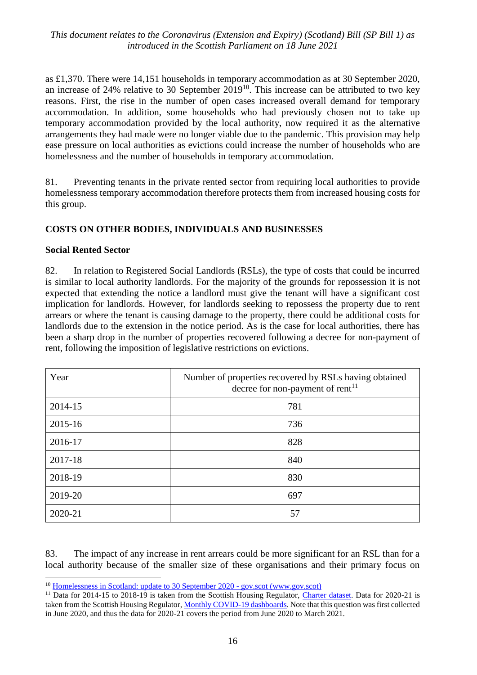as £1,370. There were 14,151 households in temporary accommodation as at 30 September 2020, an increase of 24% relative to 30 September  $2019^{10}$ . This increase can be attributed to two key reasons. First, the rise in the number of open cases increased overall demand for temporary accommodation. In addition, some households who had previously chosen not to take up temporary accommodation provided by the local authority, now required it as the alternative arrangements they had made were no longer viable due to the pandemic. This provision may help ease pressure on local authorities as evictions could increase the number of households who are homelessness and the number of households in temporary accommodation.

81. Preventing tenants in the private rented sector from requiring local authorities to provide homelessness temporary accommodation therefore protects them from increased housing costs for this group.

#### **COSTS ON OTHER BODIES, INDIVIDUALS AND BUSINESSES**

#### **Social Rented Sector**

<u>.</u>

82. In relation to Registered Social Landlords (RSLs), the type of costs that could be incurred is similar to local authority landlords. For the majority of the grounds for repossession it is not expected that extending the notice a landlord must give the tenant will have a significant cost implication for landlords. However, for landlords seeking to repossess the property due to rent arrears or where the tenant is causing damage to the property, there could be additional costs for landlords due to the extension in the notice period. As is the case for local authorities, there has been a sharp drop in the number of properties recovered following a decree for non-payment of rent, following the imposition of legislative restrictions on evictions.

| Year    | Number of properties recovered by RSLs having obtained<br>decree for non-payment of rent <sup>11</sup> |
|---------|--------------------------------------------------------------------------------------------------------|
| 2014-15 | 781                                                                                                    |
| 2015-16 | 736                                                                                                    |
| 2016-17 | 828                                                                                                    |
| 2017-18 | 840                                                                                                    |
| 2018-19 | 830                                                                                                    |
| 2019-20 | 697                                                                                                    |
| 2020-21 | 57                                                                                                     |

83. The impact of any increase in rent arrears could be more significant for an RSL than for a local authority because of the smaller size of these organisations and their primary focus on

<sup>&</sup>lt;sup>10</sup> [Homelessness in Scotland: update to 30 September 2020 -](https://www.gov.scot/publications/homelessness-scotland-update-30-september-2020/) gov.scot (www.gov.scot)

<sup>&</sup>lt;sup>11</sup> Data for 2014-15 to 2018-19 is taken from the Scottish Housing Regulator, [Charter dataset.](https://www.housingregulator.gov.scot/landlord-performance/statistical-information) Data for 2020-21 is taken from the Scottish Housing Regulator[, Monthly COVID-19 dashboards.](https://www.housingregulator.gov.scot/landlord-performance/national-reports/monthly-covid-19-dashboards/march-2021-dashboard) Note that this question was first collected in June 2020, and thus the data for 2020-21 covers the period from June 2020 to March 2021.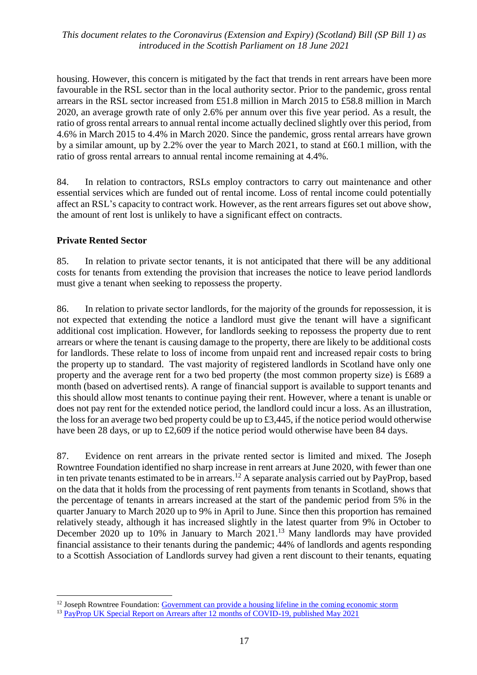housing. However, this concern is mitigated by the fact that trends in rent arrears have been more favourable in the RSL sector than in the local authority sector. Prior to the pandemic, gross rental arrears in the RSL sector increased from £51.8 million in March 2015 to £58.8 million in March 2020, an average growth rate of only 2.6% per annum over this five year period. As a result, the ratio of gross rental arrears to annual rental income actually declined slightly over this period, from 4.6% in March 2015 to 4.4% in March 2020. Since the pandemic, gross rental arrears have grown by a similar amount, up by 2.2% over the year to March 2021, to stand at £60.1 million, with the ratio of gross rental arrears to annual rental income remaining at 4.4%.

84. In relation to contractors, RSLs employ contractors to carry out maintenance and other essential services which are funded out of rental income. Loss of rental income could potentially affect an RSL's capacity to contract work. However, as the rent arrears figures set out above show, the amount of rent lost is unlikely to have a significant effect on contracts.

#### **Private Rented Sector**

 $\overline{a}$ 

85. In relation to private sector tenants, it is not anticipated that there will be any additional costs for tenants from extending the provision that increases the notice to leave period landlords must give a tenant when seeking to repossess the property.

86. In relation to private sector landlords, for the majority of the grounds for repossession, it is not expected that extending the notice a landlord must give the tenant will have a significant additional cost implication. However, for landlords seeking to repossess the property due to rent arrears or where the tenant is causing damage to the property, there are likely to be additional costs for landlords. These relate to loss of income from unpaid rent and increased repair costs to bring the property up to standard. The vast majority of registered landlords in Scotland have only one property and the average rent for a two bed property (the most common property size) is £689 a month (based on advertised rents). A range of financial support is available to support tenants and this should allow most tenants to continue paying their rent. However, where a tenant is unable or does not pay rent for the extended notice period, the landlord could incur a loss. As an illustration, the loss for an average two bed property could be up to £3,445, if the notice period would otherwise have been 28 days, or up to £2,609 if the notice period would otherwise have been 84 days.

87. Evidence on rent arrears in the private rented sector is limited and mixed. The Joseph Rowntree Foundation identified no sharp increase in rent arrears at June 2020, with fewer than one in ten private tenants estimated to be in arrears. <sup>12</sup> A separate analysis carried out by PayProp, based on the data that it holds from the processing of rent payments from tenants in Scotland, shows that the percentage of tenants in arrears increased at the start of the pandemic period from 5% in the quarter January to March 2020 up to 9% in April to June. Since then this proportion has remained relatively steady, although it has increased slightly in the latest quarter from 9% in October to December 2020 up to 10% in January to March 2021.<sup>13</sup> Many landlords may have provided financial assistance to their tenants during the pandemic; 44% of landlords and agents responding to a Scottish Association of Landlords survey had given a rent discount to their tenants, equating

<sup>&</sup>lt;sup>12</sup> Joseph Rowntree Foundation: [Government can provide a housing lifeline in the coming economic storm](https://www.jrf.org.uk/blog/government-can-provide-housing-lifeline-coming-economic-storm)

<sup>&</sup>lt;sup>13</sup> [PayProp UK Special Report on Arrears after 12 months of COVID-19, published May 2021](https://f.hubspotusercontent10.net/hubfs/8690612/PayProp_UK_Special_Report_May.pdf?__hstc=48595641.bdce9b47f222f14d5ebbeb7839c79888.1606291012151.1620987639994.1621414531183.49&__hssc=48595641.2.1621414531183&__hsfp=1181911503&utm_campaign=UK%20special%20arrears%20report%20-%20May%202021&utm_medium=email&_hsmi=128186729&_hsenc=p2ANqtz-89HdP4z7c3xc70hXgVSUBHKH0FR1NZN8IJ3Pd9jvTzlYzk9V0QgfkuVEbBLn-kWsxIvZ1fANQAoMj9bZQhNkJKv5o56QwXGZ4f76L5S6FnkSEaQYg&utm_content=128186729&utm_source=hs_email)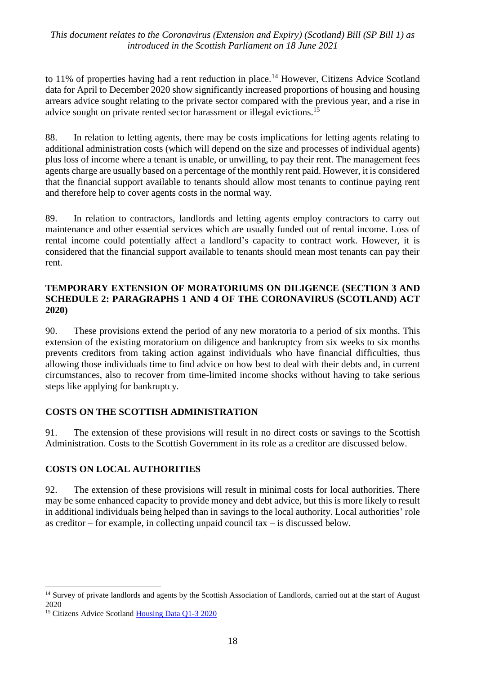to 11% of properties having had a rent reduction in place.<sup>14</sup> However, Citizens Advice Scotland data for April to December 2020 show significantly increased proportions of housing and housing arrears advice sought relating to the private sector compared with the previous year, and a rise in advice sought on private rented sector harassment or illegal evictions.<sup>15</sup>

88. In relation to letting agents, there may be costs implications for letting agents relating to additional administration costs (which will depend on the size and processes of individual agents) plus loss of income where a tenant is unable, or unwilling, to pay their rent. The management fees agents charge are usually based on a percentage of the monthly rent paid. However, it is considered that the financial support available to tenants should allow most tenants to continue paying rent and therefore help to cover agents costs in the normal way.

89. In relation to contractors, landlords and letting agents employ contractors to carry out maintenance and other essential services which are usually funded out of rental income. Loss of rental income could potentially affect a landlord's capacity to contract work. However, it is considered that the financial support available to tenants should mean most tenants can pay their rent.

#### **TEMPORARY EXTENSION OF MORATORIUMS ON DILIGENCE (SECTION 3 AND SCHEDULE 2: PARAGRAPHS 1 AND 4 OF THE CORONAVIRUS (SCOTLAND) ACT 2020)**

90. These provisions extend the period of any new moratoria to a period of six months. This extension of the existing moratorium on diligence and bankruptcy from six weeks to six months prevents creditors from taking action against individuals who have financial difficulties, thus allowing those individuals time to find advice on how best to deal with their debts and, in current circumstances, also to recover from time-limited income shocks without having to take serious steps like applying for bankruptcy.

## **COSTS ON THE SCOTTISH ADMINISTRATION**

91. The extension of these provisions will result in no direct costs or savings to the Scottish Administration. Costs to the Scottish Government in its role as a creditor are discussed below.

## **COSTS ON LOCAL AUTHORITIES**

92. The extension of these provisions will result in minimal costs for local authorities. There may be some enhanced capacity to provide money and debt advice, but this is more likely to result in additional individuals being helped than in savings to the local authority. Local authorities' role as creditor – for example, in collecting unpaid council tax – is discussed below.

<u>.</u>

<sup>&</sup>lt;sup>14</sup> Survey of private landlords and agents by the Scottish Association of Landlords, carried out at the start of August 2020

<sup>&</sup>lt;sup>15</sup> Citizens Advice Scotland [Housing Data Q1-3 2020](https://www.cas.org.uk/publications/cas-housing-data-q1-3-2020)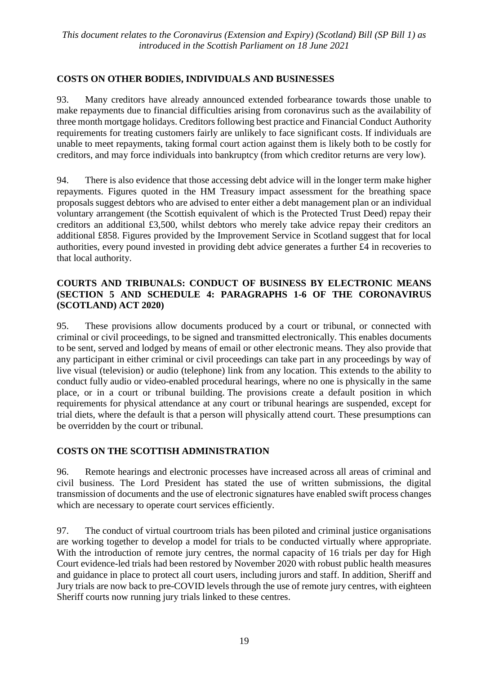## **COSTS ON OTHER BODIES, INDIVIDUALS AND BUSINESSES**

93. Many creditors have already announced extended forbearance towards those unable to make repayments due to financial difficulties arising from coronavirus such as the availability of three month mortgage holidays. Creditors following best practice and Financial Conduct Authority requirements for treating customers fairly are unlikely to face significant costs. If individuals are unable to meet repayments, taking formal court action against them is likely both to be costly for creditors, and may force individuals into bankruptcy (from which creditor returns are very low).

94. There is also evidence that those accessing debt advice will in the longer term make higher repayments. Figures quoted in the HM Treasury impact assessment for the breathing space proposals suggest debtors who are advised to enter either a debt management plan or an individual voluntary arrangement (the Scottish equivalent of which is the Protected Trust Deed) repay their creditors an additional £3,500, whilst debtors who merely take advice repay their creditors an additional £858. Figures provided by the Improvement Service in Scotland suggest that for local authorities, every pound invested in providing debt advice generates a further £4 in recoveries to that local authority.

#### **COURTS AND TRIBUNALS: CONDUCT OF BUSINESS BY ELECTRONIC MEANS (SECTION 5 AND SCHEDULE 4: PARAGRAPHS 1-6 OF THE CORONAVIRUS (SCOTLAND) ACT 2020)**

95. These provisions allow documents produced by a court or tribunal, or connected with criminal or civil proceedings, to be signed and transmitted electronically. This enables documents to be sent, served and lodged by means of email or other electronic means. They also provide that any participant in either criminal or civil proceedings can take part in any proceedings by way of live visual (television) or audio (telephone) link from any location. This extends to the ability to conduct fully audio or video-enabled procedural hearings, where no one is physically in the same place, or in a court or tribunal building. The provisions create a default position in which requirements for physical attendance at any court or tribunal hearings are suspended, except for trial diets, where the default is that a person will physically attend court. These presumptions can be overridden by the court or tribunal.

## **COSTS ON THE SCOTTISH ADMINISTRATION**

96. Remote hearings and electronic processes have increased across all areas of criminal and civil business. The Lord President has stated the use of written submissions, the digital transmission of documents and the use of electronic signatures have enabled swift process changes which are necessary to operate court services efficiently.

97. The conduct of virtual courtroom trials has been piloted and criminal justice organisations are working together to develop a model for trials to be conducted virtually where appropriate. With the introduction of remote jury centres, the normal capacity of 16 trials per day for High Court evidence-led trials had been restored by November 2020 with robust public health measures and guidance in place to protect all court users, including jurors and staff. In addition, Sheriff and Jury trials are now back to pre-COVID levels through the use of remote jury centres, with eighteen Sheriff courts now running jury trials linked to these centres.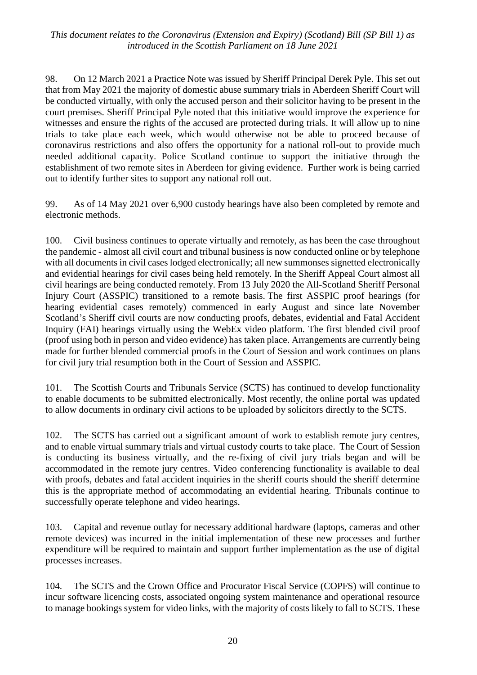98. On 12 March 2021 a Practice Note was issued by Sheriff Principal Derek Pyle. This set out that from May 2021 the majority of domestic abuse summary trials in Aberdeen Sheriff Court will be conducted virtually, with only the accused person and their solicitor having to be present in the court premises. Sheriff Principal Pyle noted that this initiative would improve the experience for witnesses and ensure the rights of the accused are protected during trials. It will allow up to nine trials to take place each week, which would otherwise not be able to proceed because of coronavirus restrictions and also offers the opportunity for a national roll-out to provide much needed additional capacity. Police Scotland continue to support the initiative through the establishment of two remote sites in Aberdeen for giving evidence. Further work is being carried out to identify further sites to support any national roll out.

99. As of 14 May 2021 over 6,900 custody hearings have also been completed by remote and electronic methods.

100. Civil business continues to operate virtually and remotely, as has been the case throughout the pandemic - almost all civil court and tribunal business is now conducted online or by telephone with all documents in civil cases lodged electronically; all new summonses signetted electronically and evidential hearings for civil cases being held remotely. In the Sheriff Appeal Court almost all civil hearings are being conducted remotely. From 13 July 2020 the All-Scotland Sheriff Personal Injury Court (ASSPIC) transitioned to a remote basis. The first ASSPIC proof hearings (for hearing evidential cases remotely) commenced in early August and since late November Scotland's Sheriff civil courts are now conducting proofs, debates, evidential and Fatal Accident Inquiry (FAI) hearings virtually using the WebEx video platform. The first blended civil proof (proof using both in person and video evidence) has taken place. Arrangements are currently being made for further blended commercial proofs in the Court of Session and work continues on plans for civil jury trial resumption both in the Court of Session and ASSPIC.

101. The Scottish Courts and Tribunals Service (SCTS) has continued to develop functionality to enable documents to be submitted electronically. Most recently, the online portal was updated to allow documents in ordinary civil actions to be uploaded by solicitors directly to the SCTS.

102. The SCTS has carried out a significant amount of work to establish remote jury centres, and to enable virtual summary trials and virtual custody courts to take place. The Court of Session is conducting its business virtually, and the re-fixing of civil jury trials began and will be accommodated in the remote jury centres. Video conferencing functionality is available to deal with proofs, debates and fatal accident inquiries in the sheriff courts should the sheriff determine this is the appropriate method of accommodating an evidential hearing. Tribunals continue to successfully operate telephone and video hearings.

103. Capital and revenue outlay for necessary additional hardware (laptops, cameras and other remote devices) was incurred in the initial implementation of these new processes and further expenditure will be required to maintain and support further implementation as the use of digital processes increases.

104. The SCTS and the Crown Office and Procurator Fiscal Service (COPFS) will continue to incur software licencing costs, associated ongoing system maintenance and operational resource to manage bookings system for video links, with the majority of costs likely to fall to SCTS. These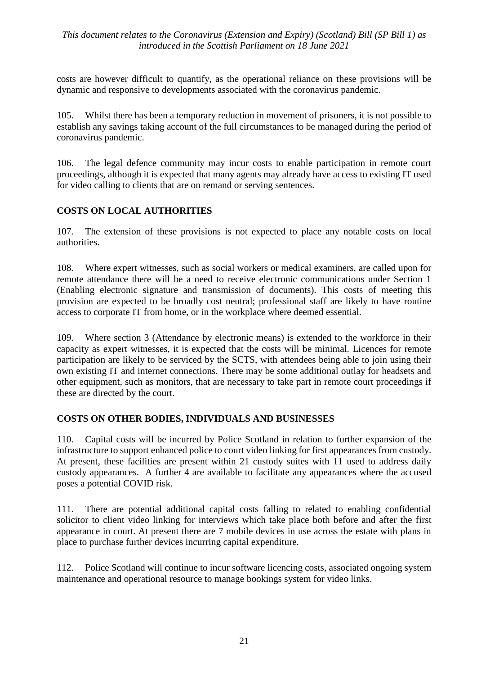costs are however difficult to quantify, as the operational reliance on these provisions will be dynamic and responsive to developments associated with the coronavirus pandemic.

105. Whilst there has been a temporary reduction in movement of prisoners, it is not possible to establish any savings taking account of the full circumstances to be managed during the period of coronavirus pandemic.

106. The legal defence community may incur costs to enable participation in remote court proceedings, although it is expected that many agents may already have access to existing IT used for video calling to clients that are on remand or serving sentences.

## **COSTS ON LOCAL AUTHORITIES**

107. The extension of these provisions is not expected to place any notable costs on local authorities.

108. Where expert witnesses, such as social workers or medical examiners, are called upon for remote attendance there will be a need to receive electronic communications under Section 1 (Enabling electronic signature and transmission of documents). This costs of meeting this provision are expected to be broadly cost neutral; professional staff are likely to have routine access to corporate IT from home, or in the workplace where deemed essential.

109. Where section 3 (Attendance by electronic means) is extended to the workforce in their capacity as expert witnesses, it is expected that the costs will be minimal. Licences for remote participation are likely to be serviced by the SCTS, with attendees being able to join using their own existing IT and internet connections. There may be some additional outlay for headsets and other equipment, such as monitors, that are necessary to take part in remote court proceedings if these are directed by the court.

## **COSTS ON OTHER BODIES, INDIVIDUALS AND BUSINESSES**

110. Capital costs will be incurred by Police Scotland in relation to further expansion of the infrastructure to support enhanced police to court video linking for first appearances from custody. At present, these facilities are present within 21 custody suites with 11 used to address daily custody appearances. A further 4 are available to facilitate any appearances where the accused poses a potential COVID risk.

111. There are potential additional capital costs falling to related to enabling confidential solicitor to client video linking for interviews which take place both before and after the first appearance in court. At present there are 7 mobile devices in use across the estate with plans in place to purchase further devices incurring capital expenditure.

112. Police Scotland will continue to incur software licencing costs, associated ongoing system maintenance and operational resource to manage bookings system for video links.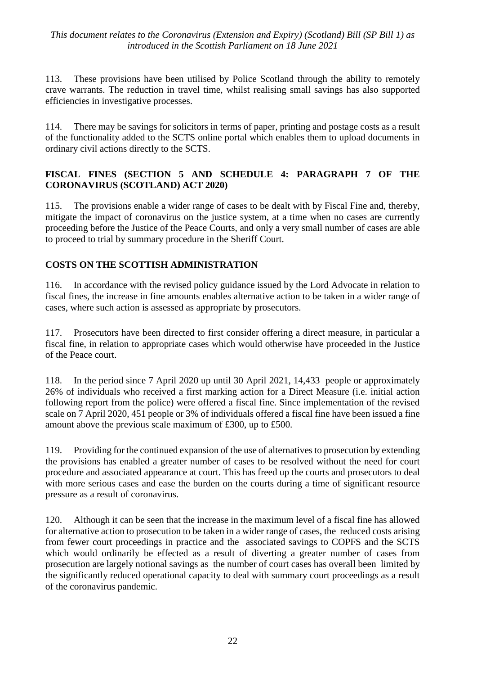113. These provisions have been utilised by Police Scotland through the ability to remotely crave warrants. The reduction in travel time, whilst realising small savings has also supported efficiencies in investigative processes.

114. There may be savings for solicitors in terms of paper, printing and postage costs as a result of the functionality added to the SCTS online portal which enables them to upload documents in ordinary civil actions directly to the SCTS.

#### **FISCAL FINES (SECTION 5 AND SCHEDULE 4: PARAGRAPH 7 OF THE CORONAVIRUS (SCOTLAND) ACT 2020)**

115. The provisions enable a wider range of cases to be dealt with by Fiscal Fine and, thereby, mitigate the impact of coronavirus on the justice system, at a time when no cases are currently proceeding before the Justice of the Peace Courts, and only a very small number of cases are able to proceed to trial by summary procedure in the Sheriff Court.

## **COSTS ON THE SCOTTISH ADMINISTRATION**

116. In accordance with the revised policy guidance issued by the Lord Advocate in relation to fiscal fines, the increase in fine amounts enables alternative action to be taken in a wider range of cases, where such action is assessed as appropriate by prosecutors.

117. Prosecutors have been directed to first consider offering a direct measure, in particular a fiscal fine, in relation to appropriate cases which would otherwise have proceeded in the Justice of the Peace court.

118. In the period since 7 April 2020 up until 30 April 2021, 14,433 people or approximately 26% of individuals who received a first marking action for a Direct Measure (i.e. initial action following report from the police) were offered a fiscal fine. Since implementation of the revised scale on 7 April 2020, 451 people or 3% of individuals offered a fiscal fine have been issued a fine amount above the previous scale maximum of £300, up to £500.

119. Providing for the continued expansion of the use of alternatives to prosecution by extending the provisions has enabled a greater number of cases to be resolved without the need for court procedure and associated appearance at court. This has freed up the courts and prosecutors to deal with more serious cases and ease the burden on the courts during a time of significant resource pressure as a result of coronavirus.

120. Although it can be seen that the increase in the maximum level of a fiscal fine has allowed for alternative action to prosecution to be taken in a wider range of cases, the reduced costs arising from fewer court proceedings in practice and the associated savings to COPFS and the SCTS which would ordinarily be effected as a result of diverting a greater number of cases from prosecution are largely notional savings as the number of court cases has overall been limited by the significantly reduced operational capacity to deal with summary court proceedings as a result of the coronavirus pandemic.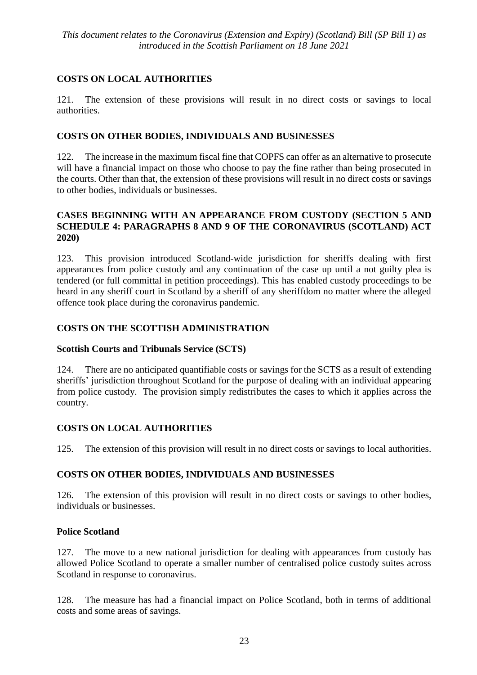## **COSTS ON LOCAL AUTHORITIES**

121. The extension of these provisions will result in no direct costs or savings to local authorities.

## **COSTS ON OTHER BODIES, INDIVIDUALS AND BUSINESSES**

122. The increase in the maximum fiscal fine that COPFS can offer as an alternative to prosecute will have a financial impact on those who choose to pay the fine rather than being prosecuted in the courts. Other than that, the extension of these provisions will result in no direct costs or savings to other bodies, individuals or businesses.

#### **CASES BEGINNING WITH AN APPEARANCE FROM CUSTODY (SECTION 5 AND SCHEDULE 4: PARAGRAPHS 8 AND 9 OF THE CORONAVIRUS (SCOTLAND) ACT 2020)**

123. This provision introduced Scotland-wide jurisdiction for sheriffs dealing with first appearances from police custody and any continuation of the case up until a not guilty plea is tendered (or full committal in petition proceedings). This has enabled custody proceedings to be heard in any sheriff court in Scotland by a sheriff of any sheriffdom no matter where the alleged offence took place during the coronavirus pandemic.

## **COSTS ON THE SCOTTISH ADMINISTRATION**

#### **Scottish Courts and Tribunals Service (SCTS)**

124. There are no anticipated quantifiable costs or savings for the SCTS as a result of extending sheriffs' jurisdiction throughout Scotland for the purpose of dealing with an individual appearing from police custody. The provision simply redistributes the cases to which it applies across the country.

## **COSTS ON LOCAL AUTHORITIES**

125. The extension of this provision will result in no direct costs or savings to local authorities.

## **COSTS ON OTHER BODIES, INDIVIDUALS AND BUSINESSES**

126. The extension of this provision will result in no direct costs or savings to other bodies, individuals or businesses.

## **Police Scotland**

127. The move to a new national jurisdiction for dealing with appearances from custody has allowed Police Scotland to operate a smaller number of centralised police custody suites across Scotland in response to coronavirus.

128. The measure has had a financial impact on Police Scotland, both in terms of additional costs and some areas of savings.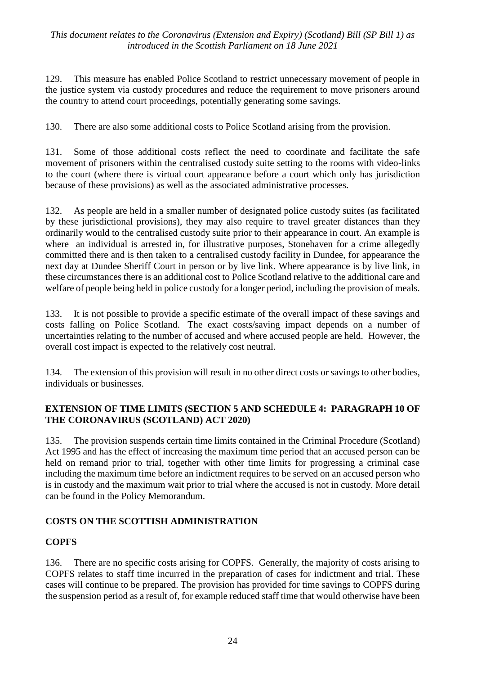129. This measure has enabled Police Scotland to restrict unnecessary movement of people in the justice system via custody procedures and reduce the requirement to move prisoners around the country to attend court proceedings, potentially generating some savings.

130. There are also some additional costs to Police Scotland arising from the provision.

131. Some of those additional costs reflect the need to coordinate and facilitate the safe movement of prisoners within the centralised custody suite setting to the rooms with video-links to the court (where there is virtual court appearance before a court which only has jurisdiction because of these provisions) as well as the associated administrative processes.

132. As people are held in a smaller number of designated police custody suites (as facilitated by these jurisdictional provisions), they may also require to travel greater distances than they ordinarily would to the centralised custody suite prior to their appearance in court. An example is where an individual is arrested in, for illustrative purposes, Stonehaven for a crime allegedly committed there and is then taken to a centralised custody facility in Dundee, for appearance the next day at Dundee Sheriff Court in person or by live link. Where appearance is by live link, in these circumstances there is an additional cost to Police Scotland relative to the additional care and welfare of people being held in police custody for a longer period, including the provision of meals.

133. It is not possible to provide a specific estimate of the overall impact of these savings and costs falling on Police Scotland. The exact costs/saving impact depends on a number of uncertainties relating to the number of accused and where accused people are held. However, the overall cost impact is expected to the relatively cost neutral.

134. The extension of this provision will result in no other direct costs or savings to other bodies, individuals or businesses.

#### **EXTENSION OF TIME LIMITS (SECTION 5 AND SCHEDULE 4: PARAGRAPH 10 OF THE CORONAVIRUS (SCOTLAND) ACT 2020)**

135. The provision suspends certain time limits contained in the Criminal Procedure (Scotland) Act 1995 and has the effect of increasing the maximum time period that an accused person can be held on remand prior to trial, together with other time limits for progressing a criminal case including the maximum time before an indictment requires to be served on an accused person who is in custody and the maximum wait prior to trial where the accused is not in custody. More detail can be found in the Policy Memorandum.

## **COSTS ON THE SCOTTISH ADMINISTRATION**

#### **COPFS**

136. There are no specific costs arising for COPFS. Generally, the majority of costs arising to COPFS relates to staff time incurred in the preparation of cases for indictment and trial. These cases will continue to be prepared. The provision has provided for time savings to COPFS during the suspension period as a result of, for example reduced staff time that would otherwise have been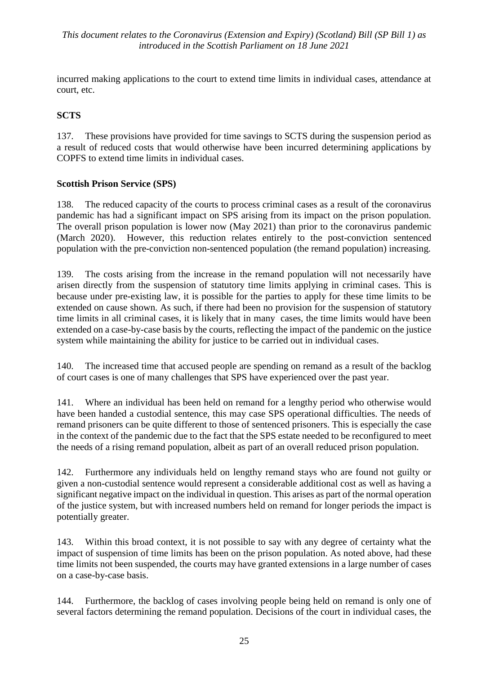incurred making applications to the court to extend time limits in individual cases, attendance at court, etc.

## **SCTS**

137. These provisions have provided for time savings to SCTS during the suspension period as a result of reduced costs that would otherwise have been incurred determining applications by COPFS to extend time limits in individual cases.

## **Scottish Prison Service (SPS)**

138. The reduced capacity of the courts to process criminal cases as a result of the coronavirus pandemic has had a significant impact on SPS arising from its impact on the prison population. The overall prison population is lower now (May 2021) than prior to the coronavirus pandemic (March 2020). However, this reduction relates entirely to the post-conviction sentenced population with the pre-conviction non-sentenced population (the remand population) increasing.

139. The costs arising from the increase in the remand population will not necessarily have arisen directly from the suspension of statutory time limits applying in criminal cases. This is because under pre-existing law, it is possible for the parties to apply for these time limits to be extended on cause shown. As such, if there had been no provision for the suspension of statutory time limits in all criminal cases, it is likely that in many cases, the time limits would have been extended on a case-by-case basis by the courts, reflecting the impact of the pandemic on the justice system while maintaining the ability for justice to be carried out in individual cases.

140. The increased time that accused people are spending on remand as a result of the backlog of court cases is one of many challenges that SPS have experienced over the past year.

141. Where an individual has been held on remand for a lengthy period who otherwise would have been handed a custodial sentence, this may case SPS operational difficulties. The needs of remand prisoners can be quite different to those of sentenced prisoners. This is especially the case in the context of the pandemic due to the fact that the SPS estate needed to be reconfigured to meet the needs of a rising remand population, albeit as part of an overall reduced prison population.

142. Furthermore any individuals held on lengthy remand stays who are found not guilty or given a non-custodial sentence would represent a considerable additional cost as well as having a significant negative impact on the individual in question. This arises as part of the normal operation of the justice system, but with increased numbers held on remand for longer periods the impact is potentially greater.

143. Within this broad context, it is not possible to say with any degree of certainty what the impact of suspension of time limits has been on the prison population. As noted above, had these time limits not been suspended, the courts may have granted extensions in a large number of cases on a case-by-case basis.

144. Furthermore, the backlog of cases involving people being held on remand is only one of several factors determining the remand population. Decisions of the court in individual cases, the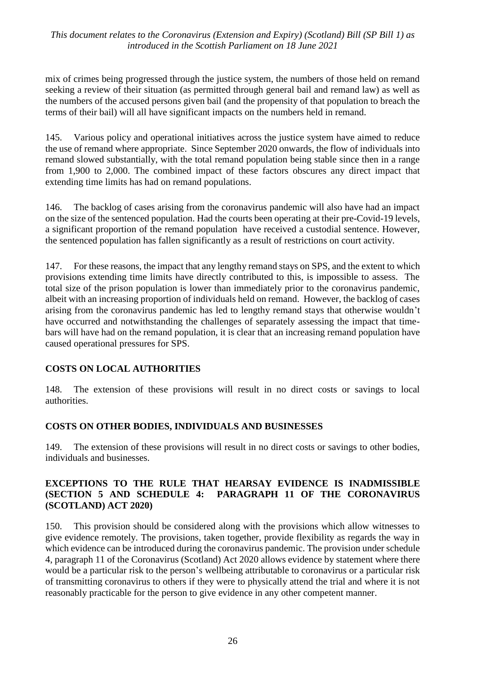mix of crimes being progressed through the justice system, the numbers of those held on remand seeking a review of their situation (as permitted through general bail and remand law) as well as the numbers of the accused persons given bail (and the propensity of that population to breach the terms of their bail) will all have significant impacts on the numbers held in remand.

145. Various policy and operational initiatives across the justice system have aimed to reduce the use of remand where appropriate. Since September 2020 onwards, the flow of individuals into remand slowed substantially, with the total remand population being stable since then in a range from 1,900 to 2,000. The combined impact of these factors obscures any direct impact that extending time limits has had on remand populations.

146. The backlog of cases arising from the coronavirus pandemic will also have had an impact on the size of the sentenced population. Had the courts been operating at their pre-Covid-19 levels, a significant proportion of the remand population have received a custodial sentence. However, the sentenced population has fallen significantly as a result of restrictions on court activity.

147. For these reasons, the impact that any lengthy remand stays on SPS, and the extent to which provisions extending time limits have directly contributed to this, is impossible to assess. The total size of the prison population is lower than immediately prior to the coronavirus pandemic, albeit with an increasing proportion of individuals held on remand. However, the backlog of cases arising from the coronavirus pandemic has led to lengthy remand stays that otherwise wouldn't have occurred and notwithstanding the challenges of separately assessing the impact that timebars will have had on the remand population, it is clear that an increasing remand population have caused operational pressures for SPS.

#### **COSTS ON LOCAL AUTHORITIES**

148. The extension of these provisions will result in no direct costs or savings to local authorities.

#### **COSTS ON OTHER BODIES, INDIVIDUALS AND BUSINESSES**

149. The extension of these provisions will result in no direct costs or savings to other bodies, individuals and businesses.

#### **EXCEPTIONS TO THE RULE THAT HEARSAY EVIDENCE IS INADMISSIBLE (SECTION 5 AND SCHEDULE 4: PARAGRAPH 11 OF THE CORONAVIRUS (SCOTLAND) ACT 2020)**

150. This provision should be considered along with the provisions which allow witnesses to give evidence remotely. The provisions, taken together, provide flexibility as regards the way in which evidence can be introduced during the coronavirus pandemic. The provision under schedule 4, paragraph 11 of the Coronavirus (Scotland) Act 2020 allows evidence by statement where there would be a particular risk to the person's wellbeing attributable to coronavirus or a particular risk of transmitting coronavirus to others if they were to physically attend the trial and where it is not reasonably practicable for the person to give evidence in any other competent manner.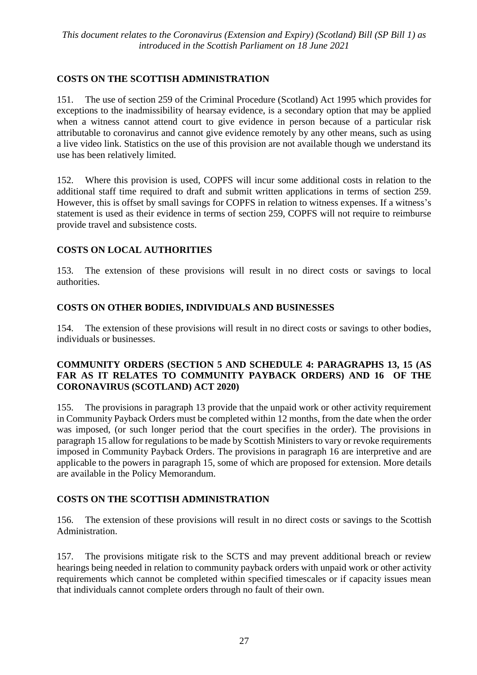## **COSTS ON THE SCOTTISH ADMINISTRATION**

151. The use of section 259 of the Criminal Procedure (Scotland) Act 1995 which provides for exceptions to the inadmissibility of hearsay evidence, is a secondary option that may be applied when a witness cannot attend court to give evidence in person because of a particular risk attributable to coronavirus and cannot give evidence remotely by any other means, such as using a live video link. Statistics on the use of this provision are not available though we understand its use has been relatively limited.

152. Where this provision is used, COPFS will incur some additional costs in relation to the additional staff time required to draft and submit written applications in terms of section 259. However, this is offset by small savings for COPFS in relation to witness expenses. If a witness's statement is used as their evidence in terms of section 259, COPFS will not require to reimburse provide travel and subsistence costs.

## **COSTS ON LOCAL AUTHORITIES**

153. The extension of these provisions will result in no direct costs or savings to local authorities.

## **COSTS ON OTHER BODIES, INDIVIDUALS AND BUSINESSES**

154. The extension of these provisions will result in no direct costs or savings to other bodies, individuals or businesses.

#### **COMMUNITY ORDERS (SECTION 5 AND SCHEDULE 4: PARAGRAPHS 13, 15 (AS FAR AS IT RELATES TO COMMUNITY PAYBACK ORDERS) AND 16 OF THE CORONAVIRUS (SCOTLAND) ACT 2020)**

155. The provisions in paragraph 13 provide that the unpaid work or other activity requirement in Community Payback Orders must be completed within 12 months, from the date when the order was imposed, (or such longer period that the court specifies in the order). The provisions in paragraph 15 allow for regulations to be made by Scottish Ministers to vary or revoke requirements imposed in Community Payback Orders. The provisions in paragraph 16 are interpretive and are applicable to the powers in paragraph 15, some of which are proposed for extension. More details are available in the Policy Memorandum.

## **COSTS ON THE SCOTTISH ADMINISTRATION**

156. The extension of these provisions will result in no direct costs or savings to the Scottish Administration.

157. The provisions mitigate risk to the SCTS and may prevent additional breach or review hearings being needed in relation to community payback orders with unpaid work or other activity requirements which cannot be completed within specified timescales or if capacity issues mean that individuals cannot complete orders through no fault of their own.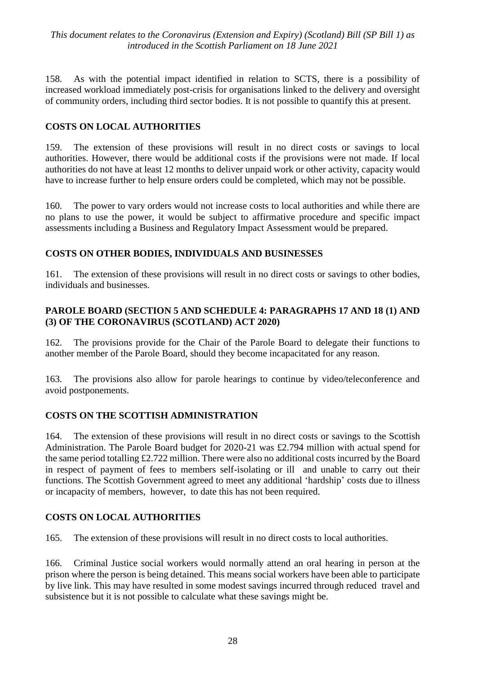158. As with the potential impact identified in relation to SCTS, there is a possibility of increased workload immediately post-crisis for organisations linked to the delivery and oversight of community orders, including third sector bodies. It is not possible to quantify this at present.

## **COSTS ON LOCAL AUTHORITIES**

159. The extension of these provisions will result in no direct costs or savings to local authorities. However, there would be additional costs if the provisions were not made. If local authorities do not have at least 12 months to deliver unpaid work or other activity, capacity would have to increase further to help ensure orders could be completed, which may not be possible.

160. The power to vary orders would not increase costs to local authorities and while there are no plans to use the power, it would be subject to affirmative procedure and specific impact assessments including a Business and Regulatory Impact Assessment would be prepared.

#### **COSTS ON OTHER BODIES, INDIVIDUALS AND BUSINESSES**

161. The extension of these provisions will result in no direct costs or savings to other bodies, individuals and businesses.

#### **PAROLE BOARD (SECTION 5 AND SCHEDULE 4: PARAGRAPHS 17 AND 18 (1) AND (3) OF THE CORONAVIRUS (SCOTLAND) ACT 2020)**

162. The provisions provide for the Chair of the Parole Board to delegate their functions to another member of the Parole Board, should they become incapacitated for any reason.

163. The provisions also allow for parole hearings to continue by video/teleconference and avoid postponements.

#### **COSTS ON THE SCOTTISH ADMINISTRATION**

164. The extension of these provisions will result in no direct costs or savings to the Scottish Administration. The Parole Board budget for 2020-21 was £2.794 million with actual spend for the same period totalling £2.722 million. There were also no additional costs incurred by the Board in respect of payment of fees to members self-isolating or ill and unable to carry out their functions. The Scottish Government agreed to meet any additional 'hardship' costs due to illness or incapacity of members, however, to date this has not been required.

#### **COSTS ON LOCAL AUTHORITIES**

165. The extension of these provisions will result in no direct costs to local authorities.

166. Criminal Justice social workers would normally attend an oral hearing in person at the prison where the person is being detained. This means social workers have been able to participate by live link. This may have resulted in some modest savings incurred through reduced travel and subsistence but it is not possible to calculate what these savings might be.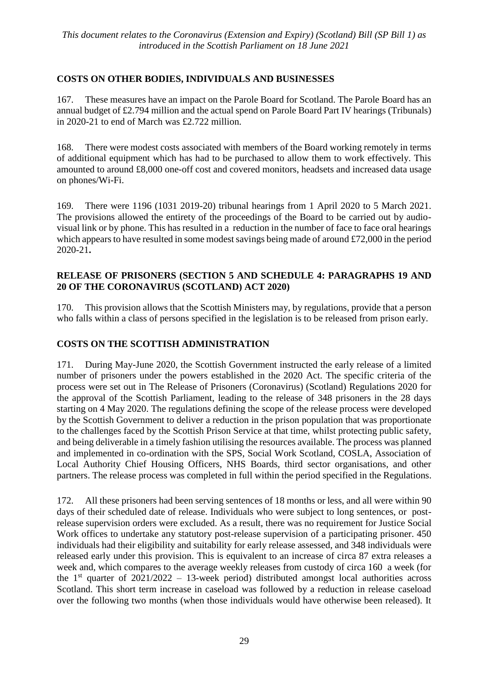## **COSTS ON OTHER BODIES, INDIVIDUALS AND BUSINESSES**

167. These measures have an impact on the Parole Board for Scotland. The Parole Board has an annual budget of £2.794 million and the actual spend on Parole Board Part IV hearings (Tribunals) in 2020-21 to end of March was £2.722 million.

168. There were modest costs associated with members of the Board working remotely in terms of additional equipment which has had to be purchased to allow them to work effectively. This amounted to around £8,000 one-off cost and covered monitors, headsets and increased data usage on phones/Wi-Fi.

169. There were 1196 (1031 2019-20) tribunal hearings from 1 April 2020 to 5 March 2021. The provisions allowed the entirety of the proceedings of the Board to be carried out by audiovisual link or by phone. This has resulted in a reduction in the number of face to face oral hearings which appears to have resulted in some modest savings being made of around £72,000 in the period 2020-21**.**

#### **RELEASE OF PRISONERS (SECTION 5 AND SCHEDULE 4: PARAGRAPHS 19 AND 20 OF THE CORONAVIRUS (SCOTLAND) ACT 2020)**

170. This provision allows that the Scottish Ministers may, by regulations, provide that a person who falls within a class of persons specified in the legislation is to be released from prison early.

## **COSTS ON THE SCOTTISH ADMINISTRATION**

171. During May-June 2020, the Scottish Government instructed the early release of a limited number of prisoners under the powers established in the 2020 Act. The specific criteria of the process were set out in The Release of Prisoners (Coronavirus) (Scotland) Regulations 2020 for the approval of the Scottish Parliament, leading to the release of 348 prisoners in the 28 days starting on 4 May 2020. The regulations defining the scope of the release process were developed by the Scottish Government to deliver a reduction in the prison population that was proportionate to the challenges faced by the Scottish Prison Service at that time, whilst protecting public safety, and being deliverable in a timely fashion utilising the resources available. The process was planned and implemented in co-ordination with the SPS, Social Work Scotland, COSLA, Association of Local Authority Chief Housing Officers, NHS Boards, third sector organisations, and other partners. The release process was completed in full within the period specified in the Regulations.

172. All these prisoners had been serving sentences of 18 months or less, and all were within 90 days of their scheduled date of release. Individuals who were subject to long sentences, or postrelease supervision orders were excluded. As a result, there was no requirement for Justice Social Work offices to undertake any statutory post-release supervision of a participating prisoner. 450 individuals had their eligibility and suitability for early release assessed, and 348 individuals were released early under this provision. This is equivalent to an increase of circa 87 extra releases a week and, which compares to the average weekly releases from custody of circa 160 a week (for the  $1<sup>st</sup>$  quarter of 2021/2022 – 13-week period) distributed amongst local authorities across Scotland. This short term increase in caseload was followed by a reduction in release caseload over the following two months (when those individuals would have otherwise been released). It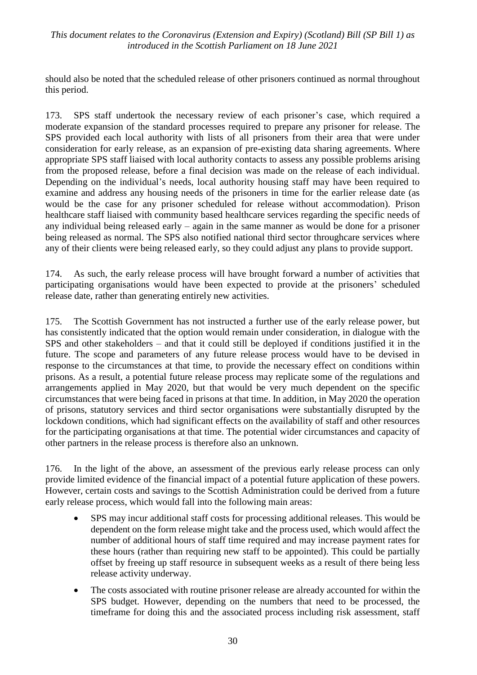should also be noted that the scheduled release of other prisoners continued as normal throughout this period.

173. SPS staff undertook the necessary review of each prisoner's case, which required a moderate expansion of the standard processes required to prepare any prisoner for release. The SPS provided each local authority with lists of all prisoners from their area that were under consideration for early release, as an expansion of pre-existing data sharing agreements. Where appropriate SPS staff liaised with local authority contacts to assess any possible problems arising from the proposed release, before a final decision was made on the release of each individual. Depending on the individual's needs, local authority housing staff may have been required to examine and address any housing needs of the prisoners in time for the earlier release date (as would be the case for any prisoner scheduled for release without accommodation). Prison healthcare staff liaised with community based healthcare services regarding the specific needs of any individual being released early – again in the same manner as would be done for a prisoner being released as normal. The SPS also notified national third sector throughcare services where any of their clients were being released early, so they could adjust any plans to provide support.

174. As such, the early release process will have brought forward a number of activities that participating organisations would have been expected to provide at the prisoners' scheduled release date, rather than generating entirely new activities.

175. The Scottish Government has not instructed a further use of the early release power, but has consistently indicated that the option would remain under consideration, in dialogue with the SPS and other stakeholders – and that it could still be deployed if conditions justified it in the future. The scope and parameters of any future release process would have to be devised in response to the circumstances at that time, to provide the necessary effect on conditions within prisons. As a result, a potential future release process may replicate some of the regulations and arrangements applied in May 2020, but that would be very much dependent on the specific circumstances that were being faced in prisons at that time. In addition, in May 2020 the operation of prisons, statutory services and third sector organisations were substantially disrupted by the lockdown conditions, which had significant effects on the availability of staff and other resources for the participating organisations at that time. The potential wider circumstances and capacity of other partners in the release process is therefore also an unknown.

176. In the light of the above, an assessment of the previous early release process can only provide limited evidence of the financial impact of a potential future application of these powers. However, certain costs and savings to the Scottish Administration could be derived from a future early release process, which would fall into the following main areas:

- SPS may incur additional staff costs for processing additional releases. This would be dependent on the form release might take and the process used, which would affect the number of additional hours of staff time required and may increase payment rates for these hours (rather than requiring new staff to be appointed). This could be partially offset by freeing up staff resource in subsequent weeks as a result of there being less release activity underway.
- The costs associated with routine prisoner release are already accounted for within the SPS budget. However, depending on the numbers that need to be processed, the timeframe for doing this and the associated process including risk assessment, staff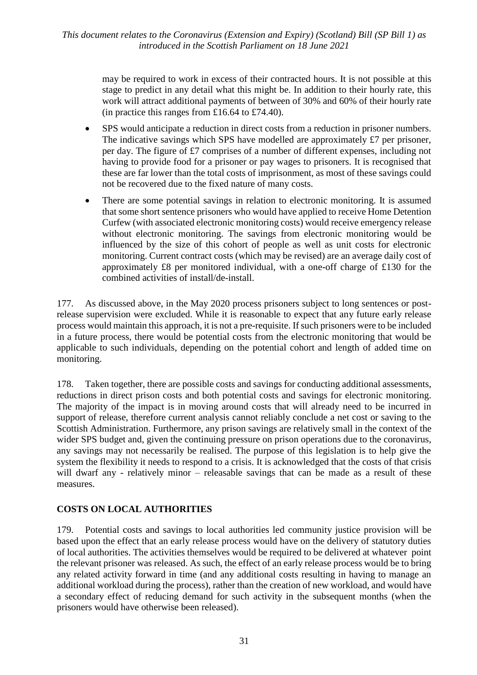may be required to work in excess of their contracted hours. It is not possible at this stage to predict in any detail what this might be. In addition to their hourly rate, this work will attract additional payments of between of 30% and 60% of their hourly rate (in practice this ranges from £16.64 to £74.40).

- SPS would anticipate a reduction in direct costs from a reduction in prisoner numbers. The indicative savings which SPS have modelled are approximately £7 per prisoner, per day. The figure of £7 comprises of a number of different expenses, including not having to provide food for a prisoner or pay wages to prisoners. It is recognised that these are far lower than the total costs of imprisonment, as most of these savings could not be recovered due to the fixed nature of many costs.
- There are some potential savings in relation to electronic monitoring. It is assumed that some short sentence prisoners who would have applied to receive Home Detention Curfew (with associated electronic monitoring costs) would receive emergency release without electronic monitoring. The savings from electronic monitoring would be influenced by the size of this cohort of people as well as unit costs for electronic monitoring. Current contract costs (which may be revised) are an average daily cost of approximately £8 per monitored individual, with a one-off charge of £130 for the combined activities of install/de-install.

177. As discussed above, in the May 2020 process prisoners subject to long sentences or postrelease supervision were excluded. While it is reasonable to expect that any future early release process would maintain this approach, it is not a pre-requisite. If such prisoners were to be included in a future process, there would be potential costs from the electronic monitoring that would be applicable to such individuals, depending on the potential cohort and length of added time on monitoring.

178. Taken together, there are possible costs and savings for conducting additional assessments, reductions in direct prison costs and both potential costs and savings for electronic monitoring. The majority of the impact is in moving around costs that will already need to be incurred in support of release, therefore current analysis cannot reliably conclude a net cost or saving to the Scottish Administration. Furthermore, any prison savings are relatively small in the context of the wider SPS budget and, given the continuing pressure on prison operations due to the coronavirus, any savings may not necessarily be realised. The purpose of this legislation is to help give the system the flexibility it needs to respond to a crisis. It is acknowledged that the costs of that crisis will dwarf any - relatively minor – releasable savings that can be made as a result of these measures.

#### **COSTS ON LOCAL AUTHORITIES**

179. Potential costs and savings to local authorities led community justice provision will be based upon the effect that an early release process would have on the delivery of statutory duties of local authorities. The activities themselves would be required to be delivered at whatever point the relevant prisoner was released. As such, the effect of an early release process would be to bring any related activity forward in time (and any additional costs resulting in having to manage an additional workload during the process), rather than the creation of new workload, and would have a secondary effect of reducing demand for such activity in the subsequent months (when the prisoners would have otherwise been released).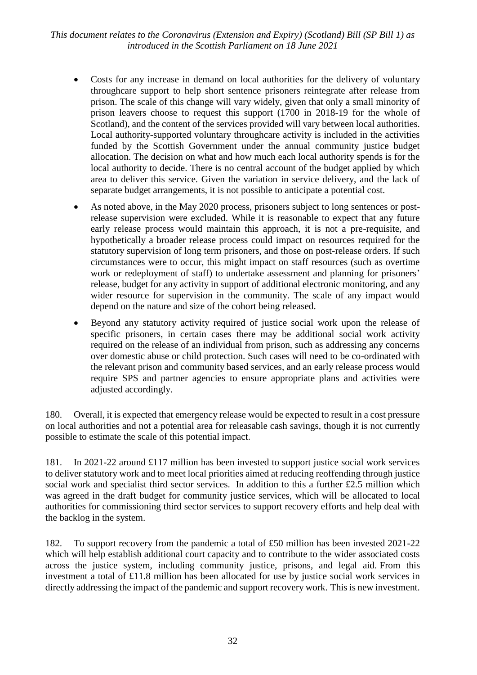- Costs for any increase in demand on local authorities for the delivery of voluntary throughcare support to help short sentence prisoners reintegrate after release from prison. The scale of this change will vary widely, given that only a small minority of prison leavers choose to request this support (1700 in 2018-19 for the whole of Scotland), and the content of the services provided will vary between local authorities. Local authority-supported voluntary throughcare activity is included in the activities funded by the Scottish Government under the annual community justice budget allocation. The decision on what and how much each local authority spends is for the local authority to decide. There is no central account of the budget applied by which area to deliver this service. Given the variation in service delivery, and the lack of separate budget arrangements, it is not possible to anticipate a potential cost.
- As noted above, in the May 2020 process, prisoners subject to long sentences or postrelease supervision were excluded. While it is reasonable to expect that any future early release process would maintain this approach, it is not a pre-requisite, and hypothetically a broader release process could impact on resources required for the statutory supervision of long term prisoners, and those on post-release orders. If such circumstances were to occur, this might impact on staff resources (such as overtime work or redeployment of staff) to undertake assessment and planning for prisoners' release, budget for any activity in support of additional electronic monitoring, and any wider resource for supervision in the community. The scale of any impact would depend on the nature and size of the cohort being released.
- Beyond any statutory activity required of justice social work upon the release of specific prisoners, in certain cases there may be additional social work activity required on the release of an individual from prison, such as addressing any concerns over domestic abuse or child protection. Such cases will need to be co-ordinated with the relevant prison and community based services, and an early release process would require SPS and partner agencies to ensure appropriate plans and activities were adjusted accordingly.

180. Overall, it is expected that emergency release would be expected to result in a cost pressure on local authorities and not a potential area for releasable cash savings, though it is not currently possible to estimate the scale of this potential impact.

181. In 2021-22 around £117 million has been invested to support justice social work services to deliver statutory work and to meet local priorities aimed at reducing reoffending through justice social work and specialist third sector services. In addition to this a further £2.5 million which was agreed in the draft budget for community justice services, which will be allocated to local authorities for commissioning third sector services to support recovery efforts and help deal with the backlog in the system.

182. To support recovery from the pandemic a total of £50 million has been invested 2021-22 which will help establish additional court capacity and to contribute to the wider associated costs across the justice system, including community justice, prisons, and legal aid. From this investment a total of £11.8 million has been allocated for use by justice social work services in directly addressing the impact of the pandemic and support recovery work. This is new investment.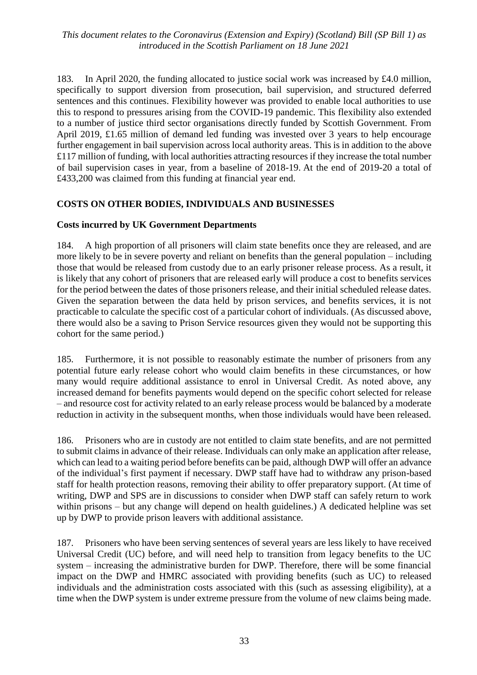183. In April 2020, the funding allocated to justice social work was increased by £4.0 million, specifically to support diversion from prosecution, bail supervision, and structured deferred sentences and this continues. Flexibility however was provided to enable local authorities to use this to respond to pressures arising from the COVID-19 pandemic. This flexibility also extended to a number of justice third sector organisations directly funded by Scottish Government. From April 2019, £1.65 million of demand led funding was invested over 3 years to help encourage further engagement in bail supervision across local authority areas. This is in addition to the above £117 million of funding, with local authorities attracting resources if they increase the total number of bail supervision cases in year, from a baseline of 2018-19. At the end of 2019-20 a total of £433,200 was claimed from this funding at financial year end.

#### **COSTS ON OTHER BODIES, INDIVIDUALS AND BUSINESSES**

#### **Costs incurred by UK Government Departments**

184. A high proportion of all prisoners will claim state benefits once they are released, and are more likely to be in severe poverty and reliant on benefits than the general population – including those that would be released from custody due to an early prisoner release process. As a result, it is likely that any cohort of prisoners that are released early will produce a cost to benefits services for the period between the dates of those prisoners release, and their initial scheduled release dates. Given the separation between the data held by prison services, and benefits services, it is not practicable to calculate the specific cost of a particular cohort of individuals. (As discussed above, there would also be a saving to Prison Service resources given they would not be supporting this cohort for the same period.)

185. Furthermore, it is not possible to reasonably estimate the number of prisoners from any potential future early release cohort who would claim benefits in these circumstances, or how many would require additional assistance to enrol in Universal Credit. As noted above, any increased demand for benefits payments would depend on the specific cohort selected for release – and resource cost for activity related to an early release process would be balanced by a moderate reduction in activity in the subsequent months, when those individuals would have been released.

186. Prisoners who are in custody are not entitled to claim state benefits, and are not permitted to submit claims in advance of their release. Individuals can only make an application after release, which can lead to a waiting period before benefits can be paid, although DWP will offer an advance of the individual's first payment if necessary. DWP staff have had to withdraw any prison-based staff for health protection reasons, removing their ability to offer preparatory support. (At time of writing, DWP and SPS are in discussions to consider when DWP staff can safely return to work within prisons – but any change will depend on health guidelines.) A dedicated helpline was set up by DWP to provide prison leavers with additional assistance.

187. Prisoners who have been serving sentences of several years are less likely to have received Universal Credit (UC) before, and will need help to transition from legacy benefits to the UC system – increasing the administrative burden for DWP. Therefore, there will be some financial impact on the DWP and HMRC associated with providing benefits (such as UC) to released individuals and the administration costs associated with this (such as assessing eligibility), at a time when the DWP system is under extreme pressure from the volume of new claims being made.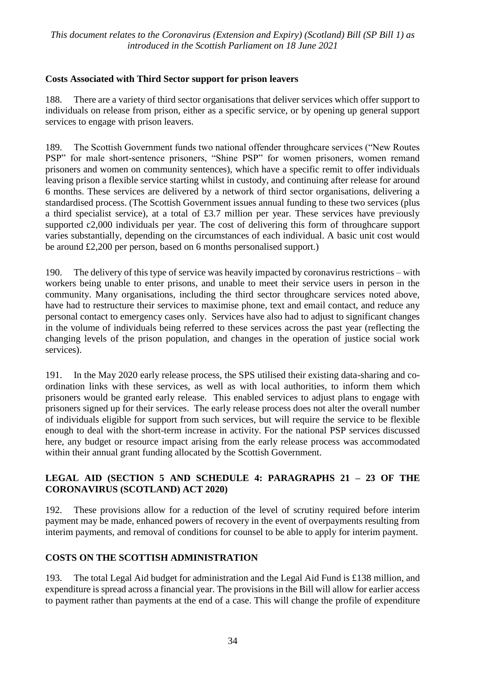## **Costs Associated with Third Sector support for prison leavers**

188. There are a variety of third sector organisations that deliver services which offer support to individuals on release from prison, either as a specific service, or by opening up general support services to engage with prison leavers.

189. The Scottish Government funds two national offender throughcare services ("New Routes PSP" for male short-sentence prisoners, "Shine PSP" for women prisoners, women remand prisoners and women on community sentences), which have a specific remit to offer individuals leaving prison a flexible service starting whilst in custody, and continuing after release for around 6 months. These services are delivered by a network of third sector organisations, delivering a standardised process. (The Scottish Government issues annual funding to these two services (plus a third specialist service), at a total of £3.7 million per year. These services have previously supported c2,000 individuals per year. The cost of delivering this form of throughcare support varies substantially, depending on the circumstances of each individual. A basic unit cost would be around £2,200 per person, based on 6 months personalised support.)

190. The delivery of this type of service was heavily impacted by coronavirus restrictions – with workers being unable to enter prisons, and unable to meet their service users in person in the community. Many organisations, including the third sector throughcare services noted above, have had to restructure their services to maximise phone, text and email contact, and reduce any personal contact to emergency cases only. Services have also had to adjust to significant changes in the volume of individuals being referred to these services across the past year (reflecting the changing levels of the prison population, and changes in the operation of justice social work services).

191. In the May 2020 early release process, the SPS utilised their existing data-sharing and coordination links with these services, as well as with local authorities, to inform them which prisoners would be granted early release. This enabled services to adjust plans to engage with prisoners signed up for their services. The early release process does not alter the overall number of individuals eligible for support from such services, but will require the service to be flexible enough to deal with the short-term increase in activity. For the national PSP services discussed here, any budget or resource impact arising from the early release process was accommodated within their annual grant funding allocated by the Scottish Government.

## **LEGAL AID (SECTION 5 AND SCHEDULE 4: PARAGRAPHS 21 – 23 OF THE CORONAVIRUS (SCOTLAND) ACT 2020)**

192. These provisions allow for a reduction of the level of scrutiny required before interim payment may be made, enhanced powers of recovery in the event of overpayments resulting from interim payments, and removal of conditions for counsel to be able to apply for interim payment.

#### **COSTS ON THE SCOTTISH ADMINISTRATION**

193. The total Legal Aid budget for administration and the Legal Aid Fund is £138 million, and expenditure is spread across a financial year. The provisions in the Bill will allow for earlier access to payment rather than payments at the end of a case. This will change the profile of expenditure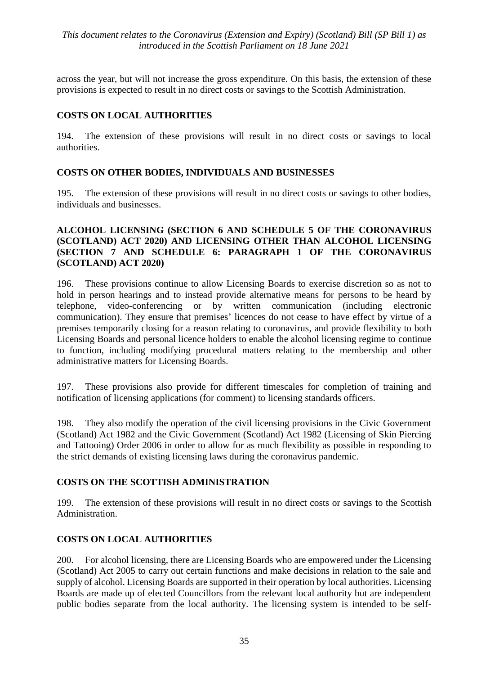across the year, but will not increase the gross expenditure. On this basis, the extension of these provisions is expected to result in no direct costs or savings to the Scottish Administration.

## **COSTS ON LOCAL AUTHORITIES**

194. The extension of these provisions will result in no direct costs or savings to local authorities.

#### **COSTS ON OTHER BODIES, INDIVIDUALS AND BUSINESSES**

195. The extension of these provisions will result in no direct costs or savings to other bodies, individuals and businesses.

#### **ALCOHOL LICENSING (SECTION 6 AND SCHEDULE 5 OF THE CORONAVIRUS (SCOTLAND) ACT 2020) AND LICENSING OTHER THAN ALCOHOL LICENSING (SECTION 7 AND SCHEDULE 6: PARAGRAPH 1 OF THE CORONAVIRUS (SCOTLAND) ACT 2020)**

196. These provisions continue to allow Licensing Boards to exercise discretion so as not to hold in person hearings and to instead provide alternative means for persons to be heard by telephone, video-conferencing or by written communication (including electronic communication). They ensure that premises' licences do not cease to have effect by virtue of a premises temporarily closing for a reason relating to coronavirus, and provide flexibility to both Licensing Boards and personal licence holders to enable the alcohol licensing regime to continue to function, including modifying procedural matters relating to the membership and other administrative matters for Licensing Boards.

197. These provisions also provide for different timescales for completion of training and notification of licensing applications (for comment) to licensing standards officers.

198. They also modify the operation of the civil licensing provisions in the Civic Government (Scotland) Act 1982 and the Civic Government (Scotland) Act 1982 (Licensing of Skin Piercing and Tattooing) Order 2006 in order to allow for as much flexibility as possible in responding to the strict demands of existing licensing laws during the coronavirus pandemic.

#### **COSTS ON THE SCOTTISH ADMINISTRATION**

199. The extension of these provisions will result in no direct costs or savings to the Scottish Administration.

#### **COSTS ON LOCAL AUTHORITIES**

200. For alcohol licensing, there are Licensing Boards who are empowered under the Licensing (Scotland) Act 2005 to carry out certain functions and make decisions in relation to the sale and supply of alcohol. Licensing Boards are supported in their operation by local authorities. Licensing Boards are made up of elected Councillors from the relevant local authority but are independent public bodies separate from the local authority. The licensing system is intended to be self-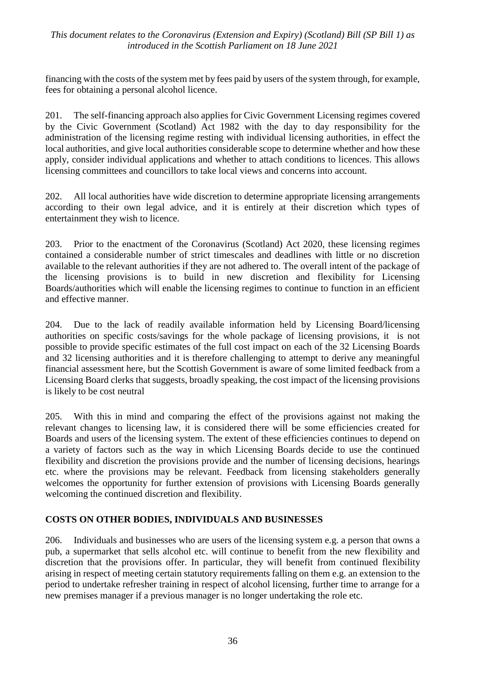financing with the costs of the system met by fees paid by users of the system through, for example, fees for obtaining a personal alcohol licence.

201. The self-financing approach also applies for Civic Government Licensing regimes covered by the Civic Government (Scotland) Act 1982 with the day to day responsibility for the administration of the licensing regime resting with individual licensing authorities, in effect the local authorities, and give local authorities considerable scope to determine whether and how these apply, consider individual applications and whether to attach conditions to licences. This allows licensing committees and councillors to take local views and concerns into account.

202. All local authorities have wide discretion to determine appropriate licensing arrangements according to their own legal advice, and it is entirely at their discretion which types of entertainment they wish to licence.

203. Prior to the enactment of the Coronavirus (Scotland) Act 2020, these licensing regimes contained a considerable number of strict timescales and deadlines with little or no discretion available to the relevant authorities if they are not adhered to. The overall intent of the package of the licensing provisions is to build in new discretion and flexibility for Licensing Boards/authorities which will enable the licensing regimes to continue to function in an efficient and effective manner.

204. Due to the lack of readily available information held by Licensing Board/licensing authorities on specific costs/savings for the whole package of licensing provisions, it is not possible to provide specific estimates of the full cost impact on each of the 32 Licensing Boards and 32 licensing authorities and it is therefore challenging to attempt to derive any meaningful financial assessment here, but the Scottish Government is aware of some limited feedback from a Licensing Board clerks that suggests, broadly speaking, the cost impact of the licensing provisions is likely to be cost neutral

205. With this in mind and comparing the effect of the provisions against not making the relevant changes to licensing law, it is considered there will be some efficiencies created for Boards and users of the licensing system. The extent of these efficiencies continues to depend on a variety of factors such as the way in which Licensing Boards decide to use the continued flexibility and discretion the provisions provide and the number of licensing decisions, hearings etc. where the provisions may be relevant. Feedback from licensing stakeholders generally welcomes the opportunity for further extension of provisions with Licensing Boards generally welcoming the continued discretion and flexibility.

#### **COSTS ON OTHER BODIES, INDIVIDUALS AND BUSINESSES**

206. Individuals and businesses who are users of the licensing system e.g. a person that owns a pub, a supermarket that sells alcohol etc. will continue to benefit from the new flexibility and discretion that the provisions offer. In particular, they will benefit from continued flexibility arising in respect of meeting certain statutory requirements falling on them e.g. an extension to the period to undertake refresher training in respect of alcohol licensing, further time to arrange for a new premises manager if a previous manager is no longer undertaking the role etc.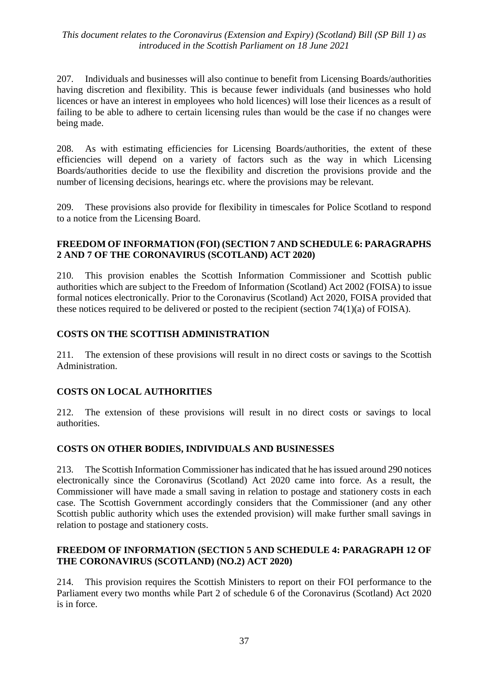207. Individuals and businesses will also continue to benefit from Licensing Boards/authorities having discretion and flexibility. This is because fewer individuals (and businesses who hold licences or have an interest in employees who hold licences) will lose their licences as a result of failing to be able to adhere to certain licensing rules than would be the case if no changes were being made.

208. As with estimating efficiencies for Licensing Boards/authorities, the extent of these efficiencies will depend on a variety of factors such as the way in which Licensing Boards/authorities decide to use the flexibility and discretion the provisions provide and the number of licensing decisions, hearings etc. where the provisions may be relevant.

209. These provisions also provide for flexibility in timescales for Police Scotland to respond to a notice from the Licensing Board.

#### **FREEDOM OF INFORMATION (FOI) (SECTION 7 AND SCHEDULE 6: PARAGRAPHS 2 AND 7 OF THE CORONAVIRUS (SCOTLAND) ACT 2020)**

210. This provision enables the Scottish Information Commissioner and Scottish public authorities which are subject to the Freedom of Information (Scotland) Act 2002 (FOISA) to issue formal notices electronically. Prior to the Coronavirus (Scotland) Act 2020, FOISA provided that these notices required to be delivered or posted to the recipient (section 74(1)(a) of FOISA).

## **COSTS ON THE SCOTTISH ADMINISTRATION**

211. The extension of these provisions will result in no direct costs or savings to the Scottish Administration.

## **COSTS ON LOCAL AUTHORITIES**

212. The extension of these provisions will result in no direct costs or savings to local authorities.

#### **COSTS ON OTHER BODIES, INDIVIDUALS AND BUSINESSES**

213. The Scottish Information Commissioner has indicated that he has issued around 290 notices electronically since the Coronavirus (Scotland) Act 2020 came into force. As a result, the Commissioner will have made a small saving in relation to postage and stationery costs in each case. The Scottish Government accordingly considers that the Commissioner (and any other Scottish public authority which uses the extended provision) will make further small savings in relation to postage and stationery costs.

#### **FREEDOM OF INFORMATION (SECTION 5 AND SCHEDULE 4: PARAGRAPH 12 OF THE CORONAVIRUS (SCOTLAND) (NO.2) ACT 2020)**

214. This provision requires the Scottish Ministers to report on their FOI performance to the Parliament every two months while Part 2 of schedule 6 of the Coronavirus (Scotland) Act 2020 is in force.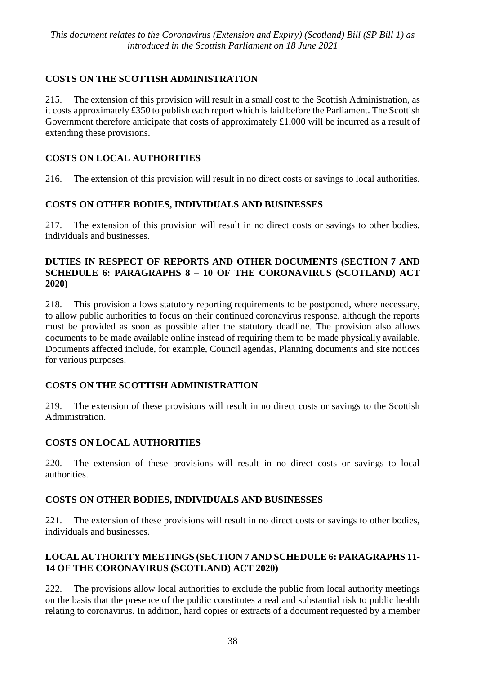## **COSTS ON THE SCOTTISH ADMINISTRATION**

215. The extension of this provision will result in a small cost to the Scottish Administration, as it costs approximately £350 to publish each report which is laid before the Parliament. The Scottish Government therefore anticipate that costs of approximately £1,000 will be incurred as a result of extending these provisions.

## **COSTS ON LOCAL AUTHORITIES**

216. The extension of this provision will result in no direct costs or savings to local authorities.

## **COSTS ON OTHER BODIES, INDIVIDUALS AND BUSINESSES**

217. The extension of this provision will result in no direct costs or savings to other bodies, individuals and businesses.

#### **DUTIES IN RESPECT OF REPORTS AND OTHER DOCUMENTS (SECTION 7 AND SCHEDULE 6: PARAGRAPHS 8 – 10 OF THE CORONAVIRUS (SCOTLAND) ACT 2020)**

218. This provision allows statutory reporting requirements to be postponed, where necessary, to allow public authorities to focus on their continued coronavirus response, although the reports must be provided as soon as possible after the statutory deadline. The provision also allows documents to be made available online instead of requiring them to be made physically available. Documents affected include, for example, Council agendas, Planning documents and site notices for various purposes.

#### **COSTS ON THE SCOTTISH ADMINISTRATION**

219. The extension of these provisions will result in no direct costs or savings to the Scottish Administration.

## **COSTS ON LOCAL AUTHORITIES**

220. The extension of these provisions will result in no direct costs or savings to local authorities.

#### **COSTS ON OTHER BODIES, INDIVIDUALS AND BUSINESSES**

221. The extension of these provisions will result in no direct costs or savings to other bodies, individuals and businesses.

#### **LOCAL AUTHORITY MEETINGS (SECTION 7 AND SCHEDULE 6: PARAGRAPHS 11- 14 OF THE CORONAVIRUS (SCOTLAND) ACT 2020)**

222. The provisions allow local authorities to exclude the public from local authority meetings on the basis that the presence of the public constitutes a real and substantial risk to public health relating to coronavirus. In addition, hard copies or extracts of a document requested by a member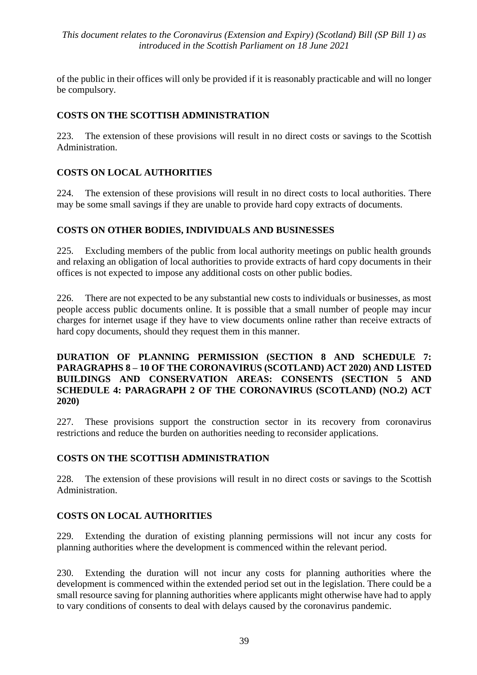of the public in their offices will only be provided if it is reasonably practicable and will no longer be compulsory.

## **COSTS ON THE SCOTTISH ADMINISTRATION**

223. The extension of these provisions will result in no direct costs or savings to the Scottish Administration.

## **COSTS ON LOCAL AUTHORITIES**

224. The extension of these provisions will result in no direct costs to local authorities. There may be some small savings if they are unable to provide hard copy extracts of documents.

#### **COSTS ON OTHER BODIES, INDIVIDUALS AND BUSINESSES**

225. Excluding members of the public from local authority meetings on public health grounds and relaxing an obligation of local authorities to provide extracts of hard copy documents in their offices is not expected to impose any additional costs on other public bodies.

226. There are not expected to be any substantial new costs to individuals or businesses, as most people access public documents online. It is possible that a small number of people may incur charges for internet usage if they have to view documents online rather than receive extracts of hard copy documents, should they request them in this manner.

#### **DURATION OF PLANNING PERMISSION (SECTION 8 AND SCHEDULE 7: PARAGRAPHS 8 – 10 OF THE CORONAVIRUS (SCOTLAND) ACT 2020) AND LISTED BUILDINGS AND CONSERVATION AREAS: CONSENTS (SECTION 5 AND SCHEDULE 4: PARAGRAPH 2 OF THE CORONAVIRUS (SCOTLAND) (NO.2) ACT 2020)**

227. These provisions support the construction sector in its recovery from coronavirus restrictions and reduce the burden on authorities needing to reconsider applications.

#### **COSTS ON THE SCOTTISH ADMINISTRATION**

228. The extension of these provisions will result in no direct costs or savings to the Scottish Administration.

## **COSTS ON LOCAL AUTHORITIES**

229. Extending the duration of existing planning permissions will not incur any costs for planning authorities where the development is commenced within the relevant period.

230. Extending the duration will not incur any costs for planning authorities where the development is commenced within the extended period set out in the legislation. There could be a small resource saving for planning authorities where applicants might otherwise have had to apply to vary conditions of consents to deal with delays caused by the coronavirus pandemic.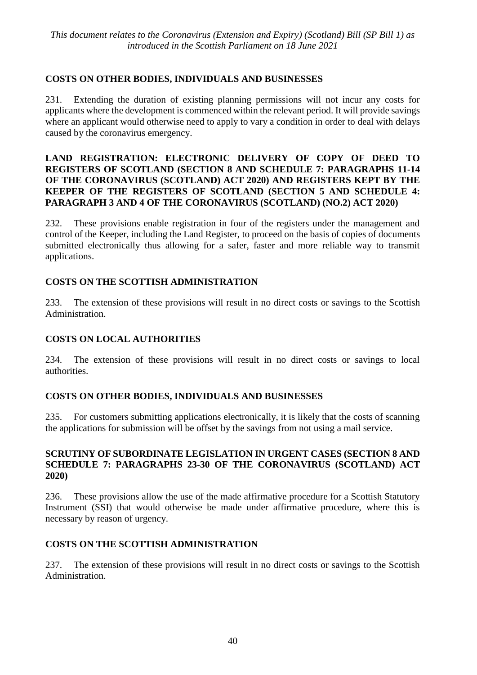## **COSTS ON OTHER BODIES, INDIVIDUALS AND BUSINESSES**

231. Extending the duration of existing planning permissions will not incur any costs for applicants where the development is commenced within the relevant period. It will provide savings where an applicant would otherwise need to apply to vary a condition in order to deal with delays caused by the coronavirus emergency.

#### **LAND REGISTRATION: ELECTRONIC DELIVERY OF COPY OF DEED TO REGISTERS OF SCOTLAND (SECTION 8 AND SCHEDULE 7: PARAGRAPHS 11-14 OF THE CORONAVIRUS (SCOTLAND) ACT 2020) AND REGISTERS KEPT BY THE KEEPER OF THE REGISTERS OF SCOTLAND (SECTION 5 AND SCHEDULE 4: PARAGRAPH 3 AND 4 OF THE CORONAVIRUS (SCOTLAND) (NO.2) ACT 2020)**

232. These provisions enable registration in four of the registers under the management and control of the Keeper, including the Land Register, to proceed on the basis of copies of documents submitted electronically thus allowing for a safer, faster and more reliable way to transmit applications.

## **COSTS ON THE SCOTTISH ADMINISTRATION**

233. The extension of these provisions will result in no direct costs or savings to the Scottish Administration.

#### **COSTS ON LOCAL AUTHORITIES**

234. The extension of these provisions will result in no direct costs or savings to local authorities.

#### **COSTS ON OTHER BODIES, INDIVIDUALS AND BUSINESSES**

235. For customers submitting applications electronically, it is likely that the costs of scanning the applications for submission will be offset by the savings from not using a mail service.

#### **SCRUTINY OF SUBORDINATE LEGISLATION IN URGENT CASES (SECTION 8 AND SCHEDULE 7: PARAGRAPHS 23-30 OF THE CORONAVIRUS (SCOTLAND) ACT 2020)**

236. These provisions allow the use of the made affirmative procedure for a Scottish Statutory Instrument (SSI) that would otherwise be made under affirmative procedure, where this is necessary by reason of urgency.

#### **COSTS ON THE SCOTTISH ADMINISTRATION**

237. The extension of these provisions will result in no direct costs or savings to the Scottish Administration.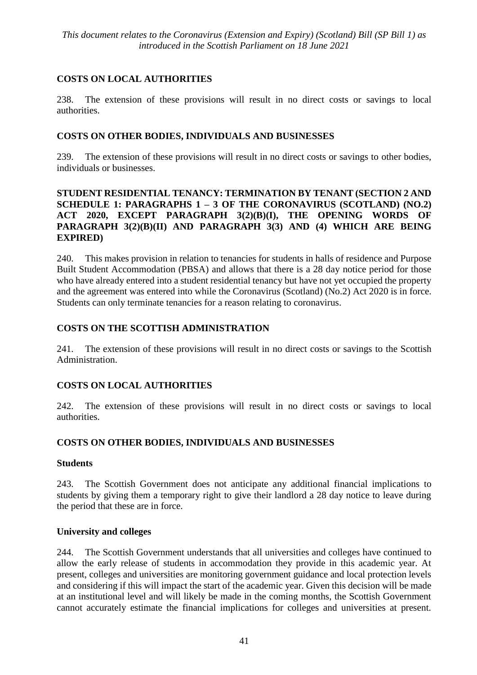## **COSTS ON LOCAL AUTHORITIES**

238. The extension of these provisions will result in no direct costs or savings to local authorities.

## **COSTS ON OTHER BODIES, INDIVIDUALS AND BUSINESSES**

239. The extension of these provisions will result in no direct costs or savings to other bodies, individuals or businesses.

#### **STUDENT RESIDENTIAL TENANCY: TERMINATION BY TENANT (SECTION 2 AND SCHEDULE 1: PARAGRAPHS 1 – 3 OF THE CORONAVIRUS (SCOTLAND) (NO.2) ACT 2020, EXCEPT PARAGRAPH 3(2)(B)(I), THE OPENING WORDS OF PARAGRAPH 3(2)(B)(II) AND PARAGRAPH 3(3) AND (4) WHICH ARE BEING EXPIRED)**

240. This makes provision in relation to tenancies for students in halls of residence and Purpose Built Student Accommodation (PBSA) and allows that there is a 28 day notice period for those who have already entered into a student residential tenancy but have not yet occupied the property and the agreement was entered into while the Coronavirus (Scotland) (No.2) Act 2020 is in force. Students can only terminate tenancies for a reason relating to coronavirus.

## **COSTS ON THE SCOTTISH ADMINISTRATION**

241. The extension of these provisions will result in no direct costs or savings to the Scottish Administration.

## **COSTS ON LOCAL AUTHORITIES**

242. The extension of these provisions will result in no direct costs or savings to local authorities.

## **COSTS ON OTHER BODIES, INDIVIDUALS AND BUSINESSES**

#### **Students**

243. The Scottish Government does not anticipate any additional financial implications to students by giving them a temporary right to give their landlord a 28 day notice to leave during the period that these are in force.

## **University and colleges**

244. The Scottish Government understands that all universities and colleges have continued to allow the early release of students in accommodation they provide in this academic year. At present, colleges and universities are monitoring government guidance and local protection levels and considering if this will impact the start of the academic year. Given this decision will be made at an institutional level and will likely be made in the coming months, the Scottish Government cannot accurately estimate the financial implications for colleges and universities at present.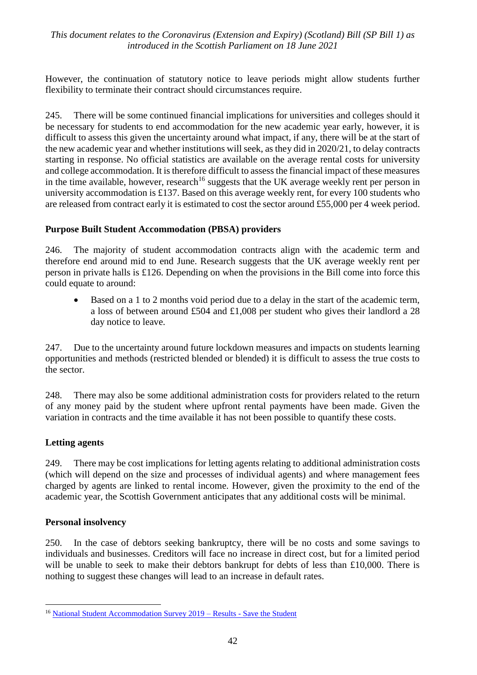However, the continuation of statutory notice to leave periods might allow students further flexibility to terminate their contract should circumstances require.

245. There will be some continued financial implications for universities and colleges should it be necessary for students to end accommodation for the new academic year early, however, it is difficult to assess this given the uncertainty around what impact, if any, there will be at the start of the new academic year and whether institutions will seek, as they did in 2020/21, to delay contracts starting in response. No official statistics are available on the average rental costs for university and college accommodation. It is therefore difficult to assess the financial impact of these measures in the time available, however, research<sup>16</sup> suggests that the UK average weekly rent per person in university accommodation is £137. Based on this average weekly rent, for every 100 students who are released from contract early it is estimated to cost the sector around £55,000 per 4 week period.

## **Purpose Built Student Accommodation (PBSA) providers**

246. The majority of student accommodation contracts align with the academic term and therefore end around mid to end June. Research suggests that the UK average weekly rent per person in private halls is £126. Depending on when the provisions in the Bill come into force this could equate to around:

Based on a 1 to 2 months void period due to a delay in the start of the academic term, a loss of between around £504 and £1,008 per student who gives their landlord a 28 day notice to leave.

247. Due to the uncertainty around future lockdown measures and impacts on students learning opportunities and methods (restricted blended or blended) it is difficult to assess the true costs to the sector.

248. There may also be some additional administration costs for providers related to the return of any money paid by the student where upfront rental payments have been made. Given the variation in contracts and the time available it has not been possible to quantify these costs.

## **Letting agents**

249. There may be cost implications for letting agents relating to additional administration costs (which will depend on the size and processes of individual agents) and where management fees charged by agents are linked to rental income. However, given the proximity to the end of the academic year, the Scottish Government anticipates that any additional costs will be minimal.

#### **Personal insolvency**

1

250. In the case of debtors seeking bankruptcy, there will be no costs and some savings to individuals and businesses. Creditors will face no increase in direct cost, but for a limited period will be unable to seek to make their debtors bankrupt for debts of less than £10,000. There is nothing to suggest these changes will lead to an increase in default rates.

<sup>16</sup> [National Student Accommodation Survey 2019 –](https://www.savethestudent.org/accommodation/national-student-accommodation-survey-2019.html#rent-costs) Results - Save the Student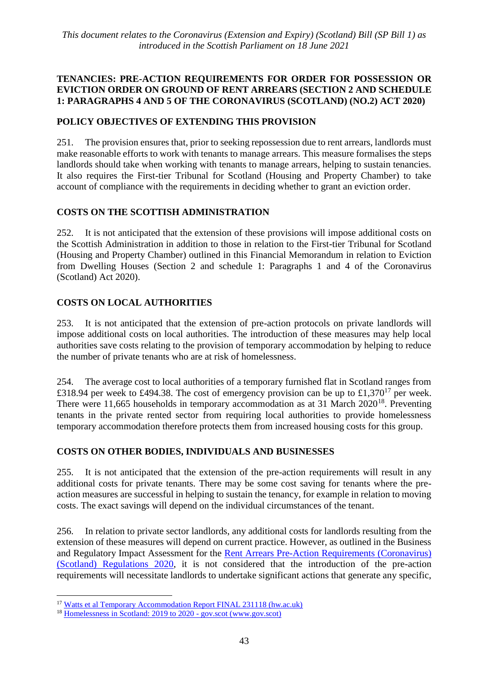#### **TENANCIES: PRE-ACTION REQUIREMENTS FOR ORDER FOR POSSESSION OR EVICTION ORDER ON GROUND OF RENT ARREARS (SECTION 2 AND SCHEDULE 1: PARAGRAPHS 4 AND 5 OF THE CORONAVIRUS (SCOTLAND) (NO.2) ACT 2020)**

## **POLICY OBJECTIVES OF EXTENDING THIS PROVISION**

251. The provision ensures that, prior to seeking repossession due to rent arrears, landlords must make reasonable efforts to work with tenants to manage arrears. This measure formalises the steps landlords should take when working with tenants to manage arrears, helping to sustain tenancies. It also requires the First-tier Tribunal for Scotland (Housing and Property Chamber) to take account of compliance with the requirements in deciding whether to grant an eviction order.

## **COSTS ON THE SCOTTISH ADMINISTRATION**

252. It is not anticipated that the extension of these provisions will impose additional costs on the Scottish Administration in addition to those in relation to the First-tier Tribunal for Scotland (Housing and Property Chamber) outlined in this Financial Memorandum in relation to Eviction from Dwelling Houses (Section 2 and schedule 1: Paragraphs 1 and 4 of the Coronavirus (Scotland) Act 2020).

## **COSTS ON LOCAL AUTHORITIES**

253. It is not anticipated that the extension of pre-action protocols on private landlords will impose additional costs on local authorities. The introduction of these measures may help local authorities save costs relating to the provision of temporary accommodation by helping to reduce the number of private tenants who are at risk of homelessness.

254. The average cost to local authorities of a temporary furnished flat in Scotland ranges from £318.94 per week to £494.38. The cost of emergency provision can be up to £1,370<sup>17</sup> per week. There were 11,665 households in temporary accommodation as at 31 March  $2020^{18}$ . Preventing tenants in the private rented sector from requiring local authorities to provide homelessness temporary accommodation therefore protects them from increased housing costs for this group.

## **COSTS ON OTHER BODIES, INDIVIDUALS AND BUSINESSES**

255. It is not anticipated that the extension of the pre-action requirements will result in any additional costs for private tenants. There may be some cost saving for tenants where the preaction measures are successful in helping to sustain the tenancy, for example in relation to moving costs. The exact savings will depend on the individual circumstances of the tenant.

256. In relation to private sector landlords, any additional costs for landlords resulting from the extension of these measures will depend on current practice. However, as outlined in the Business and Regulatory Impact Assessment for the [Rent Arrears Pre-Action Requirements \(Coronavirus\)](https://www.legislation.gov.uk/sdsi/2020/9780111046012/pdfs/sdsifia_9780111046012_en.pdf)  [\(Scotland\) Regulations 2020,](https://www.legislation.gov.uk/sdsi/2020/9780111046012/pdfs/sdsifia_9780111046012_en.pdf) it is not considered that the introduction of the pre-action requirements will necessitate landlords to undertake significant actions that generate any specific,

 $\overline{a}$ 

<sup>&</sup>lt;sup>17</sup> [Watts et al Temporary Accommodation Report FINAL 231118 \(hw.ac.uk\)](https://pure.hw.ac.uk/ws/portalfiles/portal/23430074/SB_TempAccommReport_FinalReport.pdf)

<sup>18</sup> [Homelessness in Scotland: 2019 to 2020 -](https://www.gov.scot/publications/homelessness-scotland-2019-2020/) gov.scot (www.gov.scot)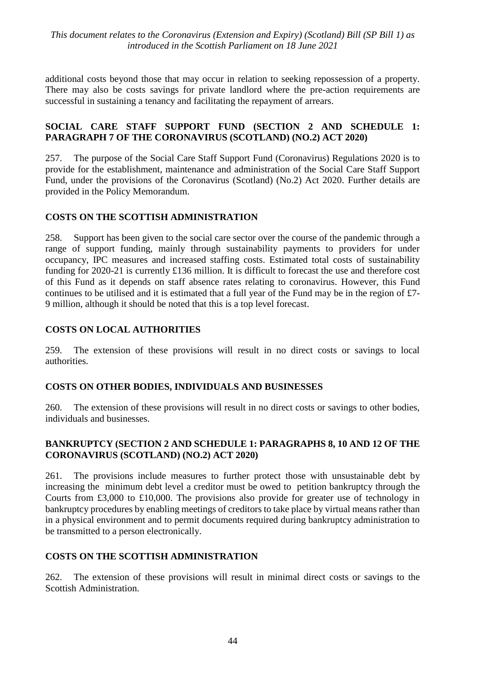additional costs beyond those that may occur in relation to seeking repossession of a property. There may also be costs savings for private landlord where the pre-action requirements are successful in sustaining a tenancy and facilitating the repayment of arrears.

#### **SOCIAL CARE STAFF SUPPORT FUND (SECTION 2 AND SCHEDULE 1: PARAGRAPH 7 OF THE CORONAVIRUS (SCOTLAND) (NO.2) ACT 2020)**

257. The purpose of the Social Care Staff Support Fund (Coronavirus) Regulations 2020 is to provide for the establishment, maintenance and administration of the Social Care Staff Support Fund, under the provisions of the Coronavirus (Scotland) (No.2) Act 2020. Further details are provided in the Policy Memorandum.

#### **COSTS ON THE SCOTTISH ADMINISTRATION**

258. Support has been given to the social care sector over the course of the pandemic through a range of support funding, mainly through sustainability payments to providers for under occupancy, IPC measures and increased staffing costs. Estimated total costs of sustainability funding for 2020-21 is currently £136 million. It is difficult to forecast the use and therefore cost of this Fund as it depends on staff absence rates relating to coronavirus. However, this Fund continues to be utilised and it is estimated that a full year of the Fund may be in the region of £7- 9 million, although it should be noted that this is a top level forecast.

#### **COSTS ON LOCAL AUTHORITIES**

259. The extension of these provisions will result in no direct costs or savings to local authorities.

#### **COSTS ON OTHER BODIES, INDIVIDUALS AND BUSINESSES**

260. The extension of these provisions will result in no direct costs or savings to other bodies, individuals and businesses.

#### **BANKRUPTCY (SECTION 2 AND SCHEDULE 1: PARAGRAPHS 8, 10 AND 12 OF THE CORONAVIRUS (SCOTLAND) (NO.2) ACT 2020)**

261. The provisions include measures to further protect those with unsustainable debt by increasing the minimum debt level a creditor must be owed to petition bankruptcy through the Courts from £3,000 to £10,000. The provisions also provide for greater use of technology in bankruptcy procedures by enabling meetings of creditors to take place by virtual means rather than in a physical environment and to permit documents required during bankruptcy administration to be transmitted to a person electronically.

#### **COSTS ON THE SCOTTISH ADMINISTRATION**

262. The extension of these provisions will result in minimal direct costs or savings to the Scottish Administration.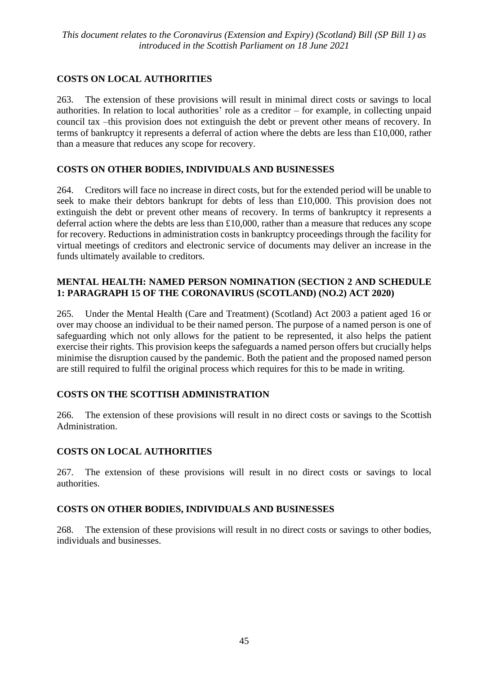## **COSTS ON LOCAL AUTHORITIES**

263. The extension of these provisions will result in minimal direct costs or savings to local authorities. In relation to local authorities' role as a creditor – for example, in collecting unpaid council tax –this provision does not extinguish the debt or prevent other means of recovery. In terms of bankruptcy it represents a deferral of action where the debts are less than £10,000, rather than a measure that reduces any scope for recovery.

## **COSTS ON OTHER BODIES, INDIVIDUALS AND BUSINESSES**

264. Creditors will face no increase in direct costs, but for the extended period will be unable to seek to make their debtors bankrupt for debts of less than £10,000. This provision does not extinguish the debt or prevent other means of recovery. In terms of bankruptcy it represents a deferral action where the debts are less than £10,000, rather than a measure that reduces any scope for recovery. Reductions in administration costs in bankruptcy proceedings through the facility for virtual meetings of creditors and electronic service of documents may deliver an increase in the funds ultimately available to creditors.

#### **MENTAL HEALTH: NAMED PERSON NOMINATION (SECTION 2 AND SCHEDULE 1: PARAGRAPH 15 OF THE CORONAVIRUS (SCOTLAND) (NO.2) ACT 2020)**

265. Under the Mental Health (Care and Treatment) (Scotland) Act 2003 a patient aged 16 or over may choose an individual to be their named person. The purpose of a named person is one of safeguarding which not only allows for the patient to be represented, it also helps the patient exercise their rights. This provision keeps the safeguards a named person offers but crucially helps minimise the disruption caused by the pandemic. Both the patient and the proposed named person are still required to fulfil the original process which requires for this to be made in writing.

## **COSTS ON THE SCOTTISH ADMINISTRATION**

266. The extension of these provisions will result in no direct costs or savings to the Scottish Administration.

## **COSTS ON LOCAL AUTHORITIES**

267. The extension of these provisions will result in no direct costs or savings to local authorities.

#### **COSTS ON OTHER BODIES, INDIVIDUALS AND BUSINESSES**

268. The extension of these provisions will result in no direct costs or savings to other bodies, individuals and businesses.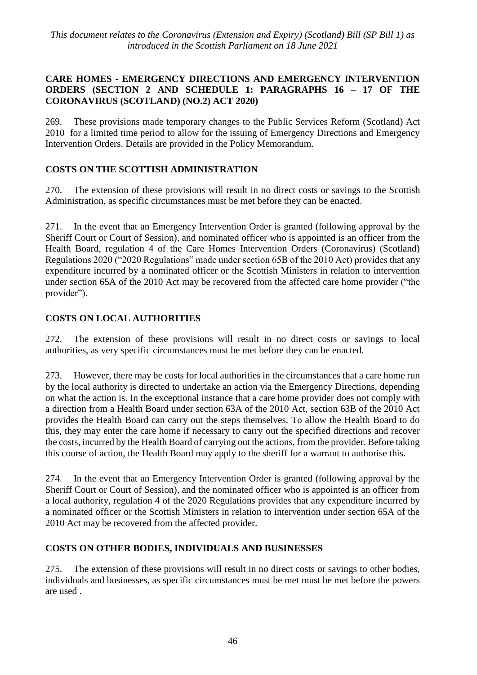#### **CARE HOMES - EMERGENCY DIRECTIONS AND EMERGENCY INTERVENTION ORDERS (SECTION 2 AND SCHEDULE 1: PARAGRAPHS 16 – 17 OF THE CORONAVIRUS (SCOTLAND) (NO.2) ACT 2020)**

269. These provisions made temporary changes to the Public Services Reform (Scotland) Act 2010 for a limited time period to allow for the issuing of Emergency Directions and Emergency Intervention Orders. Details are provided in the Policy Memorandum.

## **COSTS ON THE SCOTTISH ADMINISTRATION**

270. The extension of these provisions will result in no direct costs or savings to the Scottish Administration, as specific circumstances must be met before they can be enacted.

271. In the event that an Emergency Intervention Order is granted (following approval by the Sheriff Court or Court of Session), and nominated officer who is appointed is an officer from the Health Board, regulation 4 of the Care Homes Intervention Orders (Coronavirus) (Scotland) Regulations 2020 ("2020 Regulations" made under section 65B of the 2010 Act) provides that any expenditure incurred by a nominated officer or the Scottish Ministers in relation to intervention under section 65A of the 2010 Act may be recovered from the affected care home provider ("the provider").

## **COSTS ON LOCAL AUTHORITIES**

272. The extension of these provisions will result in no direct costs or savings to local authorities, as very specific circumstances must be met before they can be enacted.

273. However, there may be costs for local authorities in the circumstances that a care home run by the local authority is directed to undertake an action via the Emergency Directions, depending on what the action is. In the exceptional instance that a care home provider does not comply with a direction from a Health Board under section 63A of the 2010 Act, section 63B of the 2010 Act provides the Health Board can carry out the steps themselves. To allow the Health Board to do this, they may enter the care home if necessary to carry out the specified directions and recover the costs, incurred by the Health Board of carrying out the actions, from the provider. Before taking this course of action, the Health Board may apply to the sheriff for a warrant to authorise this.

274. In the event that an Emergency Intervention Order is granted (following approval by the Sheriff Court or Court of Session), and the nominated officer who is appointed is an officer from a local authority, regulation 4 of the 2020 Regulations provides that any expenditure incurred by a nominated officer or the Scottish Ministers in relation to intervention under section 65A of the 2010 Act may be recovered from the affected provider.

## **COSTS ON OTHER BODIES, INDIVIDUALS AND BUSINESSES**

275. The extension of these provisions will result in no direct costs or savings to other bodies, individuals and businesses, as specific circumstances must be met must be met before the powers are used .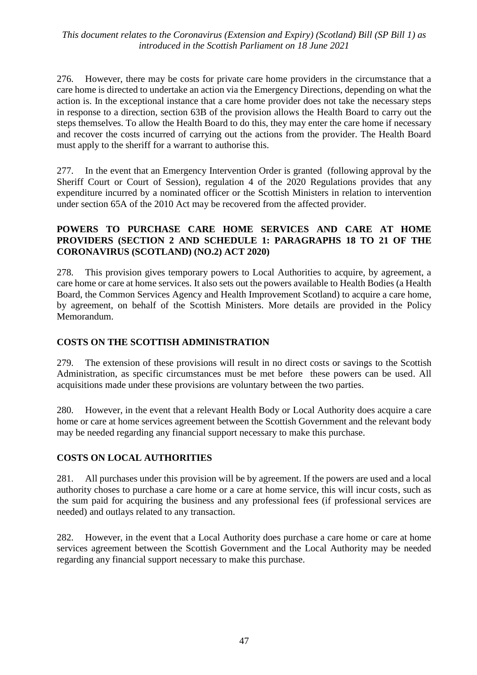276. However, there may be costs for private care home providers in the circumstance that a care home is directed to undertake an action via the Emergency Directions, depending on what the action is. In the exceptional instance that a care home provider does not take the necessary steps in response to a direction, section 63B of the provision allows the Health Board to carry out the steps themselves. To allow the Health Board to do this, they may enter the care home if necessary and recover the costs incurred of carrying out the actions from the provider. The Health Board must apply to the sheriff for a warrant to authorise this.

277. In the event that an Emergency Intervention Order is granted (following approval by the Sheriff Court or Court of Session), regulation 4 of the 2020 Regulations provides that any expenditure incurred by a nominated officer or the Scottish Ministers in relation to intervention under section 65A of the 2010 Act may be recovered from the affected provider.

#### **POWERS TO PURCHASE CARE HOME SERVICES AND CARE AT HOME PROVIDERS (SECTION 2 AND SCHEDULE 1: PARAGRAPHS 18 TO 21 OF THE CORONAVIRUS (SCOTLAND) (NO.2) ACT 2020)**

278. This provision gives temporary powers to Local Authorities to acquire, by agreement, a care home or care at home services. It also sets out the powers available to Health Bodies (a Health Board, the Common Services Agency and Health Improvement Scotland) to acquire a care home, by agreement, on behalf of the Scottish Ministers. More details are provided in the Policy Memorandum.

## **COSTS ON THE SCOTTISH ADMINISTRATION**

279. The extension of these provisions will result in no direct costs or savings to the Scottish Administration, as specific circumstances must be met before these powers can be used. All acquisitions made under these provisions are voluntary between the two parties.

280. However, in the event that a relevant Health Body or Local Authority does acquire a care home or care at home services agreement between the Scottish Government and the relevant body may be needed regarding any financial support necessary to make this purchase.

#### **COSTS ON LOCAL AUTHORITIES**

281. All purchases under this provision will be by agreement. If the powers are used and a local authority choses to purchase a care home or a care at home service, this will incur costs, such as the sum paid for acquiring the business and any professional fees (if professional services are needed) and outlays related to any transaction.

282. However, in the event that a Local Authority does purchase a care home or care at home services agreement between the Scottish Government and the Local Authority may be needed regarding any financial support necessary to make this purchase.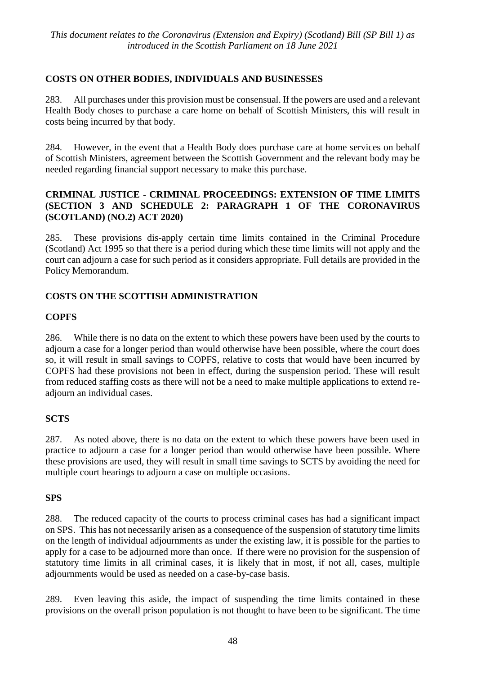## **COSTS ON OTHER BODIES, INDIVIDUALS AND BUSINESSES**

283. All purchases under this provision must be consensual. If the powers are used and a relevant Health Body choses to purchase a care home on behalf of Scottish Ministers, this will result in costs being incurred by that body.

284. However, in the event that a Health Body does purchase care at home services on behalf of Scottish Ministers, agreement between the Scottish Government and the relevant body may be needed regarding financial support necessary to make this purchase.

## **CRIMINAL JUSTICE - CRIMINAL PROCEEDINGS: EXTENSION OF TIME LIMITS (SECTION 3 AND SCHEDULE 2: PARAGRAPH 1 OF THE CORONAVIRUS (SCOTLAND) (NO.2) ACT 2020)**

285. These provisions dis-apply certain time limits contained in the Criminal Procedure (Scotland) Act 1995 so that there is a period during which these time limits will not apply and the court can adjourn a case for such period as it considers appropriate. Full details are provided in the Policy Memorandum.

## **COSTS ON THE SCOTTISH ADMINISTRATION**

## **COPFS**

286. While there is no data on the extent to which these powers have been used by the courts to adjourn a case for a longer period than would otherwise have been possible, where the court does so, it will result in small savings to COPFS, relative to costs that would have been incurred by COPFS had these provisions not been in effect, during the suspension period. These will result from reduced staffing costs as there will not be a need to make multiple applications to extend readjourn an individual cases.

## **SCTS**

287. As noted above, there is no data on the extent to which these powers have been used in practice to adjourn a case for a longer period than would otherwise have been possible. Where these provisions are used, they will result in small time savings to SCTS by avoiding the need for multiple court hearings to adjourn a case on multiple occasions.

#### **SPS**

288. The reduced capacity of the courts to process criminal cases has had a significant impact on SPS. This has not necessarily arisen as a consequence of the suspension of statutory time limits on the length of individual adjournments as under the existing law, it is possible for the parties to apply for a case to be adjourned more than once. If there were no provision for the suspension of statutory time limits in all criminal cases, it is likely that in most, if not all, cases, multiple adjournments would be used as needed on a case-by-case basis.

289. Even leaving this aside, the impact of suspending the time limits contained in these provisions on the overall prison population is not thought to have been to be significant. The time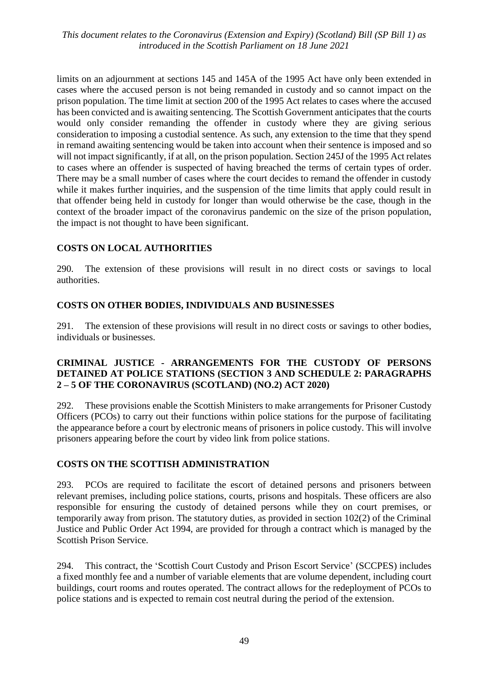limits on an adjournment at sections 145 and 145A of the 1995 Act have only been extended in cases where the accused person is not being remanded in custody and so cannot impact on the prison population. The time limit at section 200 of the 1995 Act relates to cases where the accused has been convicted and is awaiting sentencing. The Scottish Government anticipates that the courts would only consider remanding the offender in custody where they are giving serious consideration to imposing a custodial sentence. As such, any extension to the time that they spend in remand awaiting sentencing would be taken into account when their sentence is imposed and so will not impact significantly, if at all, on the prison population. Section 245J of the 1995 Act relates to cases where an offender is suspected of having breached the terms of certain types of order. There may be a small number of cases where the court decides to remand the offender in custody while it makes further inquiries, and the suspension of the time limits that apply could result in that offender being held in custody for longer than would otherwise be the case, though in the context of the broader impact of the coronavirus pandemic on the size of the prison population, the impact is not thought to have been significant.

## **COSTS ON LOCAL AUTHORITIES**

290. The extension of these provisions will result in no direct costs or savings to local authorities.

#### **COSTS ON OTHER BODIES, INDIVIDUALS AND BUSINESSES**

291. The extension of these provisions will result in no direct costs or savings to other bodies, individuals or businesses.

#### **CRIMINAL JUSTICE - ARRANGEMENTS FOR THE CUSTODY OF PERSONS DETAINED AT POLICE STATIONS (SECTION 3 AND SCHEDULE 2: PARAGRAPHS 2 – 5 OF THE CORONAVIRUS (SCOTLAND) (NO.2) ACT 2020)**

292. These provisions enable the Scottish Ministers to make arrangements for Prisoner Custody Officers (PCOs) to carry out their functions within police stations for the purpose of facilitating the appearance before a court by electronic means of prisoners in police custody. This will involve prisoners appearing before the court by video link from police stations.

#### **COSTS ON THE SCOTTISH ADMINISTRATION**

293. PCOs are required to facilitate the escort of detained persons and prisoners between relevant premises, including police stations, courts, prisons and hospitals. These officers are also responsible for ensuring the custody of detained persons while they on court premises, or temporarily away from prison. The statutory duties, as provided in section 102(2) of the Criminal Justice and Public Order Act 1994, are provided for through a contract which is managed by the Scottish Prison Service.

294. This contract, the 'Scottish Court Custody and Prison Escort Service' (SCCPES) includes a fixed monthly fee and a number of variable elements that are volume dependent, including court buildings, court rooms and routes operated. The contract allows for the redeployment of PCOs to police stations and is expected to remain cost neutral during the period of the extension.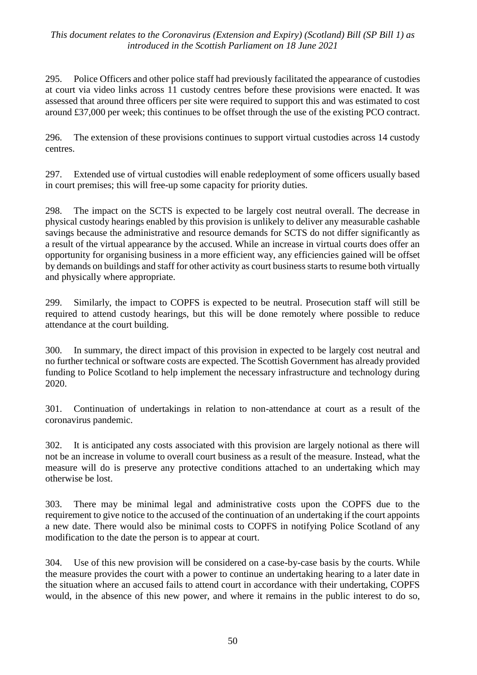295. Police Officers and other police staff had previously facilitated the appearance of custodies at court via video links across 11 custody centres before these provisions were enacted. It was assessed that around three officers per site were required to support this and was estimated to cost around £37,000 per week; this continues to be offset through the use of the existing PCO contract.

296. The extension of these provisions continues to support virtual custodies across 14 custody centres.

297. Extended use of virtual custodies will enable redeployment of some officers usually based in court premises; this will free-up some capacity for priority duties.

298. The impact on the SCTS is expected to be largely cost neutral overall. The decrease in physical custody hearings enabled by this provision is unlikely to deliver any measurable cashable savings because the administrative and resource demands for SCTS do not differ significantly as a result of the virtual appearance by the accused. While an increase in virtual courts does offer an opportunity for organising business in a more efficient way, any efficiencies gained will be offset by demands on buildings and staff for other activity as court business starts to resume both virtually and physically where appropriate.

299. Similarly, the impact to COPFS is expected to be neutral. Prosecution staff will still be required to attend custody hearings, but this will be done remotely where possible to reduce attendance at the court building.

300. In summary, the direct impact of this provision in expected to be largely cost neutral and no further technical or software costs are expected. The Scottish Government has already provided funding to Police Scotland to help implement the necessary infrastructure and technology during 2020.

301. Continuation of undertakings in relation to non-attendance at court as a result of the coronavirus pandemic.

302. It is anticipated any costs associated with this provision are largely notional as there will not be an increase in volume to overall court business as a result of the measure. Instead, what the measure will do is preserve any protective conditions attached to an undertaking which may otherwise be lost.

303. There may be minimal legal and administrative costs upon the COPFS due to the requirement to give notice to the accused of the continuation of an undertaking if the court appoints a new date. There would also be minimal costs to COPFS in notifying Police Scotland of any modification to the date the person is to appear at court.

304. Use of this new provision will be considered on a case-by-case basis by the courts. While the measure provides the court with a power to continue an undertaking hearing to a later date in the situation where an accused fails to attend court in accordance with their undertaking, COPFS would, in the absence of this new power, and where it remains in the public interest to do so,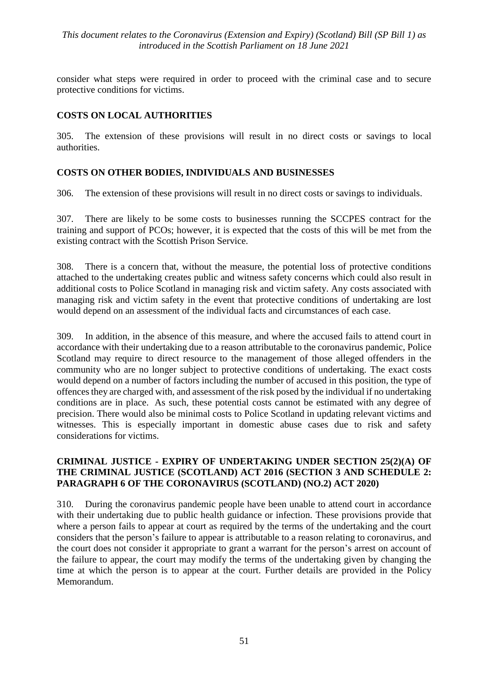consider what steps were required in order to proceed with the criminal case and to secure protective conditions for victims.

#### **COSTS ON LOCAL AUTHORITIES**

305. The extension of these provisions will result in no direct costs or savings to local authorities.

## **COSTS ON OTHER BODIES, INDIVIDUALS AND BUSINESSES**

306. The extension of these provisions will result in no direct costs or savings to individuals.

307. There are likely to be some costs to businesses running the SCCPES contract for the training and support of PCOs; however, it is expected that the costs of this will be met from the existing contract with the Scottish Prison Service.

308. There is a concern that, without the measure, the potential loss of protective conditions attached to the undertaking creates public and witness safety concerns which could also result in additional costs to Police Scotland in managing risk and victim safety. Any costs associated with managing risk and victim safety in the event that protective conditions of undertaking are lost would depend on an assessment of the individual facts and circumstances of each case.

309. In addition, in the absence of this measure, and where the accused fails to attend court in accordance with their undertaking due to a reason attributable to the coronavirus pandemic, Police Scotland may require to direct resource to the management of those alleged offenders in the community who are no longer subject to protective conditions of undertaking. The exact costs would depend on a number of factors including the number of accused in this position, the type of offences they are charged with, and assessment of the risk posed by the individual if no undertaking conditions are in place. As such, these potential costs cannot be estimated with any degree of precision. There would also be minimal costs to Police Scotland in updating relevant victims and witnesses. This is especially important in domestic abuse cases due to risk and safety considerations for victims.

#### **CRIMINAL JUSTICE - EXPIRY OF UNDERTAKING UNDER SECTION 25(2)(A) OF THE CRIMINAL JUSTICE (SCOTLAND) ACT 2016 (SECTION 3 AND SCHEDULE 2: PARAGRAPH 6 OF THE CORONAVIRUS (SCOTLAND) (NO.2) ACT 2020)**

310. During the coronavirus pandemic people have been unable to attend court in accordance with their undertaking due to public health guidance or infection. These provisions provide that where a person fails to appear at court as required by the terms of the undertaking and the court considers that the person's failure to appear is attributable to a reason relating to coronavirus, and the court does not consider it appropriate to grant a warrant for the person's arrest on account of the failure to appear, the court may modify the terms of the undertaking given by changing the time at which the person is to appear at the court. Further details are provided in the Policy Memorandum.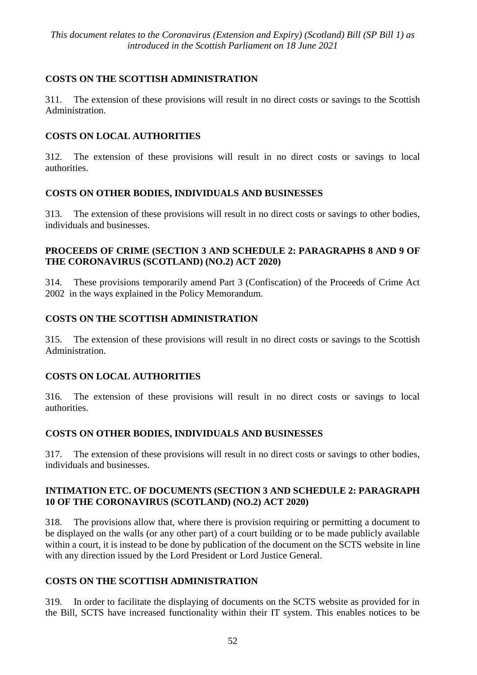## **COSTS ON THE SCOTTISH ADMINISTRATION**

311. The extension of these provisions will result in no direct costs or savings to the Scottish Administration.

## **COSTS ON LOCAL AUTHORITIES**

312. The extension of these provisions will result in no direct costs or savings to local authorities.

## **COSTS ON OTHER BODIES, INDIVIDUALS AND BUSINESSES**

313. The extension of these provisions will result in no direct costs or savings to other bodies, individuals and businesses.

## **PROCEEDS OF CRIME (SECTION 3 AND SCHEDULE 2: PARAGRAPHS 8 AND 9 OF THE CORONAVIRUS (SCOTLAND) (NO.2) ACT 2020)**

314. These provisions temporarily amend Part 3 (Confiscation) of the Proceeds of Crime Act 2002 in the ways explained in the Policy Memorandum.

## **COSTS ON THE SCOTTISH ADMINISTRATION**

315. The extension of these provisions will result in no direct costs or savings to the Scottish Administration.

## **COSTS ON LOCAL AUTHORITIES**

316. The extension of these provisions will result in no direct costs or savings to local authorities.

## **COSTS ON OTHER BODIES, INDIVIDUALS AND BUSINESSES**

317. The extension of these provisions will result in no direct costs or savings to other bodies, individuals and businesses.

#### **INTIMATION ETC. OF DOCUMENTS (SECTION 3 AND SCHEDULE 2: PARAGRAPH 10 OF THE CORONAVIRUS (SCOTLAND) (NO.2) ACT 2020)**

318. The provisions allow that, where there is provision requiring or permitting a document to be displayed on the walls (or any other part) of a court building or to be made publicly available within a court, it is instead to be done by publication of the document on the SCTS website in line with any direction issued by the Lord President or Lord Justice General.

## **COSTS ON THE SCOTTISH ADMINISTRATION**

319. In order to facilitate the displaying of documents on the SCTS website as provided for in the Bill, SCTS have increased functionality within their IT system. This enables notices to be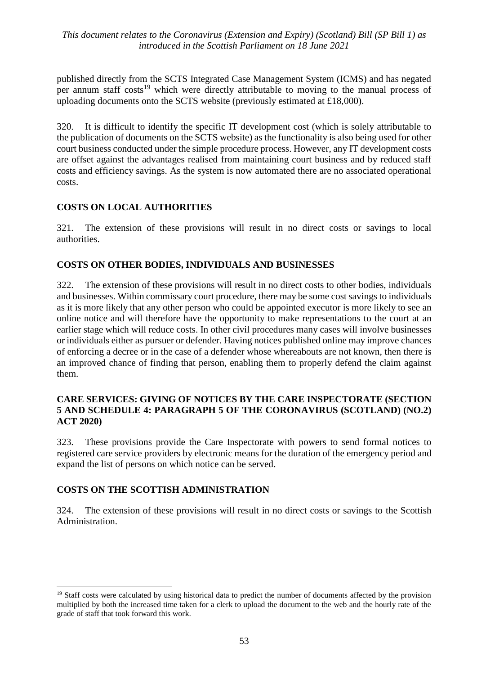published directly from the SCTS Integrated Case Management System (ICMS) and has negated per annum staff costs<sup>19</sup> which were directly attributable to moving to the manual process of uploading documents onto the SCTS website (previously estimated at £18,000).

320. It is difficult to identify the specific IT development cost (which is solely attributable to the publication of documents on the SCTS website) as the functionality is also being used for other court business conducted under the simple procedure process. However, any IT development costs are offset against the advantages realised from maintaining court business and by reduced staff costs and efficiency savings. As the system is now automated there are no associated operational costs.

#### **COSTS ON LOCAL AUTHORITIES**

321. The extension of these provisions will result in no direct costs or savings to local authorities.

#### **COSTS ON OTHER BODIES, INDIVIDUALS AND BUSINESSES**

322. The extension of these provisions will result in no direct costs to other bodies, individuals and businesses. Within commissary court procedure, there may be some cost savings to individuals as it is more likely that any other person who could be appointed executor is more likely to see an online notice and will therefore have the opportunity to make representations to the court at an earlier stage which will reduce costs. In other civil procedures many cases will involve businesses or individuals either as pursuer or defender. Having notices published online may improve chances of enforcing a decree or in the case of a defender whose whereabouts are not known, then there is an improved chance of finding that person, enabling them to properly defend the claim against them.

#### **CARE SERVICES: GIVING OF NOTICES BY THE CARE INSPECTORATE (SECTION 5 AND SCHEDULE 4: PARAGRAPH 5 OF THE CORONAVIRUS (SCOTLAND) (NO.2) ACT 2020)**

323. These provisions provide the Care Inspectorate with powers to send formal notices to registered care service providers by electronic means for the duration of the emergency period and expand the list of persons on which notice can be served.

#### **COSTS ON THE SCOTTISH ADMINISTRATION**

 $\overline{a}$ 

324. The extension of these provisions will result in no direct costs or savings to the Scottish Administration.

<sup>&</sup>lt;sup>19</sup> Staff costs were calculated by using historical data to predict the number of documents affected by the provision multiplied by both the increased time taken for a clerk to upload the document to the web and the hourly rate of the grade of staff that took forward this work.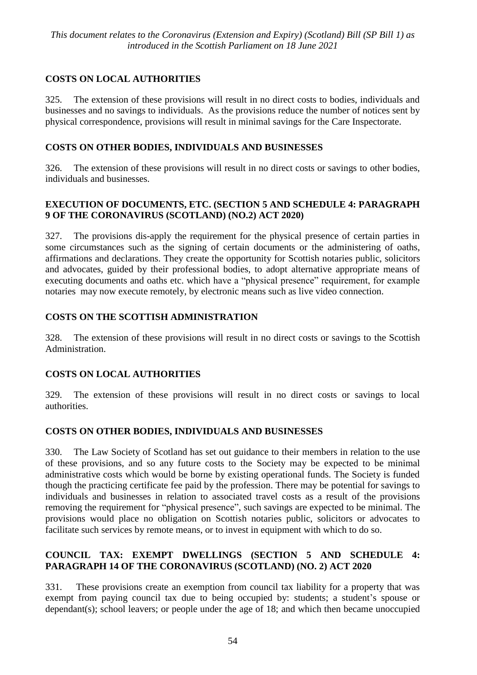## **COSTS ON LOCAL AUTHORITIES**

325. The extension of these provisions will result in no direct costs to bodies, individuals and businesses and no savings to individuals. As the provisions reduce the number of notices sent by physical correspondence, provisions will result in minimal savings for the Care Inspectorate.

## **COSTS ON OTHER BODIES, INDIVIDUALS AND BUSINESSES**

326. The extension of these provisions will result in no direct costs or savings to other bodies, individuals and businesses.

## **EXECUTION OF DOCUMENTS, ETC. (SECTION 5 AND SCHEDULE 4: PARAGRAPH 9 OF THE CORONAVIRUS (SCOTLAND) (NO.2) ACT 2020)**

327. The provisions dis-apply the requirement for the physical presence of certain parties in some circumstances such as the signing of certain documents or the administering of oaths, affirmations and declarations. They create the opportunity for Scottish notaries public, solicitors and advocates, guided by their professional bodies, to adopt alternative appropriate means of executing documents and oaths etc. which have a "physical presence" requirement, for example notaries may now execute remotely, by electronic means such as live video connection.

## **COSTS ON THE SCOTTISH ADMINISTRATION**

328. The extension of these provisions will result in no direct costs or savings to the Scottish Administration.

## **COSTS ON LOCAL AUTHORITIES**

329. The extension of these provisions will result in no direct costs or savings to local authorities.

## **COSTS ON OTHER BODIES, INDIVIDUALS AND BUSINESSES**

330. The Law Society of Scotland has set out guidance to their members in relation to the use of these provisions, and so any future costs to the Society may be expected to be minimal administrative costs which would be borne by existing operational funds. The Society is funded though the practicing certificate fee paid by the profession. There may be potential for savings to individuals and businesses in relation to associated travel costs as a result of the provisions removing the requirement for "physical presence", such savings are expected to be minimal. The provisions would place no obligation on Scottish notaries public, solicitors or advocates to facilitate such services by remote means, or to invest in equipment with which to do so.

## **COUNCIL TAX: EXEMPT DWELLINGS (SECTION 5 AND SCHEDULE 4: PARAGRAPH 14 OF THE CORONAVIRUS (SCOTLAND) (NO. 2) ACT 2020**

331. These provisions create an exemption from council tax liability for a property that was exempt from paying council tax due to being occupied by: students; a student's spouse or dependant(s); school leavers; or people under the age of 18; and which then became unoccupied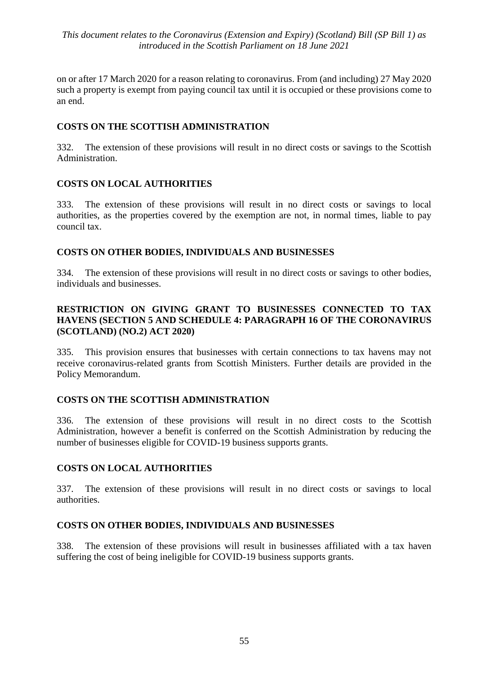on or after 17 March 2020 for a reason relating to coronavirus. From (and including) 27 May 2020 such a property is exempt from paying council tax until it is occupied or these provisions come to an end.

#### **COSTS ON THE SCOTTISH ADMINISTRATION**

332. The extension of these provisions will result in no direct costs or savings to the Scottish Administration.

## **COSTS ON LOCAL AUTHORITIES**

333. The extension of these provisions will result in no direct costs or savings to local authorities, as the properties covered by the exemption are not, in normal times, liable to pay council tax.

#### **COSTS ON OTHER BODIES, INDIVIDUALS AND BUSINESSES**

334. The extension of these provisions will result in no direct costs or savings to other bodies, individuals and businesses.

## **RESTRICTION ON GIVING GRANT TO BUSINESSES CONNECTED TO TAX HAVENS (SECTION 5 AND SCHEDULE 4: PARAGRAPH 16 OF THE CORONAVIRUS (SCOTLAND) (NO.2) ACT 2020)**

335. This provision ensures that businesses with certain connections to tax havens may not receive coronavirus-related grants from Scottish Ministers. Further details are provided in the Policy Memorandum.

#### **COSTS ON THE SCOTTISH ADMINISTRATION**

336. The extension of these provisions will result in no direct costs to the Scottish Administration, however a benefit is conferred on the Scottish Administration by reducing the number of businesses eligible for COVID-19 business supports grants.

#### **COSTS ON LOCAL AUTHORITIES**

337. The extension of these provisions will result in no direct costs or savings to local authorities.

#### **COSTS ON OTHER BODIES, INDIVIDUALS AND BUSINESSES**

338. The extension of these provisions will result in businesses affiliated with a tax haven suffering the cost of being ineligible for COVID-19 business supports grants.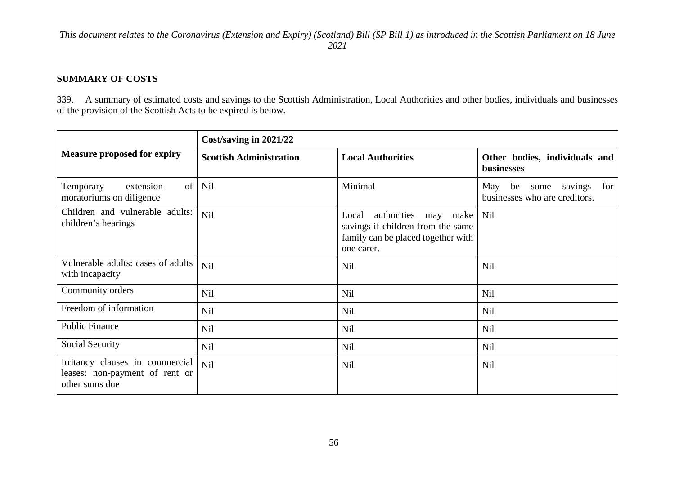#### **SUMMARY OF COSTS**

339. A summary of estimated costs and savings to the Scottish Administration, Local Authorities and other bodies, individuals and businesses of the provision of the Scottish Acts to be expired is below.

|                                                                                     | Cost/saving in 2021/22         |                                                                                                                              |                                                                      |
|-------------------------------------------------------------------------------------|--------------------------------|------------------------------------------------------------------------------------------------------------------------------|----------------------------------------------------------------------|
| <b>Measure proposed for expiry</b>                                                  | <b>Scottish Administration</b> | <b>Local Authorities</b>                                                                                                     | Other bodies, individuals and<br>businesses                          |
| of<br>extension<br>Temporary<br>moratoriums on diligence                            | Nil                            | Minimal                                                                                                                      | savings<br>May<br>be<br>for<br>some<br>businesses who are creditors. |
| Children and vulnerable adults:<br>children's hearings                              | Nil                            | authorities<br>Local<br>make<br>may<br>savings if children from the same<br>family can be placed together with<br>one carer. | Nil                                                                  |
| Vulnerable adults: cases of adults<br>with incapacity                               | Nil                            | <b>Nil</b>                                                                                                                   | <b>Nil</b>                                                           |
| Community orders                                                                    | Nil                            | Nil                                                                                                                          | <b>Nil</b>                                                           |
| Freedom of information                                                              | Nil                            | Nil                                                                                                                          | Nil                                                                  |
| <b>Public Finance</b>                                                               | Nil                            | Nil                                                                                                                          | <b>Nil</b>                                                           |
| Social Security                                                                     | Nil                            | Nil                                                                                                                          | <b>Nil</b>                                                           |
| Irritancy clauses in commercial<br>leases: non-payment of rent or<br>other sums due | Nil                            | Nil                                                                                                                          | <b>Nil</b>                                                           |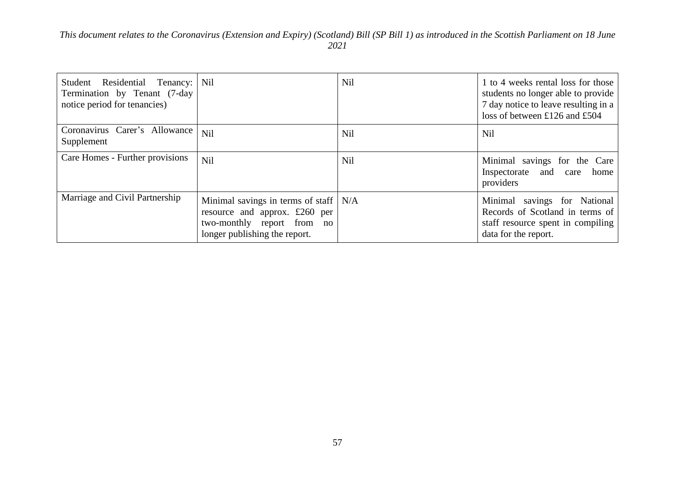| Residential Tenancy: Nil<br>Student<br>Termination by Tenant (7-day)<br>notice period for tenancies) |                                                                                                                                           | Nil        | 1 to 4 weeks rental loss for those<br>students no longer able to provide<br>7 day notice to leave resulting in a<br>loss of between £126 and £504 |
|------------------------------------------------------------------------------------------------------|-------------------------------------------------------------------------------------------------------------------------------------------|------------|---------------------------------------------------------------------------------------------------------------------------------------------------|
| Coronavirus Carer's Allowance<br>Supplement                                                          | Nil                                                                                                                                       | <b>Nil</b> | <b>Nil</b>                                                                                                                                        |
| Care Homes - Further provisions                                                                      | Nil                                                                                                                                       | <b>Nil</b> | Minimal savings for the Care<br>Inspectorate and care<br>home<br>providers                                                                        |
| Marriage and Civil Partnership                                                                       | Minimal savings in terms of staff $  N/A$<br>resource and approx. £260 per<br>two-monthly report from no<br>longer publishing the report. |            | Minimal savings for National<br>Records of Scotland in terms of<br>staff resource spent in compiling<br>data for the report.                      |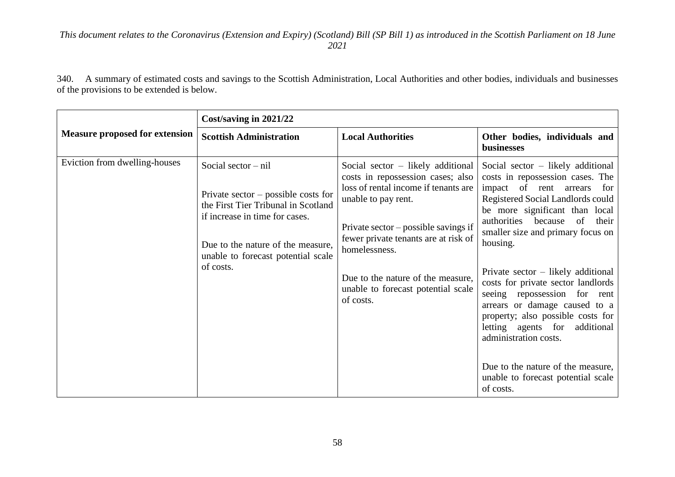340. A summary of estimated costs and savings to the Scottish Administration, Local Authorities and other bodies, individuals and businesses of the provisions to be extended is below.

|                                       | Cost/saving in 2021/22                                                                                                                                                                                                          |                                                                                                                                                                                                                                                                                                                                    |                                                                                                                                                                                                                                                                                                                                                                                                                                                                                                                                                                                                                         |
|---------------------------------------|---------------------------------------------------------------------------------------------------------------------------------------------------------------------------------------------------------------------------------|------------------------------------------------------------------------------------------------------------------------------------------------------------------------------------------------------------------------------------------------------------------------------------------------------------------------------------|-------------------------------------------------------------------------------------------------------------------------------------------------------------------------------------------------------------------------------------------------------------------------------------------------------------------------------------------------------------------------------------------------------------------------------------------------------------------------------------------------------------------------------------------------------------------------------------------------------------------------|
| <b>Measure proposed for extension</b> | <b>Scottish Administration</b>                                                                                                                                                                                                  | <b>Local Authorities</b>                                                                                                                                                                                                                                                                                                           | Other bodies, individuals and<br>businesses                                                                                                                                                                                                                                                                                                                                                                                                                                                                                                                                                                             |
| Eviction from dwelling-houses         | Social sector $-$ nil<br>Private sector $-$ possible costs for<br>the First Tier Tribunal in Scotland<br>if increase in time for cases.<br>Due to the nature of the measure,<br>unable to forecast potential scale<br>of costs. | Social sector $-$ likely additional<br>costs in repossession cases; also<br>loss of rental income if tenants are<br>unable to pay rent.<br>Private sector $-$ possible savings if<br>fewer private tenants are at risk of<br>homelessness.<br>Due to the nature of the measure,<br>unable to forecast potential scale<br>of costs. | Social sector $-$ likely additional<br>costs in repossession cases. The<br>impact of rent arrears<br>for<br>Registered Social Landlords could<br>be more significant than local<br>authorities because<br><sub>of</sub><br>their<br>smaller size and primary focus on<br>housing.<br>Private sector $-$ likely additional<br>costs for private sector landlords<br>seeing repossession for rent<br>arrears or damage caused to a<br>property; also possible costs for<br>letting agents for additional<br>administration costs.<br>Due to the nature of the measure,<br>unable to forecast potential scale<br>of costs. |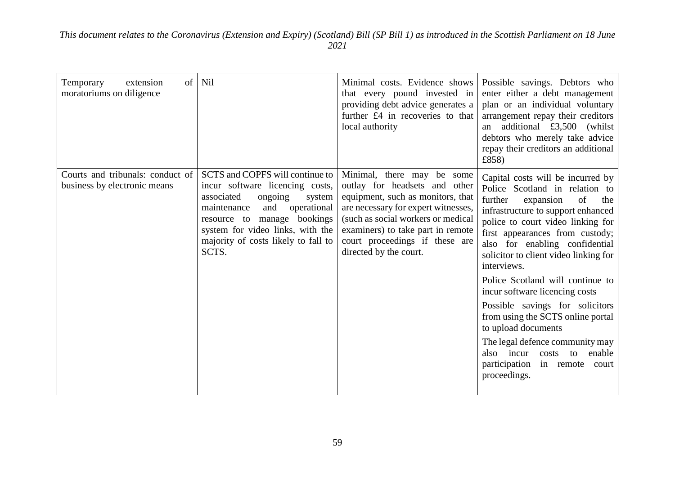| of<br>Temporary<br>extension<br>moratoriums on diligence         | Nil                                                                                                                                                                                                                                                              | Minimal costs. Evidence shows<br>that every pound invested in<br>providing debt advice generates a<br>further £4 in recoveries to that<br>local authority                                                                                                                      | Possible savings. Debtors who<br>enter either a debt management<br>plan or an individual voluntary<br>arrangement repay their creditors<br>an additional £3,500 (whilst<br>debtors who merely take advice<br>repay their creditors an additional<br>£858)                                                                                                                                                                                                                                                                                                                                                        |
|------------------------------------------------------------------|------------------------------------------------------------------------------------------------------------------------------------------------------------------------------------------------------------------------------------------------------------------|--------------------------------------------------------------------------------------------------------------------------------------------------------------------------------------------------------------------------------------------------------------------------------|------------------------------------------------------------------------------------------------------------------------------------------------------------------------------------------------------------------------------------------------------------------------------------------------------------------------------------------------------------------------------------------------------------------------------------------------------------------------------------------------------------------------------------------------------------------------------------------------------------------|
| Courts and tribunals: conduct of<br>business by electronic means | SCTS and COPFS will continue to<br>incur software licencing costs,<br>associated<br>ongoing<br>system<br>maintenance<br>and<br>operational<br>bookings<br>resource to manage<br>system for video links, with the<br>majority of costs likely to fall to<br>SCTS. | Minimal, there may be some<br>outlay for headsets and other<br>equipment, such as monitors, that<br>are necessary for expert witnesses,<br>(such as social workers or medical<br>examiners) to take part in remote<br>court proceedings if these are<br>directed by the court. | Capital costs will be incurred by<br>Police Scotland in relation to<br>further<br>expansion<br>of<br>the<br>infrastructure to support enhanced<br>police to court video linking for<br>first appearances from custody;<br>also for enabling confidential<br>solicitor to client video linking for<br>interviews.<br>Police Scotland will continue to<br>incur software licencing costs<br>Possible savings for solicitors<br>from using the SCTS online portal<br>to upload documents<br>The legal defence community may<br>also incur costs<br>enable<br>to<br>participation in remote<br>court<br>proceedings. |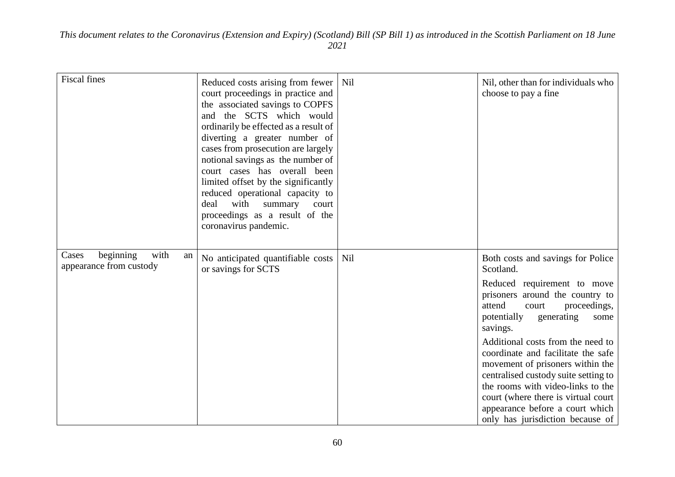| <b>Fiscal fines</b>                                         | Reduced costs arising from fewer<br>court proceedings in practice and<br>the associated savings to COPFS<br>and the SCTS which would<br>ordinarily be effected as a result of<br>diverting a greater number of<br>cases from prosecution are largely<br>notional savings as the number of<br>court cases has overall been<br>limited offset by the significantly<br>reduced operational capacity to<br>with<br>deal<br>summary<br>court<br>proceedings as a result of the<br>coronavirus pandemic. | Nil | Nil, other than for individuals who<br>choose to pay a fine                                                                                                                                                                                                                                                                                                                                                                                                                                                    |
|-------------------------------------------------------------|----------------------------------------------------------------------------------------------------------------------------------------------------------------------------------------------------------------------------------------------------------------------------------------------------------------------------------------------------------------------------------------------------------------------------------------------------------------------------------------------------|-----|----------------------------------------------------------------------------------------------------------------------------------------------------------------------------------------------------------------------------------------------------------------------------------------------------------------------------------------------------------------------------------------------------------------------------------------------------------------------------------------------------------------|
| with<br>beginning<br>Cases<br>an<br>appearance from custody | No anticipated quantifiable costs<br>or savings for SCTS                                                                                                                                                                                                                                                                                                                                                                                                                                           | Nil | Both costs and savings for Police<br>Scotland.<br>Reduced requirement to move<br>prisoners around the country to<br>attend<br>proceedings,<br>court<br>potentially<br>generating<br>some<br>savings.<br>Additional costs from the need to<br>coordinate and facilitate the safe<br>movement of prisoners within the<br>centralised custody suite setting to<br>the rooms with video-links to the<br>court (where there is virtual court<br>appearance before a court which<br>only has jurisdiction because of |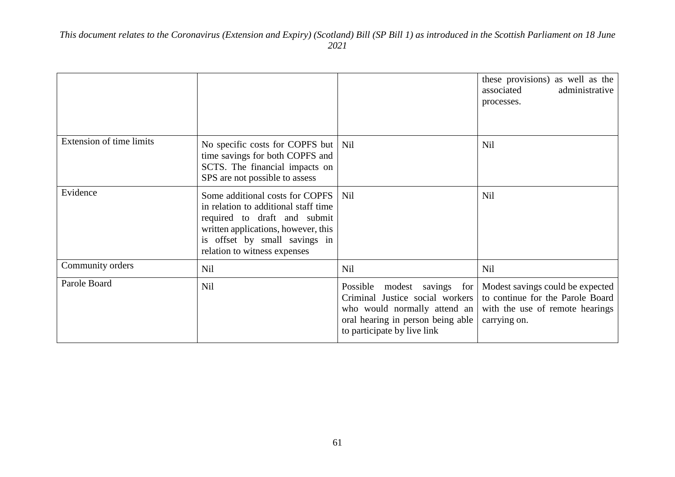|                                 |                                                                                                                                                                                                                 |                                                                                                                                                                    | these provisions) as well as the<br>associated<br>administrative<br>processes.                                          |
|---------------------------------|-----------------------------------------------------------------------------------------------------------------------------------------------------------------------------------------------------------------|--------------------------------------------------------------------------------------------------------------------------------------------------------------------|-------------------------------------------------------------------------------------------------------------------------|
| <b>Extension of time limits</b> | No specific costs for COPFS but   Nil<br>time savings for both COPFS and<br>SCTS. The financial impacts on<br>SPS are not possible to assess                                                                    |                                                                                                                                                                    | Nil                                                                                                                     |
| Evidence                        | Some additional costs for COPFS<br>in relation to additional staff time<br>required to draft and submit<br>written applications, however, this<br>is offset by small savings in<br>relation to witness expenses | Nil                                                                                                                                                                | <b>Nil</b>                                                                                                              |
| Community orders                | Nil                                                                                                                                                                                                             | Nil                                                                                                                                                                | <b>Nil</b>                                                                                                              |
| Parole Board                    | Nil                                                                                                                                                                                                             | Possible modest savings for<br>Criminal Justice social workers<br>who would normally attend an<br>oral hearing in person being able<br>to participate by live link | Modest savings could be expected<br>to continue for the Parole Board<br>with the use of remote hearings<br>carrying on. |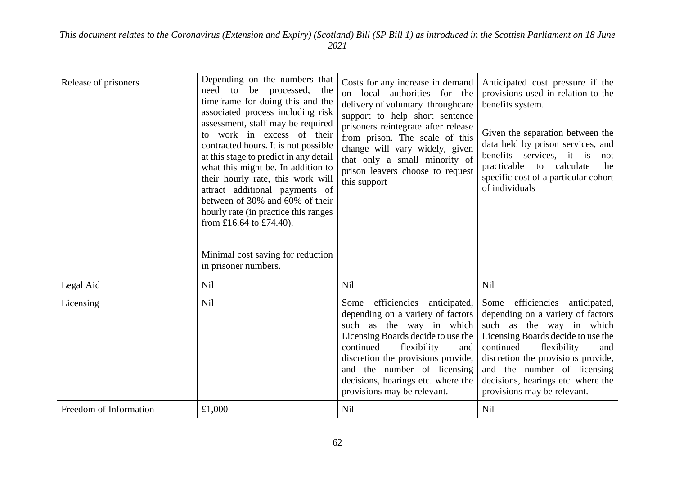| Release of prisoners   | Depending on the numbers that<br>need to be processed, the<br>timeframe for doing this and the<br>associated process including risk<br>assessment, staff may be required<br>to work in excess of their<br>contracted hours. It is not possible<br>at this stage to predict in any detail<br>what this might be. In addition to<br>their hourly rate, this work will<br>attract additional payments of<br>between of 30% and 60% of their<br>hourly rate (in practice this ranges<br>from £16.64 to £74.40).<br>Minimal cost saving for reduction<br>in prisoner numbers. | Costs for any increase in demand<br>on local authorities for the<br>delivery of voluntary throughcare<br>support to help short sentence<br>prisoners reintegrate after release<br>from prison. The scale of this<br>change will vary widely, given<br>that only a small minority of<br>prison leavers choose to request<br>this support | Anticipated cost pressure if the<br>provisions used in relation to the<br>benefits system.<br>Given the separation between the<br>data held by prison services, and<br>benefits services, it is<br>not<br>practicable<br>calculate<br>the<br>to<br>specific cost of a particular cohort<br>of individuals             |
|------------------------|--------------------------------------------------------------------------------------------------------------------------------------------------------------------------------------------------------------------------------------------------------------------------------------------------------------------------------------------------------------------------------------------------------------------------------------------------------------------------------------------------------------------------------------------------------------------------|-----------------------------------------------------------------------------------------------------------------------------------------------------------------------------------------------------------------------------------------------------------------------------------------------------------------------------------------|-----------------------------------------------------------------------------------------------------------------------------------------------------------------------------------------------------------------------------------------------------------------------------------------------------------------------|
| Legal Aid              | Nil                                                                                                                                                                                                                                                                                                                                                                                                                                                                                                                                                                      | <b>Nil</b>                                                                                                                                                                                                                                                                                                                              | Nil                                                                                                                                                                                                                                                                                                                   |
| Licensing              | Nil                                                                                                                                                                                                                                                                                                                                                                                                                                                                                                                                                                      | efficiencies anticipated,<br>Some<br>depending on a variety of factors<br>such as the way in which<br>Licensing Boards decide to use the<br>continued<br>flexibility<br>and<br>discretion the provisions provide,<br>and the number of licensing<br>decisions, hearings etc. where the<br>provisions may be relevant.                   | efficiencies anticipated,<br>Some<br>depending on a variety of factors<br>such as the way in which<br>Licensing Boards decide to use the<br>continued<br>flexibility<br>and<br>discretion the provisions provide,<br>and the number of licensing<br>decisions, hearings etc. where the<br>provisions may be relevant. |
| Freedom of Information | £1,000                                                                                                                                                                                                                                                                                                                                                                                                                                                                                                                                                                   | Nil                                                                                                                                                                                                                                                                                                                                     | Nil                                                                                                                                                                                                                                                                                                                   |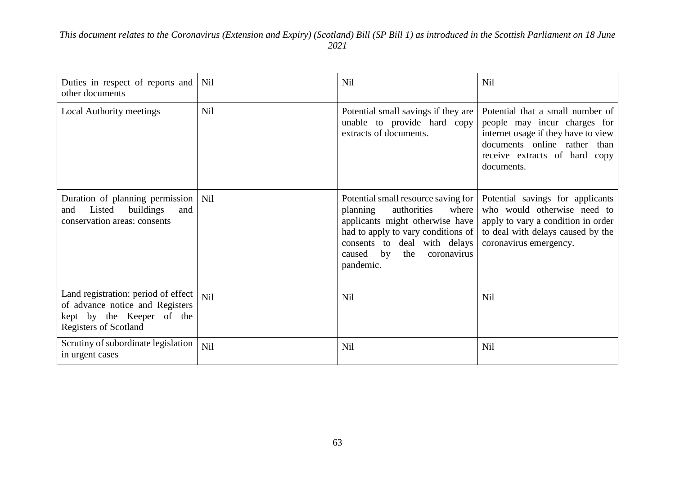| Duties in respect of reports and<br>other documents                                                                                 | Nil        | <b>Nil</b>                                                                                                                                                                                                                          | <b>Nil</b>                                                                                                                                                                             |
|-------------------------------------------------------------------------------------------------------------------------------------|------------|-------------------------------------------------------------------------------------------------------------------------------------------------------------------------------------------------------------------------------------|----------------------------------------------------------------------------------------------------------------------------------------------------------------------------------------|
| <b>Local Authority meetings</b>                                                                                                     | Nil        | Potential small savings if they are<br>unable to provide hard copy<br>extracts of documents.                                                                                                                                        | Potential that a small number of<br>people may incur charges for<br>internet usage if they have to view<br>documents online rather than<br>receive extracts of hard copy<br>documents. |
| Duration of planning permission   Nil<br>Listed<br>buildings<br>and<br>and<br>conservation areas: consents                          |            | Potential small resource saving for<br>authorities<br>where<br>planning<br>applicants might otherwise have<br>had to apply to vary conditions of<br>consents to deal with delays<br>by<br>caused<br>the<br>coronavirus<br>pandemic. | Potential savings for applicants<br>who would otherwise need to<br>apply to vary a condition in order<br>to deal with delays caused by the<br>coronavirus emergency.                   |
| Land registration: period of effect<br>of advance notice and Registers<br>kept by the Keeper of the<br><b>Registers of Scotland</b> | Nil        | Nil                                                                                                                                                                                                                                 | <b>Nil</b>                                                                                                                                                                             |
| Scrutiny of subordinate legislation<br>in urgent cases                                                                              | <b>Nil</b> | <b>Nil</b>                                                                                                                                                                                                                          | <b>Nil</b>                                                                                                                                                                             |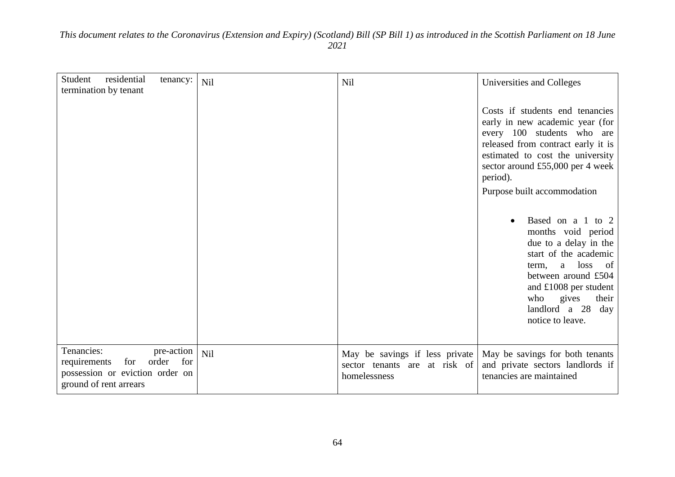| residential<br>Student                                                                         | tenancy:                   | Nil | Nil                                                                             | Universities and Colleges                                                                                                                                                                                                                                 |
|------------------------------------------------------------------------------------------------|----------------------------|-----|---------------------------------------------------------------------------------|-----------------------------------------------------------------------------------------------------------------------------------------------------------------------------------------------------------------------------------------------------------|
| termination by tenant                                                                          |                            |     |                                                                                 | Costs if students end tenancies<br>early in new academic year (for<br>every 100 students who are<br>released from contract early it is<br>estimated to cost the university<br>sector around £55,000 per 4 week<br>period).<br>Purpose built accommodation |
|                                                                                                |                            |     |                                                                                 | Based on a 1 to 2<br>months void period<br>due to a delay in the<br>start of the academic<br>a loss<br>term,<br>of<br>between around £504<br>and $£1008$ per student<br>who gives<br>their<br>landlord a 28<br>day<br>notice to leave.                    |
| Tenancies:<br>requirements<br>for<br>possession or eviction order on<br>ground of rent arrears | pre-action<br>order<br>for | Nil | May be savings if less private<br>sector tenants are at risk of<br>homelessness | May be savings for both tenants<br>and private sectors landlords if<br>tenancies are maintained                                                                                                                                                           |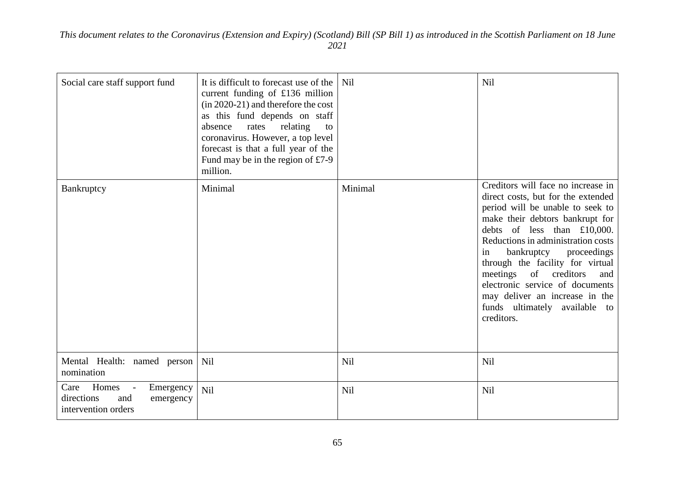| Social care staff support fund                                                                    | It is difficult to forecast use of the<br>current funding of £136 million<br>(in 2020-21) and therefore the cost<br>as this fund depends on staff<br>relating<br>absence<br>rates<br>to<br>coronavirus. However, a top level<br>forecast is that a full year of the<br>Fund may be in the region of $£7-9$<br>million. | <b>Nil</b> | Nil                                                                                                                                                                                                                                                                                                                                                                                                                                             |
|---------------------------------------------------------------------------------------------------|------------------------------------------------------------------------------------------------------------------------------------------------------------------------------------------------------------------------------------------------------------------------------------------------------------------------|------------|-------------------------------------------------------------------------------------------------------------------------------------------------------------------------------------------------------------------------------------------------------------------------------------------------------------------------------------------------------------------------------------------------------------------------------------------------|
| Bankruptcy                                                                                        | Minimal                                                                                                                                                                                                                                                                                                                | Minimal    | Creditors will face no increase in<br>direct costs, but for the extended<br>period will be unable to seek to<br>make their debtors bankrupt for<br>debts of less than £10,000.<br>Reductions in administration costs<br>bankruptcy<br>proceedings<br>in<br>through the facility for virtual<br>meetings of creditors<br>and<br>electronic service of documents<br>may deliver an increase in the<br>funds ultimately available to<br>creditors. |
| Mental Health: named person<br>nomination                                                         | Nil                                                                                                                                                                                                                                                                                                                    | <b>Nil</b> | <b>Nil</b>                                                                                                                                                                                                                                                                                                                                                                                                                                      |
| Homes<br>Emergency<br>Care<br>$\sim$ $-$<br>directions<br>and<br>emergency<br>intervention orders | Nil                                                                                                                                                                                                                                                                                                                    | <b>Nil</b> | <b>Nil</b>                                                                                                                                                                                                                                                                                                                                                                                                                                      |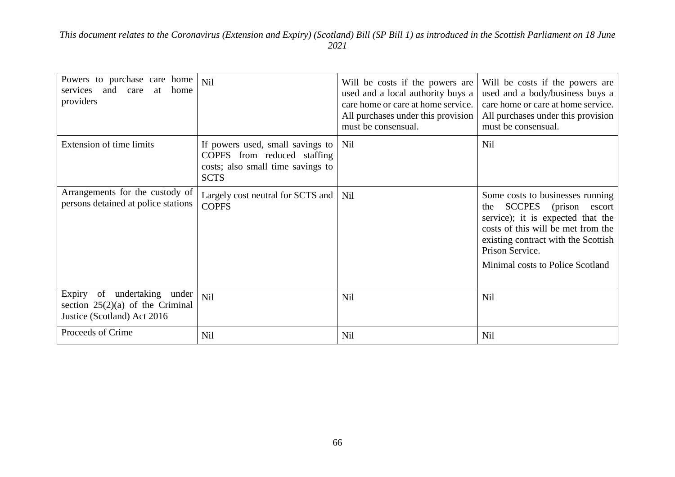| Powers to purchase care home<br>services and care<br>home<br>at<br>providers                     | Nil                                                                                                                 | Will be costs if the powers are<br>used and a local authority buys a<br>care home or care at home service.<br>All purchases under this provision<br>must be consensual. | Will be costs if the powers are<br>used and a body/business buys a<br>care home or care at home service.<br>All purchases under this provision<br>must be consensual.                                                                        |
|--------------------------------------------------------------------------------------------------|---------------------------------------------------------------------------------------------------------------------|-------------------------------------------------------------------------------------------------------------------------------------------------------------------------|----------------------------------------------------------------------------------------------------------------------------------------------------------------------------------------------------------------------------------------------|
| <b>Extension of time limits</b>                                                                  | If powers used, small savings to<br>COPFS from reduced staffing<br>costs; also small time savings to<br><b>SCTS</b> | Nil                                                                                                                                                                     | <b>Nil</b>                                                                                                                                                                                                                                   |
| Arrangements for the custody of<br>persons detained at police stations                           | Largely cost neutral for SCTS and<br><b>COPFS</b>                                                                   | Nil                                                                                                                                                                     | Some costs to businesses running<br>SCCPES (prison<br>the<br>escort<br>service); it is expected that the<br>costs of this will be met from the<br>existing contract with the Scottish<br>Prison Service.<br>Minimal costs to Police Scotland |
| Expiry of undertaking under<br>section $25(2)(a)$ of the Criminal<br>Justice (Scotland) Act 2016 | <b>Nil</b>                                                                                                          | Nil                                                                                                                                                                     | <b>Nil</b>                                                                                                                                                                                                                                   |
| Proceeds of Crime                                                                                | <b>Nil</b>                                                                                                          | <b>Nil</b>                                                                                                                                                              | <b>Nil</b>                                                                                                                                                                                                                                   |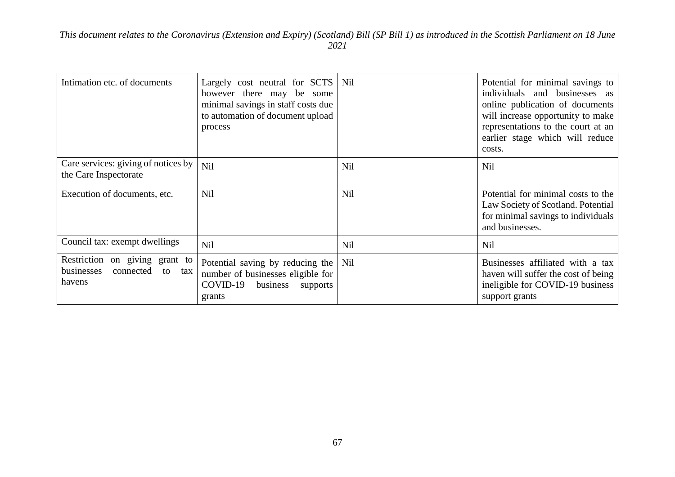| Intimation etc. of documents                                                     | Largely cost neutral for SCTS   Nil<br>however there may be some<br>minimal savings in staff costs due<br>to automation of document upload<br>process |     | Potential for minimal savings to<br>individuals and businesses as<br>online publication of documents<br>will increase opportunity to make<br>representations to the court at an<br>earlier stage which will reduce<br>costs. |
|----------------------------------------------------------------------------------|-------------------------------------------------------------------------------------------------------------------------------------------------------|-----|------------------------------------------------------------------------------------------------------------------------------------------------------------------------------------------------------------------------------|
| Care services: giving of notices by<br>the Care Inspectorate                     | <b>Nil</b>                                                                                                                                            | Nil | <b>Nil</b>                                                                                                                                                                                                                   |
| Execution of documents, etc.                                                     | Nil                                                                                                                                                   | Nil | Potential for minimal costs to the<br>Law Society of Scotland. Potential<br>for minimal savings to individuals<br>and businesses.                                                                                            |
| Council tax: exempt dwellings                                                    | Nil                                                                                                                                                   | Nil | Nil                                                                                                                                                                                                                          |
| Restriction on giving grant to<br>businesses<br>connected<br>to<br>tax<br>havens | Potential saving by reducing the Nil<br>number of businesses eligible for<br>COVID-19<br>business<br>supports<br>grants                               |     | Businesses affiliated with a tax<br>haven will suffer the cost of being<br>ineligible for COVID-19 business<br>support grants                                                                                                |